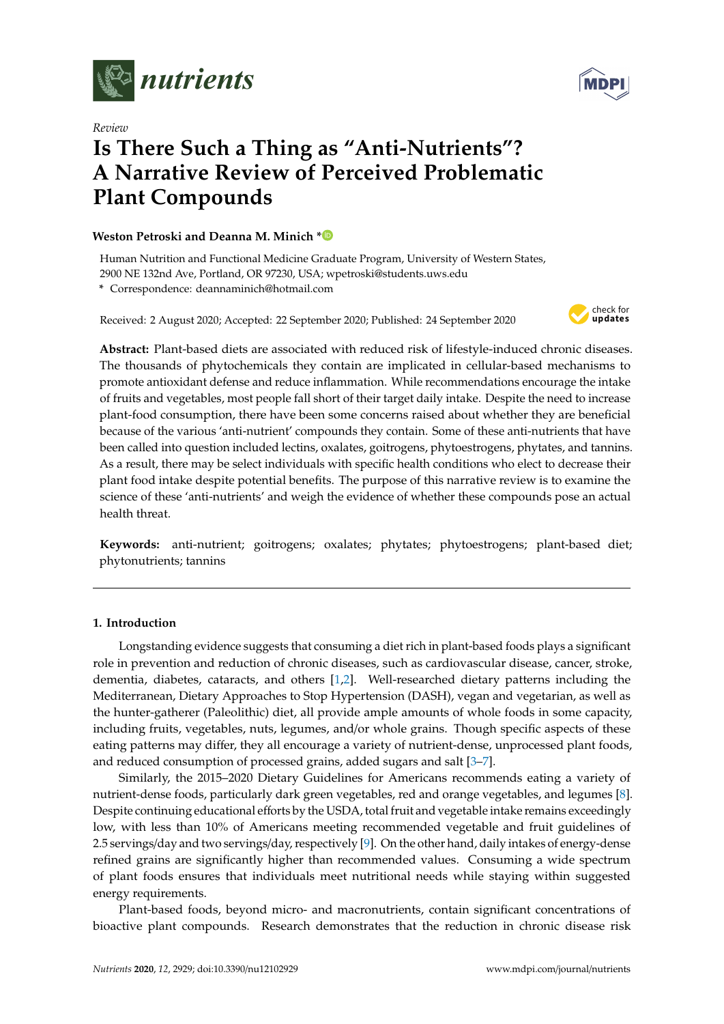



# *Review* **Is There Such a Thing as "Anti-Nutrients"? A Narrative Review of Perceived Problematic Plant Compounds**

# **Weston Petroski and Deanna M. Minich [\\*](https://orcid.org/0000-0002-1103-8982)**

Human Nutrition and Functional Medicine Graduate Program, University of Western States, 2900 NE 132nd Ave, Portland, OR 97230, USA; wpetroski@students.uws.edu

**\*** Correspondence: deannaminich@hotmail.com

Received: 2 August 2020; Accepted: 22 September 2020; Published: 24 September 2020



**Abstract:** Plant-based diets are associated with reduced risk of lifestyle-induced chronic diseases. The thousands of phytochemicals they contain are implicated in cellular-based mechanisms to promote antioxidant defense and reduce inflammation. While recommendations encourage the intake of fruits and vegetables, most people fall short of their target daily intake. Despite the need to increase plant-food consumption, there have been some concerns raised about whether they are beneficial because of the various 'anti-nutrient' compounds they contain. Some of these anti-nutrients that have been called into question included lectins, oxalates, goitrogens, phytoestrogens, phytates, and tannins. As a result, there may be select individuals with specific health conditions who elect to decrease their plant food intake despite potential benefits. The purpose of this narrative review is to examine the science of these 'anti-nutrients' and weigh the evidence of whether these compounds pose an actual health threat.

**Keywords:** anti-nutrient; goitrogens; oxalates; phytates; phytoestrogens; plant-based diet; phytonutrients; tannins

# **1. Introduction**

Longstanding evidence suggests that consuming a diet rich in plant-based foods plays a significant role in prevention and reduction of chronic diseases, such as cardiovascular disease, cancer, stroke, dementia, diabetes, cataracts, and others [\[1,](#page-18-0)[2\]](#page-18-1). Well-researched dietary patterns including the Mediterranean, Dietary Approaches to Stop Hypertension (DASH), vegan and vegetarian, as well as the hunter-gatherer (Paleolithic) diet, all provide ample amounts of whole foods in some capacity, including fruits, vegetables, nuts, legumes, and/or whole grains. Though specific aspects of these eating patterns may differ, they all encourage a variety of nutrient-dense, unprocessed plant foods, and reduced consumption of processed grains, added sugars and salt [\[3](#page-18-2)[–7\]](#page-18-3).

Similarly, the 2015–2020 Dietary Guidelines for Americans recommends eating a variety of nutrient-dense foods, particularly dark green vegetables, red and orange vegetables, and legumes [\[8\]](#page-18-4). Despite continuing educational efforts by the USDA, total fruit and vegetable intake remains exceedingly low, with less than 10% of Americans meeting recommended vegetable and fruit guidelines of 2.5 servings/day and two servings/day, respectively [\[9\]](#page-18-5). On the other hand, daily intakes of energy-dense refined grains are significantly higher than recommended values. Consuming a wide spectrum of plant foods ensures that individuals meet nutritional needs while staying within suggested energy requirements.

Plant-based foods, beyond micro- and macronutrients, contain significant concentrations of bioactive plant compounds. Research demonstrates that the reduction in chronic disease risk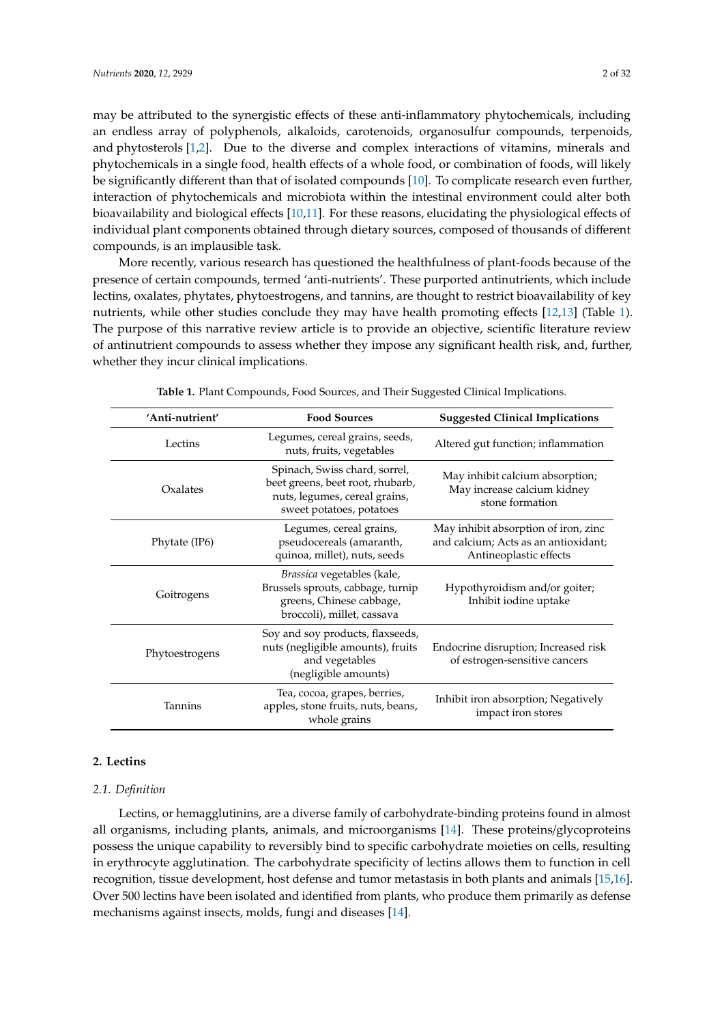may be attributed to the synergistic effects of these anti-inflammatory phytochemicals, including an endless array of polyphenols, alkaloids, carotenoids, organosulfur compounds, terpenoids, and phytosterols [\[1](#page-18-0)[,2\]](#page-18-1). Due to the diverse and complex interactions of vitamins, minerals and phytochemicals in a single food, health effects of a whole food, or combination of foods, will likely be significantly different than that of isolated compounds [\[10\]](#page-19-0). To complicate research even further, interaction of phytochemicals and microbiota within the intestinal environment could alter both bioavailability and biological effects [\[10,](#page-19-0)[11\]](#page-19-1). For these reasons, elucidating the physiological effects of individual plant components obtained through dietary sources, composed of thousands of different compounds, is an implausible task.

More recently, various research has questioned the healthfulness of plant-foods because of the presence of certain compounds, termed 'anti-nutrients'. These purported antinutrients, which include lectins, oxalates, phytates, phytoestrogens, and tannins, are thought to restrict bioavailability of key nutrients, while other studies conclude they may have health promoting effects [\[12](#page-19-2)[,13\]](#page-19-3) (Table [1\)](#page-1-0). The purpose of this narrative review article is to provide an objective, scientific literature review of antinutrient compounds to assess whether they impose any significant health risk, and, further, whether they incur clinical implications.

<span id="page-1-0"></span>

| 'Anti-nutrient' | <b>Food Sources</b>                                                                                                            | <b>Suggested Clinical Implications</b>                                                                 |
|-----------------|--------------------------------------------------------------------------------------------------------------------------------|--------------------------------------------------------------------------------------------------------|
| Lectins         | Legumes, cereal grains, seeds,<br>nuts, fruits, vegetables                                                                     | Altered gut function; inflammation                                                                     |
| Oxalates        | Spinach, Swiss chard, sorrel,<br>beet greens, beet root, rhubarb,<br>nuts, legumes, cereal grains,<br>sweet potatoes, potatoes | May inhibit calcium absorption;<br>May increase calcium kidney<br>stone formation                      |
| Phytate (IP6)   | Legumes, cereal grains,<br>pseudocereals (amaranth,<br>quinoa, millet), nuts, seeds                                            | May inhibit absorption of iron, zinc<br>and calcium; Acts as an antioxidant;<br>Antineoplastic effects |
| Goitrogens      | Brassica vegetables (kale,<br>Brussels sprouts, cabbage, turnip<br>greens, Chinese cabbage,<br>broccoli), millet, cassava      | Hypothyroidism and/or goiter;<br>Inhibit iodine uptake                                                 |
| Phytoestrogens  | Soy and soy products, flaxseeds,<br>nuts (negligible amounts), fruits<br>and vegetables<br>(negligible amounts)                | Endocrine disruption; Increased risk<br>of estrogen-sensitive cancers                                  |
| Tannins         | Tea, cocoa, grapes, berries,<br>apples, stone fruits, nuts, beans,<br>whole grains                                             | Inhibit iron absorption; Negatively<br>impact iron stores                                              |

**Table 1.** Plant Compounds, Food Sources, and Their Suggested Clinical Implications.

# **2. Lectins**

# *2.1. Definition*

Lectins, or hemagglutinins, are a diverse family of carbohydrate-binding proteins found in almost all organisms, including plants, animals, and microorganisms [\[14\]](#page-19-4). These proteins/glycoproteins possess the unique capability to reversibly bind to specific carbohydrate moieties on cells, resulting in erythrocyte agglutination. The carbohydrate specificity of lectins allows them to function in cell recognition, tissue development, host defense and tumor metastasis in both plants and animals [\[15](#page-19-5)[,16\]](#page-19-6). Over 500 lectins have been isolated and identified from plants, who produce them primarily as defense mechanisms against insects, molds, fungi and diseases [\[14\]](#page-19-4).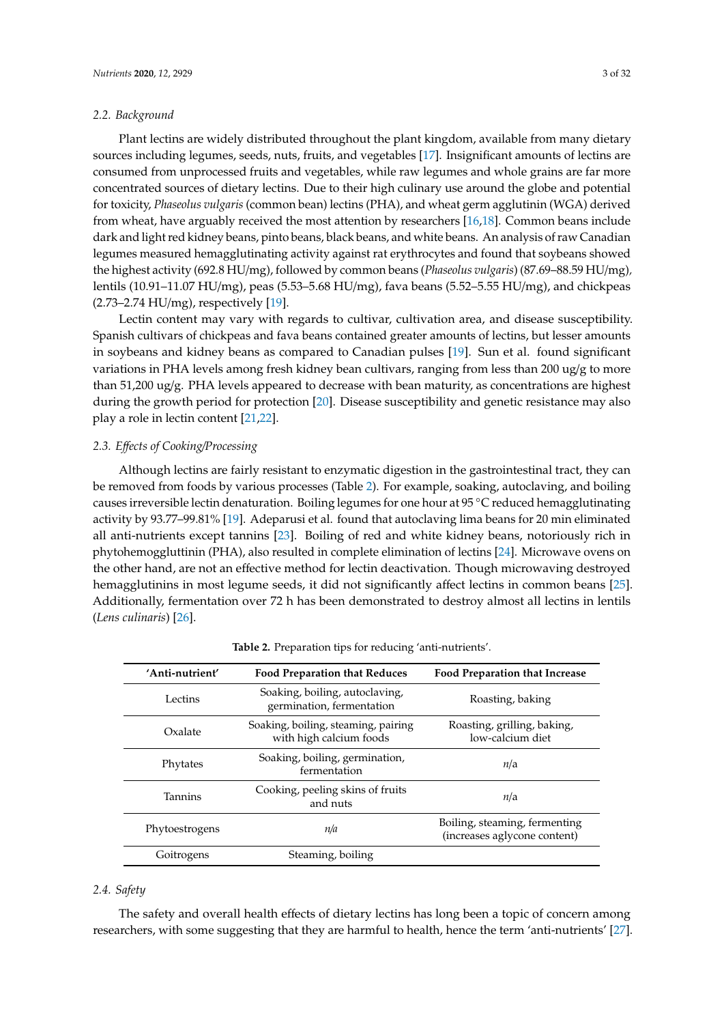# *2.2. Background*

Plant lectins are widely distributed throughout the plant kingdom, available from many dietary sources including legumes, seeds, nuts, fruits, and vegetables [\[17\]](#page-19-7). Insignificant amounts of lectins are consumed from unprocessed fruits and vegetables, while raw legumes and whole grains are far more concentrated sources of dietary lectins. Due to their high culinary use around the globe and potential for toxicity, *Phaseolus vulgaris* (common bean) lectins (PHA), and wheat germ agglutinin (WGA) derived from wheat, have arguably received the most attention by researchers [\[16,](#page-19-6)[18\]](#page-19-8). Common beans include dark and light red kidney beans, pinto beans, black beans, and white beans. An analysis of raw Canadian legumes measured hemagglutinating activity against rat erythrocytes and found that soybeans showed the highest activity (692.8 HU/mg), followed by common beans (*Phaseolus vulgaris*) (87.69–88.59 HU/mg)*,* lentils (10.91–11.07 HU/mg), peas (5.53–5.68 HU/mg), fava beans (5.52–5.55 HU/mg), and chickpeas (2.73–2.74 HU/mg), respectively [\[19\]](#page-19-9).

Lectin content may vary with regards to cultivar, cultivation area, and disease susceptibility. Spanish cultivars of chickpeas and fava beans contained greater amounts of lectins, but lesser amounts in soybeans and kidney beans as compared to Canadian pulses [\[19\]](#page-19-9). Sun et al. found significant variations in PHA levels among fresh kidney bean cultivars, ranging from less than 200 ug/g to more than 51,200 ug/g. PHA levels appeared to decrease with bean maturity, as concentrations are highest during the growth period for protection [\[20\]](#page-19-10). Disease susceptibility and genetic resistance may also play a role in lectin content [\[21,](#page-19-11)[22\]](#page-19-12).

# *2.3. E*ff*ects of Cooking*/*Processing*

Although lectins are fairly resistant to enzymatic digestion in the gastrointestinal tract, they can be removed from foods by various processes (Table [2\)](#page-2-0). For example, soaking, autoclaving, and boiling causes irreversible lectin denaturation. Boiling legumes for one hour at 95 ◦C reduced hemagglutinating activity by 93.77–99.81% [\[19\]](#page-19-9). Adeparusi et al. found that autoclaving lima beans for 20 min eliminated all anti-nutrients except tannins [\[23\]](#page-19-13). Boiling of red and white kidney beans, notoriously rich in phytohemoggluttinin (PHA), also resulted in complete elimination of lectins [\[24\]](#page-19-14). Microwave ovens on the other hand, are not an effective method for lectin deactivation. Though microwaving destroyed hemagglutinins in most legume seeds, it did not significantly affect lectins in common beans [\[25\]](#page-19-15). Additionally, fermentation over 72 h has been demonstrated to destroy almost all lectins in lentils (*Lens culinaris*) [\[26\]](#page-19-16).

<span id="page-2-0"></span>

| 'Anti-nutrient' | <b>Food Preparation that Reduces</b>                           | <b>Food Preparation that Increase</b>                         |
|-----------------|----------------------------------------------------------------|---------------------------------------------------------------|
| Lectins         | Soaking, boiling, autoclaving,<br>germination, fermentation    | Roasting, baking                                              |
| Oxalate         | Soaking, boiling, steaming, pairing<br>with high calcium foods | Roasting, grilling, baking,<br>low-calcium diet               |
| Phytates        | Soaking, boiling, germination,<br>fermentation                 | n/a                                                           |
| <b>Tannins</b>  | Cooking, peeling skins of fruits<br>and nuts                   | n/a                                                           |
| Phytoestrogens  | n/a                                                            | Boiling, steaming, fermenting<br>(increases aglycone content) |
| Goitrogens      | Steaming, boiling                                              |                                                               |

#### **Table 2.** Preparation tips for reducing 'anti-nutrients'.

# *2.4. Safety*

The safety and overall health effects of dietary lectins has long been a topic of concern among researchers, with some suggesting that they are harmful to health, hence the term 'anti-nutrients' [\[27\]](#page-19-17).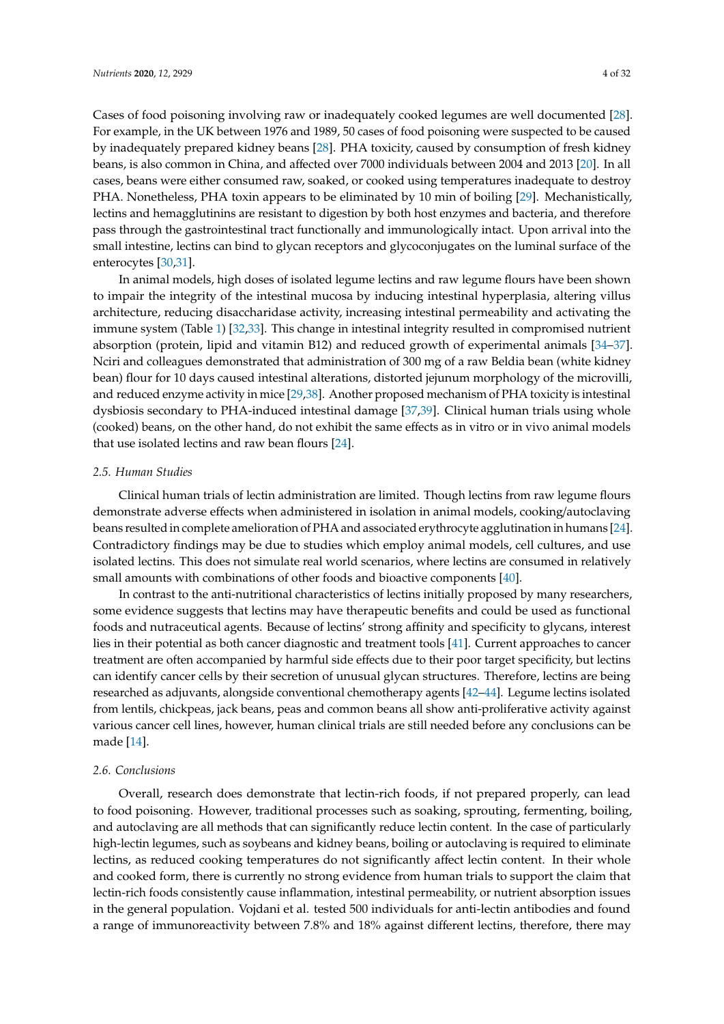Cases of food poisoning involving raw or inadequately cooked legumes are well documented [\[28\]](#page-19-18). For example, in the UK between 1976 and 1989, 50 cases of food poisoning were suspected to be caused by inadequately prepared kidney beans [\[28\]](#page-19-18). PHA toxicity, caused by consumption of fresh kidney beans, is also common in China, and affected over 7000 individuals between 2004 and 2013 [\[20\]](#page-19-10). In all cases, beans were either consumed raw, soaked, or cooked using temperatures inadequate to destroy PHA. Nonetheless, PHA toxin appears to be eliminated by 10 min of boiling [\[29\]](#page-19-19). Mechanistically, lectins and hemagglutinins are resistant to digestion by both host enzymes and bacteria, and therefore pass through the gastrointestinal tract functionally and immunologically intact. Upon arrival into the small intestine, lectins can bind to glycan receptors and glycoconjugates on the luminal surface of the enterocytes [\[30](#page-19-20)[,31\]](#page-19-21).

In animal models, high doses of isolated legume lectins and raw legume flours have been shown to impair the integrity of the intestinal mucosa by inducing intestinal hyperplasia, altering villus architecture, reducing disaccharidase activity, increasing intestinal permeability and activating the immune system (Table [1\)](#page-1-0) [\[32,](#page-20-0)[33\]](#page-20-1). This change in intestinal integrity resulted in compromised nutrient absorption (protein, lipid and vitamin B12) and reduced growth of experimental animals [\[34–](#page-20-2)[37\]](#page-20-3). Nciri and colleagues demonstrated that administration of 300 mg of a raw Beldia bean (white kidney bean) flour for 10 days caused intestinal alterations, distorted jejunum morphology of the microvilli, and reduced enzyme activity in mice [\[29,](#page-19-19)[38\]](#page-20-4). Another proposed mechanism of PHA toxicity is intestinal dysbiosis secondary to PHA-induced intestinal damage [\[37](#page-20-3)[,39\]](#page-20-5). Clinical human trials using whole (cooked) beans, on the other hand, do not exhibit the same effects as in vitro or in vivo animal models that use isolated lectins and raw bean flours [\[24\]](#page-19-14).

# *2.5. Human Studies*

Clinical human trials of lectin administration are limited. Though lectins from raw legume flours demonstrate adverse effects when administered in isolation in animal models, cooking/autoclaving beans resulted in complete amelioration of PHA and associated erythrocyte agglutination in humans [\[24\]](#page-19-14). Contradictory findings may be due to studies which employ animal models, cell cultures, and use isolated lectins. This does not simulate real world scenarios, where lectins are consumed in relatively small amounts with combinations of other foods and bioactive components [\[40\]](#page-20-6).

In contrast to the anti-nutritional characteristics of lectins initially proposed by many researchers, some evidence suggests that lectins may have therapeutic benefits and could be used as functional foods and nutraceutical agents. Because of lectins' strong affinity and specificity to glycans, interest lies in their potential as both cancer diagnostic and treatment tools [\[41\]](#page-20-7). Current approaches to cancer treatment are often accompanied by harmful side effects due to their poor target specificity, but lectins can identify cancer cells by their secretion of unusual glycan structures. Therefore, lectins are being researched as adjuvants, alongside conventional chemotherapy agents [\[42](#page-20-8)[–44\]](#page-20-9). Legume lectins isolated from lentils, chickpeas, jack beans, peas and common beans all show anti-proliferative activity against various cancer cell lines, however, human clinical trials are still needed before any conclusions can be made [\[14\]](#page-19-4).

#### *2.6. Conclusions*

Overall, research does demonstrate that lectin-rich foods, if not prepared properly, can lead to food poisoning. However, traditional processes such as soaking, sprouting, fermenting, boiling, and autoclaving are all methods that can significantly reduce lectin content. In the case of particularly high-lectin legumes, such as soybeans and kidney beans, boiling or autoclaving is required to eliminate lectins, as reduced cooking temperatures do not significantly affect lectin content. In their whole and cooked form, there is currently no strong evidence from human trials to support the claim that lectin-rich foods consistently cause inflammation, intestinal permeability, or nutrient absorption issues in the general population. Vojdani et al. tested 500 individuals for anti-lectin antibodies and found a range of immunoreactivity between 7.8% and 18% against different lectins, therefore, there may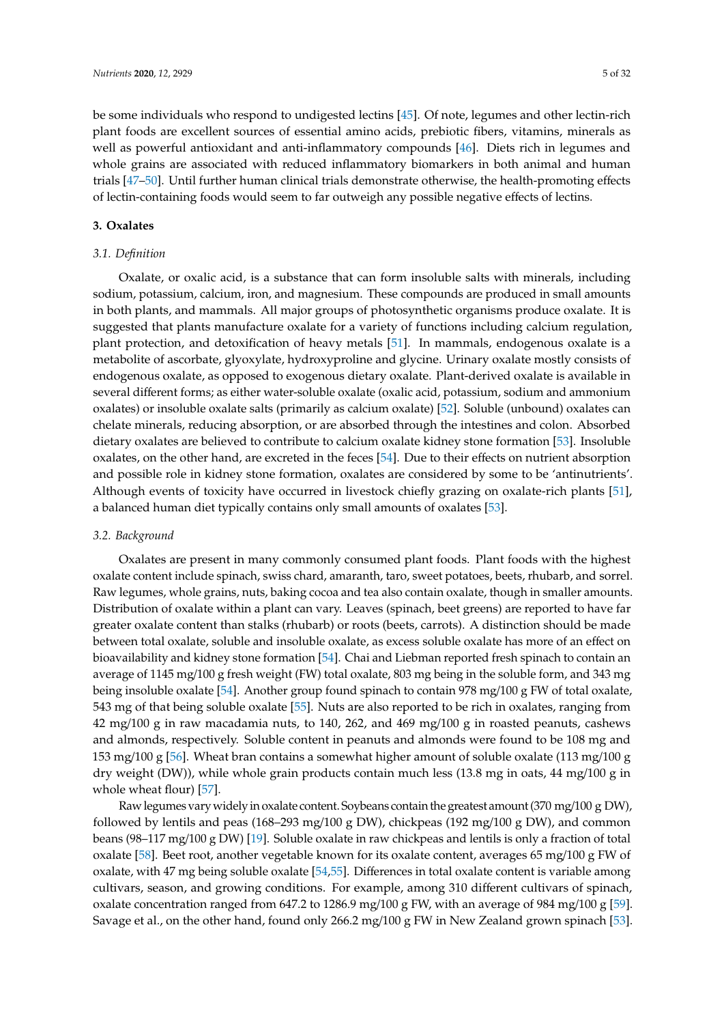be some individuals who respond to undigested lectins [\[45\]](#page-20-10). Of note, legumes and other lectin-rich plant foods are excellent sources of essential amino acids, prebiotic fibers, vitamins, minerals as well as powerful antioxidant and anti-inflammatory compounds [\[46\]](#page-20-11). Diets rich in legumes and whole grains are associated with reduced inflammatory biomarkers in both animal and human trials [\[47](#page-20-12)[–50\]](#page-20-13). Until further human clinical trials demonstrate otherwise, the health-promoting effects of lectin-containing foods would seem to far outweigh any possible negative effects of lectins.

# **3. Oxalates**

#### *3.1. Definition*

Oxalate, or oxalic acid, is a substance that can form insoluble salts with minerals, including sodium, potassium, calcium, iron, and magnesium. These compounds are produced in small amounts in both plants, and mammals. All major groups of photosynthetic organisms produce oxalate. It is suggested that plants manufacture oxalate for a variety of functions including calcium regulation, plant protection, and detoxification of heavy metals [\[51\]](#page-21-0). In mammals, endogenous oxalate is a metabolite of ascorbate, glyoxylate, hydroxyproline and glycine. Urinary oxalate mostly consists of endogenous oxalate, as opposed to exogenous dietary oxalate. Plant-derived oxalate is available in several different forms; as either water-soluble oxalate (oxalic acid, potassium, sodium and ammonium oxalates) or insoluble oxalate salts (primarily as calcium oxalate) [\[52\]](#page-21-1). Soluble (unbound) oxalates can chelate minerals, reducing absorption, or are absorbed through the intestines and colon. Absorbed dietary oxalates are believed to contribute to calcium oxalate kidney stone formation [\[53\]](#page-21-2). Insoluble oxalates, on the other hand, are excreted in the feces [\[54\]](#page-21-3). Due to their effects on nutrient absorption and possible role in kidney stone formation, oxalates are considered by some to be 'antinutrients'. Although events of toxicity have occurred in livestock chiefly grazing on oxalate-rich plants [\[51\]](#page-21-0), a balanced human diet typically contains only small amounts of oxalates [\[53\]](#page-21-2).

#### *3.2. Background*

Oxalates are present in many commonly consumed plant foods. Plant foods with the highest oxalate content include spinach, swiss chard, amaranth, taro, sweet potatoes, beets, rhubarb, and sorrel. Raw legumes, whole grains, nuts, baking cocoa and tea also contain oxalate, though in smaller amounts. Distribution of oxalate within a plant can vary. Leaves (spinach, beet greens) are reported to have far greater oxalate content than stalks (rhubarb) or roots (beets, carrots). A distinction should be made between total oxalate, soluble and insoluble oxalate, as excess soluble oxalate has more of an effect on bioavailability and kidney stone formation [\[54\]](#page-21-3). Chai and Liebman reported fresh spinach to contain an average of 1145 mg/100 g fresh weight (FW) total oxalate, 803 mg being in the soluble form, and 343 mg being insoluble oxalate [\[54\]](#page-21-3). Another group found spinach to contain 978 mg/100 g FW of total oxalate, 543 mg of that being soluble oxalate [\[55\]](#page-21-4). Nuts are also reported to be rich in oxalates, ranging from 42 mg/100 g in raw macadamia nuts, to 140, 262, and 469 mg/100 g in roasted peanuts, cashews and almonds, respectively. Soluble content in peanuts and almonds were found to be 108 mg and 153 mg/100 g [\[56\]](#page-21-5). Wheat bran contains a somewhat higher amount of soluble oxalate (113 mg/100 g dry weight (DW)), while whole grain products contain much less (13.8 mg in oats, 44 mg/100 g in whole wheat flour) [\[57\]](#page-21-6).

Raw legumes vary widely in oxalate content. Soybeans contain the greatest amount (370 mg/100 g DW), followed by lentils and peas (168–293 mg/100 g DW), chickpeas (192 mg/100 g DW), and common beans (98–117 mg/100 g DW) [\[19\]](#page-19-9). Soluble oxalate in raw chickpeas and lentils is only a fraction of total oxalate [\[58\]](#page-21-7). Beet root, another vegetable known for its oxalate content, averages 65 mg/100 g FW of oxalate, with 47 mg being soluble oxalate [\[54](#page-21-3)[,55\]](#page-21-4). Differences in total oxalate content is variable among cultivars, season, and growing conditions. For example, among 310 different cultivars of spinach, oxalate concentration ranged from 647.2 to 1286.9 mg/100 g FW, with an average of 984 mg/100 g [\[59\]](#page-21-8). Savage et al., on the other hand, found only 266.2 mg/100 g FW in New Zealand grown spinach [\[53\]](#page-21-2).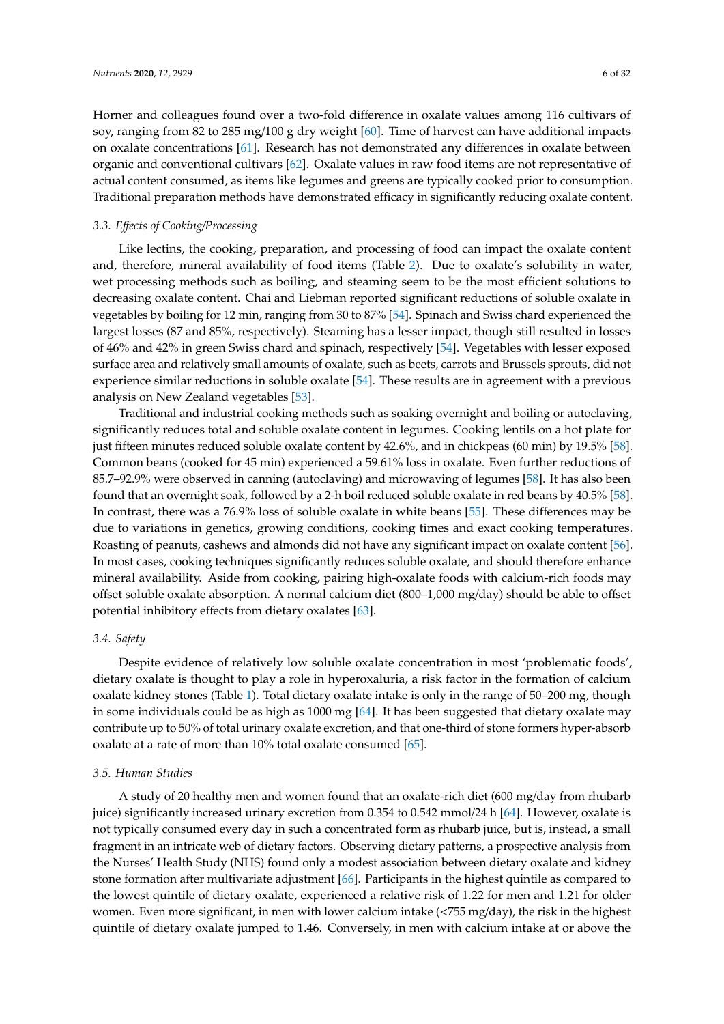Horner and colleagues found over a two-fold difference in oxalate values among 116 cultivars of soy, ranging from 82 to 285 mg/100 g dry weight [\[60\]](#page-21-9). Time of harvest can have additional impacts on oxalate concentrations [\[61\]](#page-21-10). Research has not demonstrated any differences in oxalate between organic and conventional cultivars [\[62\]](#page-21-11). Oxalate values in raw food items are not representative of actual content consumed, as items like legumes and greens are typically cooked prior to consumption. Traditional preparation methods have demonstrated efficacy in significantly reducing oxalate content.

# *3.3. E*ff*ects of Cooking*/*Processing*

Like lectins, the cooking, preparation, and processing of food can impact the oxalate content and, therefore, mineral availability of food items (Table [2\)](#page-2-0). Due to oxalate's solubility in water, wet processing methods such as boiling, and steaming seem to be the most efficient solutions to decreasing oxalate content. Chai and Liebman reported significant reductions of soluble oxalate in vegetables by boiling for 12 min, ranging from 30 to 87% [\[54\]](#page-21-3). Spinach and Swiss chard experienced the largest losses (87 and 85%, respectively). Steaming has a lesser impact, though still resulted in losses of 46% and 42% in green Swiss chard and spinach, respectively [\[54\]](#page-21-3). Vegetables with lesser exposed surface area and relatively small amounts of oxalate, such as beets, carrots and Brussels sprouts, did not experience similar reductions in soluble oxalate [\[54\]](#page-21-3). These results are in agreement with a previous analysis on New Zealand vegetables [\[53\]](#page-21-2).

Traditional and industrial cooking methods such as soaking overnight and boiling or autoclaving, significantly reduces total and soluble oxalate content in legumes. Cooking lentils on a hot plate for just fifteen minutes reduced soluble oxalate content by 42.6%, and in chickpeas (60 min) by 19.5% [\[58\]](#page-21-7). Common beans (cooked for 45 min) experienced a 59.61% loss in oxalate. Even further reductions of 85.7–92.9% were observed in canning (autoclaving) and microwaving of legumes [\[58\]](#page-21-7). It has also been found that an overnight soak, followed by a 2-h boil reduced soluble oxalate in red beans by 40.5% [\[58\]](#page-21-7). In contrast, there was a 76.9% loss of soluble oxalate in white beans [\[55\]](#page-21-4). These differences may be due to variations in genetics, growing conditions, cooking times and exact cooking temperatures. Roasting of peanuts, cashews and almonds did not have any significant impact on oxalate content [\[56\]](#page-21-5). In most cases, cooking techniques significantly reduces soluble oxalate, and should therefore enhance mineral availability. Aside from cooking, pairing high-oxalate foods with calcium-rich foods may offset soluble oxalate absorption. A normal calcium diet (800–1,000 mg/day) should be able to offset potential inhibitory effects from dietary oxalates [\[63\]](#page-21-12).

## *3.4. Safety*

Despite evidence of relatively low soluble oxalate concentration in most 'problematic foods', dietary oxalate is thought to play a role in hyperoxaluria, a risk factor in the formation of calcium oxalate kidney stones (Table [1\)](#page-1-0). Total dietary oxalate intake is only in the range of 50–200 mg, though in some individuals could be as high as 1000 mg [\[64\]](#page-21-13). It has been suggested that dietary oxalate may contribute up to 50% of total urinary oxalate excretion, and that one-third of stone formers hyper-absorb oxalate at a rate of more than 10% total oxalate consumed [\[65\]](#page-21-14).

## *3.5. Human Studies*

A study of 20 healthy men and women found that an oxalate-rich diet (600 mg/day from rhubarb juice) significantly increased urinary excretion from 0.354 to 0.542 mmol/24 h [\[64\]](#page-21-13). However, oxalate is not typically consumed every day in such a concentrated form as rhubarb juice, but is, instead, a small fragment in an intricate web of dietary factors. Observing dietary patterns, a prospective analysis from the Nurses' Health Study (NHS) found only a modest association between dietary oxalate and kidney stone formation after multivariate adjustment [\[66\]](#page-21-15). Participants in the highest quintile as compared to the lowest quintile of dietary oxalate, experienced a relative risk of 1.22 for men and 1.21 for older women. Even more significant, in men with lower calcium intake (<755 mg/day), the risk in the highest quintile of dietary oxalate jumped to 1.46. Conversely, in men with calcium intake at or above the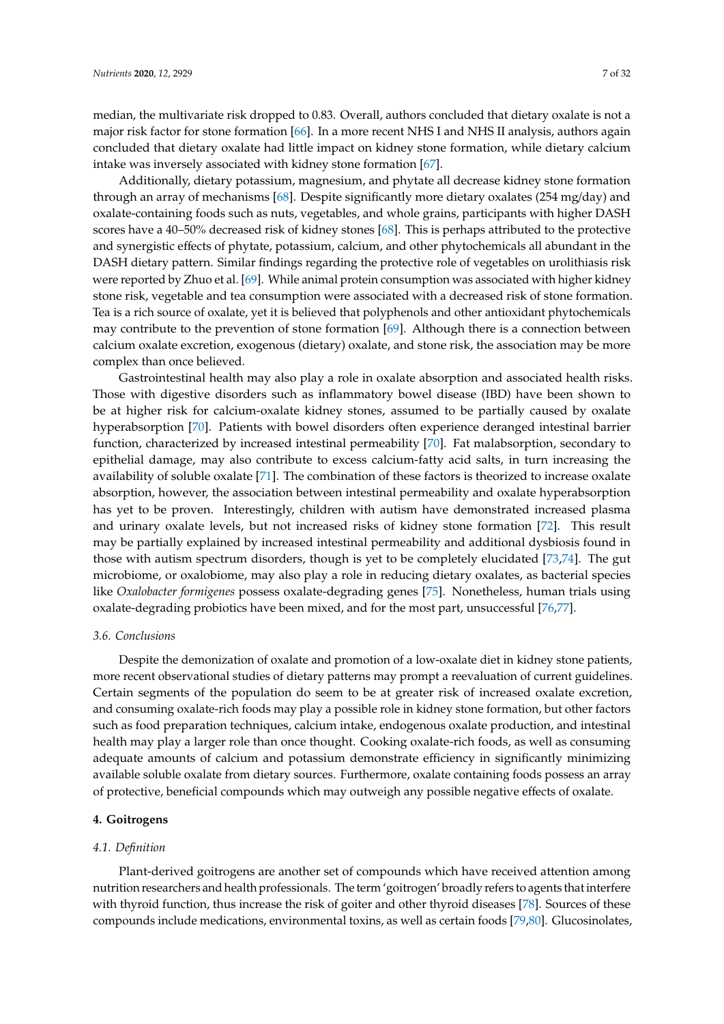median, the multivariate risk dropped to 0.83. Overall, authors concluded that dietary oxalate is not a major risk factor for stone formation [\[66\]](#page-21-15). In a more recent NHS I and NHS II analysis, authors again concluded that dietary oxalate had little impact on kidney stone formation, while dietary calcium intake was inversely associated with kidney stone formation [\[67\]](#page-21-16).

Additionally, dietary potassium, magnesium, and phytate all decrease kidney stone formation through an array of mechanisms [\[68\]](#page-21-17). Despite significantly more dietary oxalates (254 mg/day) and oxalate-containing foods such as nuts, vegetables, and whole grains, participants with higher DASH scores have a 40–50% decreased risk of kidney stones [\[68\]](#page-21-17). This is perhaps attributed to the protective and synergistic effects of phytate, potassium, calcium, and other phytochemicals all abundant in the DASH dietary pattern. Similar findings regarding the protective role of vegetables on urolithiasis risk were reported by Zhuo et al. [\[69\]](#page-21-18). While animal protein consumption was associated with higher kidney stone risk, vegetable and tea consumption were associated with a decreased risk of stone formation. Tea is a rich source of oxalate, yet it is believed that polyphenols and other antioxidant phytochemicals may contribute to the prevention of stone formation [\[69\]](#page-21-18). Although there is a connection between calcium oxalate excretion, exogenous (dietary) oxalate, and stone risk, the association may be more complex than once believed.

Gastrointestinal health may also play a role in oxalate absorption and associated health risks. Those with digestive disorders such as inflammatory bowel disease (IBD) have been shown to be at higher risk for calcium-oxalate kidney stones, assumed to be partially caused by oxalate hyperabsorption [\[70\]](#page-21-19). Patients with bowel disorders often experience deranged intestinal barrier function, characterized by increased intestinal permeability [\[70\]](#page-21-19). Fat malabsorption, secondary to epithelial damage, may also contribute to excess calcium-fatty acid salts, in turn increasing the availability of soluble oxalate [\[71\]](#page-21-20). The combination of these factors is theorized to increase oxalate absorption, however, the association between intestinal permeability and oxalate hyperabsorption has yet to be proven. Interestingly, children with autism have demonstrated increased plasma and urinary oxalate levels, but not increased risks of kidney stone formation [\[72\]](#page-21-21). This result may be partially explained by increased intestinal permeability and additional dysbiosis found in those with autism spectrum disorders, though is yet to be completely elucidated [\[73,](#page-21-22)[74\]](#page-21-23). The gut microbiome, or oxalobiome, may also play a role in reducing dietary oxalates, as bacterial species like *Oxalobacter formigenes* possess oxalate-degrading genes [\[75\]](#page-22-0). Nonetheless, human trials using oxalate-degrading probiotics have been mixed, and for the most part, unsuccessful [\[76,](#page-22-1)[77\]](#page-22-2).

#### *3.6. Conclusions*

Despite the demonization of oxalate and promotion of a low-oxalate diet in kidney stone patients, more recent observational studies of dietary patterns may prompt a reevaluation of current guidelines. Certain segments of the population do seem to be at greater risk of increased oxalate excretion, and consuming oxalate-rich foods may play a possible role in kidney stone formation, but other factors such as food preparation techniques, calcium intake, endogenous oxalate production, and intestinal health may play a larger role than once thought. Cooking oxalate-rich foods, as well as consuming adequate amounts of calcium and potassium demonstrate efficiency in significantly minimizing available soluble oxalate from dietary sources. Furthermore, oxalate containing foods possess an array of protective, beneficial compounds which may outweigh any possible negative effects of oxalate.

# **4. Goitrogens**

# *4.1. Definition*

Plant-derived goitrogens are another set of compounds which have received attention among nutrition researchers and health professionals. The term 'goitrogen' broadly refers to agents that interfere with thyroid function, thus increase the risk of goiter and other thyroid diseases [\[78\]](#page-22-3). Sources of these compounds include medications, environmental toxins, as well as certain foods [\[79](#page-22-4)[,80\]](#page-22-5). Glucosinolates,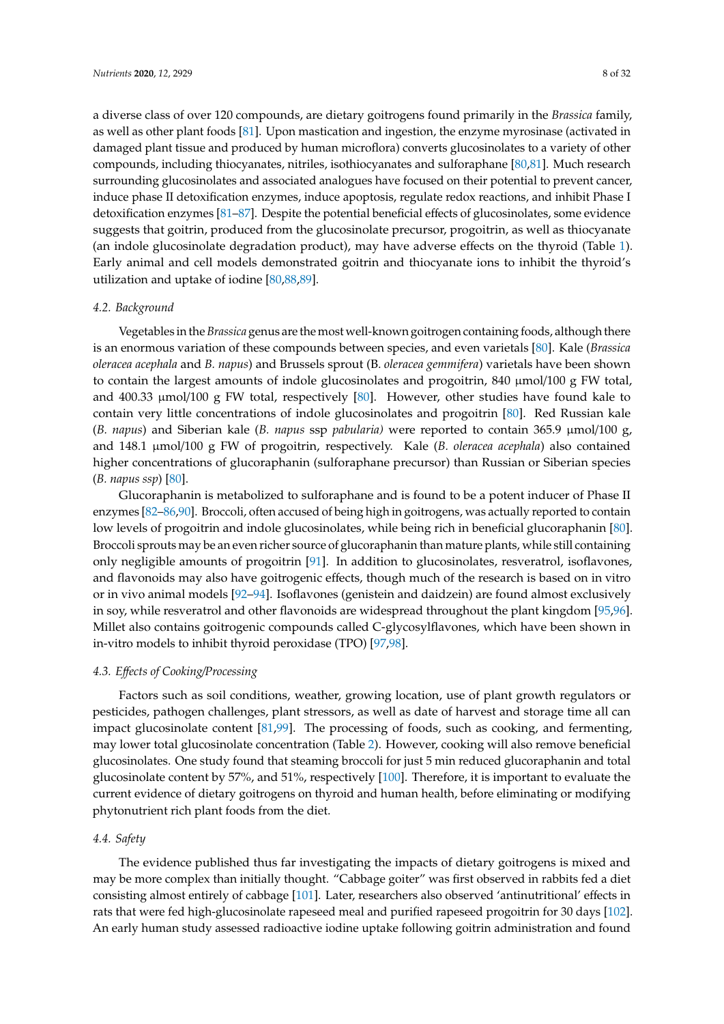a diverse class of over 120 compounds, are dietary goitrogens found primarily in the *Brassica* family, as well as other plant foods [\[81\]](#page-22-6). Upon mastication and ingestion, the enzyme myrosinase (activated in damaged plant tissue and produced by human microflora) converts glucosinolates to a variety of other compounds, including thiocyanates, nitriles, isothiocyanates and sulforaphane [\[80](#page-22-5)[,81\]](#page-22-6). Much research surrounding glucosinolates and associated analogues have focused on their potential to prevent cancer, induce phase II detoxification enzymes, induce apoptosis, regulate redox reactions, and inhibit Phase I detoxification enzymes [\[81](#page-22-6)[–87\]](#page-22-7). Despite the potential beneficial effects of glucosinolates, some evidence suggests that goitrin, produced from the glucosinolate precursor, progoitrin, as well as thiocyanate (an indole glucosinolate degradation product), may have adverse effects on the thyroid (Table [1\)](#page-1-0). Early animal and cell models demonstrated goitrin and thiocyanate ions to inhibit the thyroid's utilization and uptake of iodine [\[80,](#page-22-5)[88,](#page-22-8)[89\]](#page-22-9).

# *4.2. Background*

Vegetables in the *Brassica* genus are the most well-known goitrogen containing foods, although there is an enormous variation of these compounds between species, and even varietals [\[80\]](#page-22-5). Kale (*Brassica oleracea acephala* and *B. napus*) and Brussels sprout (B. *oleracea gemmifera*) varietals have been shown to contain the largest amounts of indole glucosinolates and progoitrin, 840 µmol/100 g FW total, and 400.33 µmol/100 g FW total, respectively [\[80\]](#page-22-5). However, other studies have found kale to contain very little concentrations of indole glucosinolates and progoitrin [\[80\]](#page-22-5). Red Russian kale (*B. napus*) and Siberian kale (*B. napus* ssp *pabularia)* were reported to contain 365.9 µmol/100 g, and 148.1 µmol/100 g FW of progoitrin, respectively. Kale (*B. oleracea acephala*) also contained higher concentrations of glucoraphanin (sulforaphane precursor) than Russian or Siberian species (*B. napus ssp*) [\[80\]](#page-22-5).

Glucoraphanin is metabolized to sulforaphane and is found to be a potent inducer of Phase II enzymes [\[82–](#page-22-10)[86](#page-22-11)[,90\]](#page-22-12). Broccoli, often accused of being high in goitrogens, was actually reported to contain low levels of progoitrin and indole glucosinolates, while being rich in beneficial glucoraphanin [\[80\]](#page-22-5). Broccoli sprouts may be an even richer source of glucoraphanin than mature plants, while still containing only negligible amounts of progoitrin [\[91\]](#page-22-13). In addition to glucosinolates, resveratrol, isoflavones, and flavonoids may also have goitrogenic effects, though much of the research is based on in vitro or in vivo animal models [\[92](#page-22-14)[–94\]](#page-22-15). Isoflavones (genistein and daidzein) are found almost exclusively in soy, while resveratrol and other flavonoids are widespread throughout the plant kingdom [\[95,](#page-22-16)[96\]](#page-22-17). Millet also contains goitrogenic compounds called C-glycosylflavones, which have been shown in in-vitro models to inhibit thyroid peroxidase (TPO) [\[97,](#page-22-18)[98\]](#page-23-0).

# *4.3. E*ff*ects of Cooking*/*Processing*

Factors such as soil conditions, weather, growing location, use of plant growth regulators or pesticides, pathogen challenges, plant stressors, as well as date of harvest and storage time all can impact glucosinolate content [\[81](#page-22-6)[,99\]](#page-23-1). The processing of foods, such as cooking, and fermenting, may lower total glucosinolate concentration (Table [2\)](#page-2-0). However, cooking will also remove beneficial glucosinolates. One study found that steaming broccoli for just 5 min reduced glucoraphanin and total glucosinolate content by 57%, and 51%, respectively [\[100\]](#page-23-2). Therefore, it is important to evaluate the current evidence of dietary goitrogens on thyroid and human health, before eliminating or modifying phytonutrient rich plant foods from the diet.

#### *4.4. Safety*

The evidence published thus far investigating the impacts of dietary goitrogens is mixed and may be more complex than initially thought. "Cabbage goiter" was first observed in rabbits fed a diet consisting almost entirely of cabbage [\[101\]](#page-23-3). Later, researchers also observed 'antinutritional' effects in rats that were fed high-glucosinolate rapeseed meal and purified rapeseed progoitrin for 30 days [\[102\]](#page-23-4). An early human study assessed radioactive iodine uptake following goitrin administration and found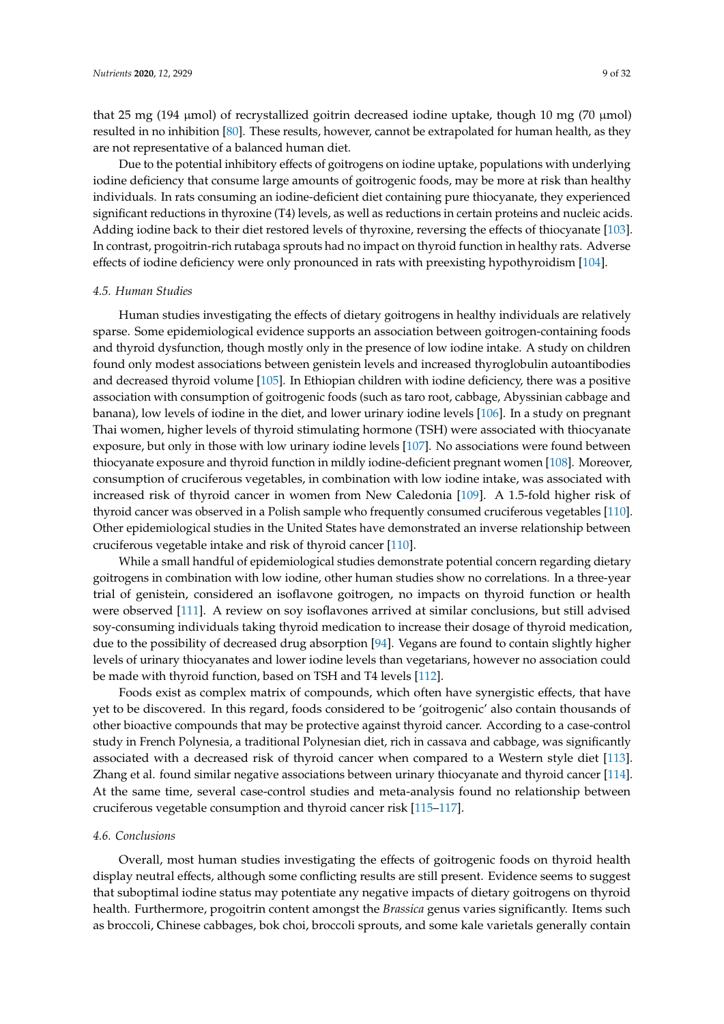that 25 mg (194 µmol) of recrystallized goitrin decreased iodine uptake, though 10 mg (70 µmol) resulted in no inhibition [\[80\]](#page-22-5). These results, however, cannot be extrapolated for human health, as they are not representative of a balanced human diet.

Due to the potential inhibitory effects of goitrogens on iodine uptake, populations with underlying iodine deficiency that consume large amounts of goitrogenic foods, may be more at risk than healthy individuals. In rats consuming an iodine-deficient diet containing pure thiocyanate, they experienced significant reductions in thyroxine (T4) levels, as well as reductions in certain proteins and nucleic acids. Adding iodine back to their diet restored levels of thyroxine, reversing the effects of thiocyanate [\[103\]](#page-23-5). In contrast, progoitrin-rich rutabaga sprouts had no impact on thyroid function in healthy rats. Adverse effects of iodine deficiency were only pronounced in rats with preexisting hypothyroidism [\[104\]](#page-23-6).

#### *4.5. Human Studies*

Human studies investigating the effects of dietary goitrogens in healthy individuals are relatively sparse. Some epidemiological evidence supports an association between goitrogen-containing foods and thyroid dysfunction, though mostly only in the presence of low iodine intake. A study on children found only modest associations between genistein levels and increased thyroglobulin autoantibodies and decreased thyroid volume [\[105\]](#page-23-7). In Ethiopian children with iodine deficiency, there was a positive association with consumption of goitrogenic foods (such as taro root, cabbage, Abyssinian cabbage and banana), low levels of iodine in the diet, and lower urinary iodine levels [\[106\]](#page-23-8). In a study on pregnant Thai women, higher levels of thyroid stimulating hormone (TSH) were associated with thiocyanate exposure, but only in those with low urinary iodine levels [\[107\]](#page-23-9). No associations were found between thiocyanate exposure and thyroid function in mildly iodine-deficient pregnant women [\[108\]](#page-23-10). Moreover, consumption of cruciferous vegetables, in combination with low iodine intake, was associated with increased risk of thyroid cancer in women from New Caledonia [\[109\]](#page-23-11). A 1.5-fold higher risk of thyroid cancer was observed in a Polish sample who frequently consumed cruciferous vegetables [\[110\]](#page-23-12). Other epidemiological studies in the United States have demonstrated an inverse relationship between cruciferous vegetable intake and risk of thyroid cancer [\[110\]](#page-23-12).

While a small handful of epidemiological studies demonstrate potential concern regarding dietary goitrogens in combination with low iodine, other human studies show no correlations. In a three-year trial of genistein, considered an isoflavone goitrogen, no impacts on thyroid function or health were observed [\[111\]](#page-23-13). A review on soy isoflavones arrived at similar conclusions, but still advised soy-consuming individuals taking thyroid medication to increase their dosage of thyroid medication, due to the possibility of decreased drug absorption [\[94\]](#page-22-15). Vegans are found to contain slightly higher levels of urinary thiocyanates and lower iodine levels than vegetarians, however no association could be made with thyroid function, based on TSH and T4 levels [\[112\]](#page-23-14).

Foods exist as complex matrix of compounds, which often have synergistic effects, that have yet to be discovered. In this regard, foods considered to be 'goitrogenic' also contain thousands of other bioactive compounds that may be protective against thyroid cancer. According to a case-control study in French Polynesia, a traditional Polynesian diet, rich in cassava and cabbage, was significantly associated with a decreased risk of thyroid cancer when compared to a Western style diet [\[113\]](#page-23-15). Zhang et al. found similar negative associations between urinary thiocyanate and thyroid cancer [\[114\]](#page-23-16). At the same time, several case-control studies and meta-analysis found no relationship between cruciferous vegetable consumption and thyroid cancer risk [\[115](#page-23-17)[–117\]](#page-23-18).

#### *4.6. Conclusions*

Overall, most human studies investigating the effects of goitrogenic foods on thyroid health display neutral effects, although some conflicting results are still present. Evidence seems to suggest that suboptimal iodine status may potentiate any negative impacts of dietary goitrogens on thyroid health. Furthermore, progoitrin content amongst the *Brassica* genus varies significantly. Items such as broccoli, Chinese cabbages, bok choi, broccoli sprouts, and some kale varietals generally contain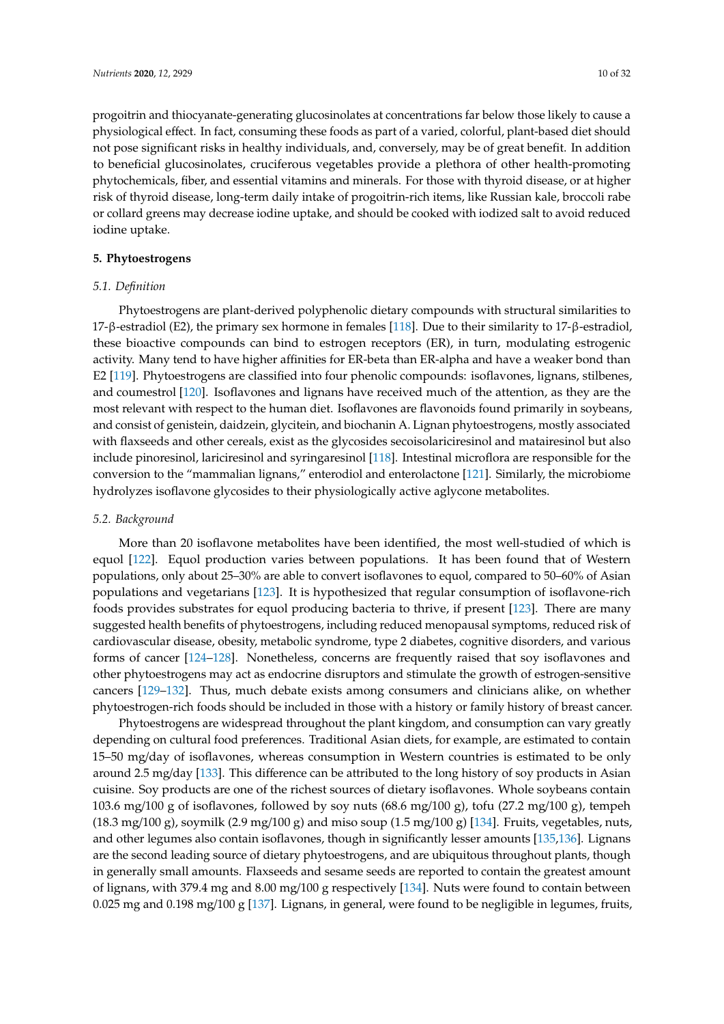progoitrin and thiocyanate-generating glucosinolates at concentrations far below those likely to cause a physiological effect. In fact, consuming these foods as part of a varied, colorful, plant-based diet should not pose significant risks in healthy individuals, and, conversely, may be of great benefit. In addition to beneficial glucosinolates, cruciferous vegetables provide a plethora of other health-promoting phytochemicals, fiber, and essential vitamins and minerals. For those with thyroid disease, or at higher risk of thyroid disease, long-term daily intake of progoitrin-rich items, like Russian kale, broccoli rabe or collard greens may decrease iodine uptake, and should be cooked with iodized salt to avoid reduced iodine uptake.

# **5. Phytoestrogens**

#### *5.1. Definition*

Phytoestrogens are plant-derived polyphenolic dietary compounds with structural similarities to 17-β-estradiol (E2), the primary sex hormone in females [\[118\]](#page-24-0). Due to their similarity to 17-β-estradiol, these bioactive compounds can bind to estrogen receptors (ER), in turn, modulating estrogenic activity. Many tend to have higher affinities for ER-beta than ER-alpha and have a weaker bond than E2 [\[119\]](#page-24-1). Phytoestrogens are classified into four phenolic compounds: isoflavones, lignans, stilbenes, and coumestrol [\[120\]](#page-24-2). Isoflavones and lignans have received much of the attention, as they are the most relevant with respect to the human diet. Isoflavones are flavonoids found primarily in soybeans, and consist of genistein, daidzein, glycitein, and biochanin A. Lignan phytoestrogens, mostly associated with flaxseeds and other cereals, exist as the glycosides secoisolariciresinol and matairesinol but also include pinoresinol, lariciresinol and syringaresinol [\[118\]](#page-24-0). Intestinal microflora are responsible for the conversion to the "mammalian lignans," enterodiol and enterolactone [\[121\]](#page-24-3). Similarly, the microbiome hydrolyzes isoflavone glycosides to their physiologically active aglycone metabolites.

## *5.2. Background*

More than 20 isoflavone metabolites have been identified, the most well-studied of which is equol [\[122\]](#page-24-4). Equol production varies between populations. It has been found that of Western populations, only about 25–30% are able to convert isoflavones to equol, compared to 50–60% of Asian populations and vegetarians [\[123\]](#page-24-5). It is hypothesized that regular consumption of isoflavone-rich foods provides substrates for equol producing bacteria to thrive, if present [\[123\]](#page-24-5). There are many suggested health benefits of phytoestrogens, including reduced menopausal symptoms, reduced risk of cardiovascular disease, obesity, metabolic syndrome, type 2 diabetes, cognitive disorders, and various forms of cancer [\[124](#page-24-6)[–128\]](#page-24-7). Nonetheless, concerns are frequently raised that soy isoflavones and other phytoestrogens may act as endocrine disruptors and stimulate the growth of estrogen-sensitive cancers [\[129–](#page-24-8)[132\]](#page-24-9). Thus, much debate exists among consumers and clinicians alike, on whether phytoestrogen-rich foods should be included in those with a history or family history of breast cancer.

Phytoestrogens are widespread throughout the plant kingdom, and consumption can vary greatly depending on cultural food preferences. Traditional Asian diets, for example, are estimated to contain 15–50 mg/day of isoflavones, whereas consumption in Western countries is estimated to be only around 2.5 mg/day [\[133\]](#page-24-10). This difference can be attributed to the long history of soy products in Asian cuisine. Soy products are one of the richest sources of dietary isoflavones. Whole soybeans contain 103.6 mg/100 g of isoflavones, followed by soy nuts (68.6 mg/100 g), tofu (27.2 mg/100 g), tempeh  $(18.3 \text{ mg}/100 \text{ g})$ , soymilk  $(2.9 \text{ mg}/100 \text{ g})$  and miso soup  $(1.5 \text{ mg}/100 \text{ g})$  [\[134\]](#page-24-11). Fruits, vegetables, nuts, and other legumes also contain isoflavones, though in significantly lesser amounts [\[135](#page-24-12)[,136\]](#page-24-13). Lignans are the second leading source of dietary phytoestrogens, and are ubiquitous throughout plants, though in generally small amounts. Flaxseeds and sesame seeds are reported to contain the greatest amount of lignans, with 379.4 mg and 8.00 mg/100 g respectively [\[134\]](#page-24-11). Nuts were found to contain between 0.025 mg and 0.198 mg/100 g [\[137\]](#page-24-14). Lignans, in general, were found to be negligible in legumes, fruits,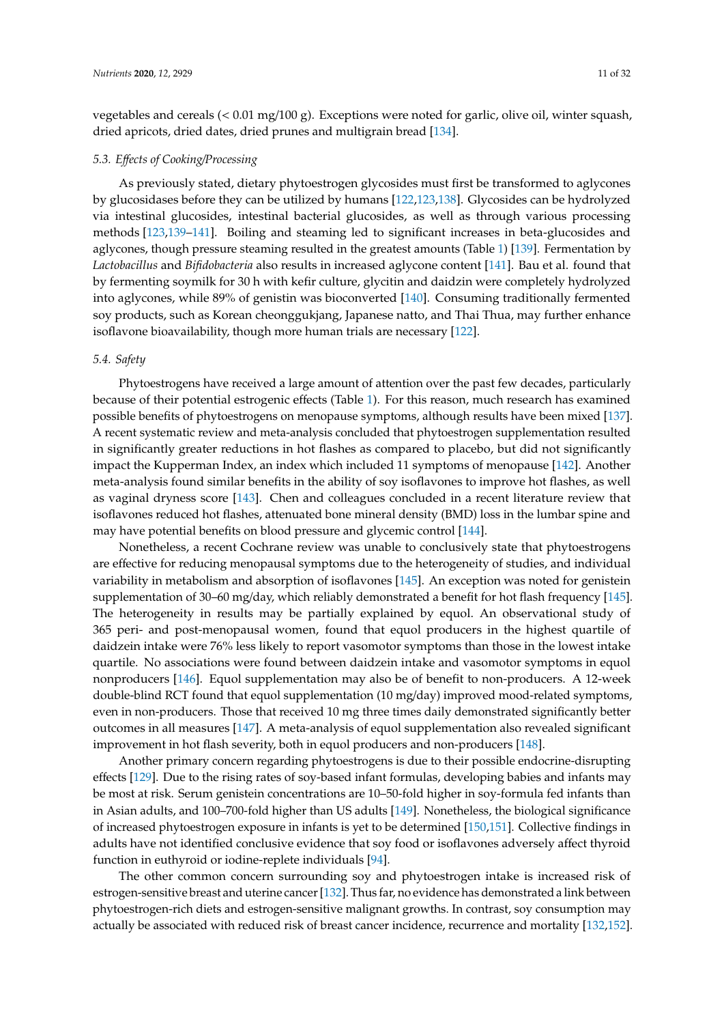vegetables and cereals (< 0.01 mg/100 g). Exceptions were noted for garlic, olive oil, winter squash, dried apricots, dried dates, dried prunes and multigrain bread [\[134\]](#page-24-11).

## *5.3. E*ff*ects of Cooking*/*Processing*

As previously stated, dietary phytoestrogen glycosides must first be transformed to aglycones by glucosidases before they can be utilized by humans [\[122](#page-24-4)[,123](#page-24-5)[,138\]](#page-24-15). Glycosides can be hydrolyzed via intestinal glucosides, intestinal bacterial glucosides, as well as through various processing methods [\[123,](#page-24-5)[139](#page-24-16)[–141\]](#page-25-0). Boiling and steaming led to significant increases in beta-glucosides and aglycones, though pressure steaming resulted in the greatest amounts (Table [1\)](#page-1-0) [\[139\]](#page-24-16). Fermentation by *Lactobacillus* and *Bifidobacteria* also results in increased aglycone content [\[141\]](#page-25-0). Bau et al. found that by fermenting soymilk for 30 h with kefir culture, glycitin and daidzin were completely hydrolyzed into aglycones, while 89% of genistin was bioconverted [\[140\]](#page-24-17). Consuming traditionally fermented soy products, such as Korean cheonggukjang, Japanese natto, and Thai Thua, may further enhance isoflavone bioavailability, though more human trials are necessary [\[122\]](#page-24-4).

#### *5.4. Safety*

Phytoestrogens have received a large amount of attention over the past few decades, particularly because of their potential estrogenic effects (Table [1\)](#page-1-0). For this reason, much research has examined possible benefits of phytoestrogens on menopause symptoms, although results have been mixed [\[137\]](#page-24-14). A recent systematic review and meta-analysis concluded that phytoestrogen supplementation resulted in significantly greater reductions in hot flashes as compared to placebo, but did not significantly impact the Kupperman Index, an index which included 11 symptoms of menopause [\[142\]](#page-25-1). Another meta-analysis found similar benefits in the ability of soy isoflavones to improve hot flashes, as well as vaginal dryness score [\[143\]](#page-25-2). Chen and colleagues concluded in a recent literature review that isoflavones reduced hot flashes, attenuated bone mineral density (BMD) loss in the lumbar spine and may have potential benefits on blood pressure and glycemic control [\[144\]](#page-25-3).

Nonetheless, a recent Cochrane review was unable to conclusively state that phytoestrogens are effective for reducing menopausal symptoms due to the heterogeneity of studies, and individual variability in metabolism and absorption of isoflavones [\[145\]](#page-25-4). An exception was noted for genistein supplementation of 30–60 mg/day, which reliably demonstrated a benefit for hot flash frequency [\[145\]](#page-25-4). The heterogeneity in results may be partially explained by equol. An observational study of 365 peri- and post-menopausal women, found that equol producers in the highest quartile of daidzein intake were 76% less likely to report vasomotor symptoms than those in the lowest intake quartile. No associations were found between daidzein intake and vasomotor symptoms in equol nonproducers [\[146\]](#page-25-5). Equol supplementation may also be of benefit to non-producers. A 12-week double-blind RCT found that equol supplementation (10 mg/day) improved mood-related symptoms, even in non-producers. Those that received 10 mg three times daily demonstrated significantly better outcomes in all measures [\[147\]](#page-25-6). A meta-analysis of equol supplementation also revealed significant improvement in hot flash severity, both in equol producers and non-producers [\[148\]](#page-25-7).

Another primary concern regarding phytoestrogens is due to their possible endocrine-disrupting effects [\[129\]](#page-24-8). Due to the rising rates of soy-based infant formulas, developing babies and infants may be most at risk. Serum genistein concentrations are 10–50-fold higher in soy-formula fed infants than in Asian adults, and 100–700-fold higher than US adults [\[149\]](#page-25-8). Nonetheless, the biological significance of increased phytoestrogen exposure in infants is yet to be determined [\[150](#page-25-9)[,151\]](#page-25-10). Collective findings in adults have not identified conclusive evidence that soy food or isoflavones adversely affect thyroid function in euthyroid or iodine-replete individuals [\[94\]](#page-22-15).

The other common concern surrounding soy and phytoestrogen intake is increased risk of estrogen-sensitive breast and uterine cancer [\[132\]](#page-24-9). Thus far, no evidence has demonstrated a link between phytoestrogen-rich diets and estrogen-sensitive malignant growths. In contrast, soy consumption may actually be associated with reduced risk of breast cancer incidence, recurrence and mortality [\[132](#page-24-9)[,152\]](#page-25-11).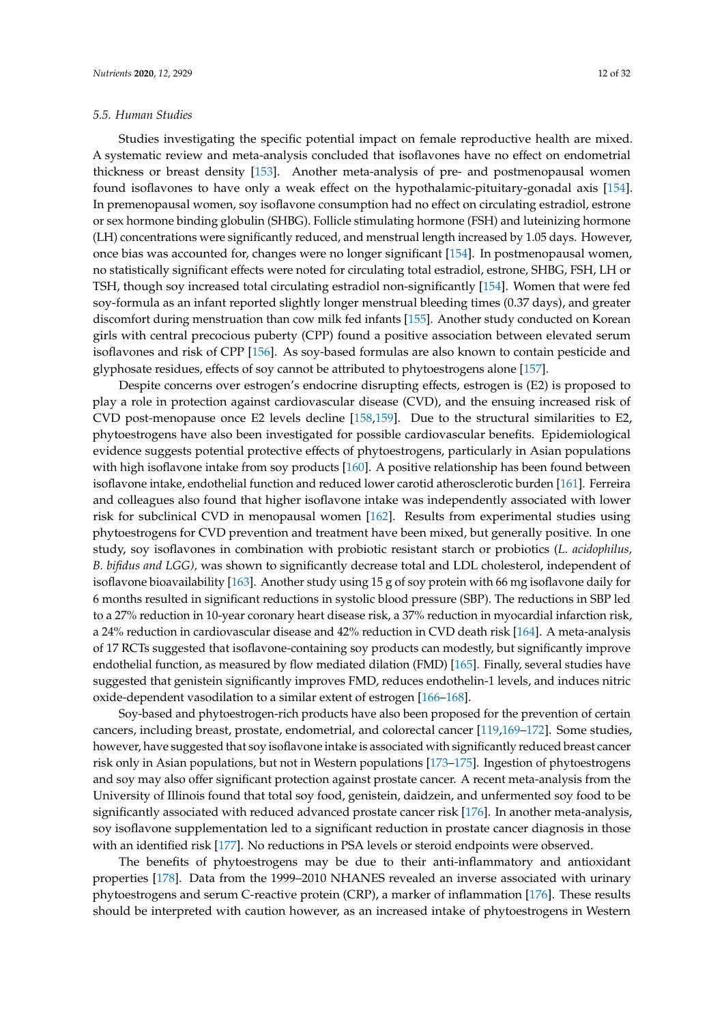#### *5.5. Human Studies*

Studies investigating the specific potential impact on female reproductive health are mixed. A systematic review and meta-analysis concluded that isoflavones have no effect on endometrial thickness or breast density [\[153\]](#page-25-12). Another meta-analysis of pre- and postmenopausal women found isoflavones to have only a weak effect on the hypothalamic-pituitary-gonadal axis [\[154\]](#page-25-13). In premenopausal women, soy isoflavone consumption had no effect on circulating estradiol, estrone or sex hormone binding globulin (SHBG). Follicle stimulating hormone (FSH) and luteinizing hormone (LH) concentrations were significantly reduced, and menstrual length increased by 1.05 days. However, once bias was accounted for, changes were no longer significant [\[154\]](#page-25-13). In postmenopausal women, no statistically significant effects were noted for circulating total estradiol, estrone, SHBG, FSH, LH or TSH, though soy increased total circulating estradiol non-significantly [\[154\]](#page-25-13). Women that were fed soy-formula as an infant reported slightly longer menstrual bleeding times (0.37 days), and greater discomfort during menstruation than cow milk fed infants [\[155\]](#page-25-14). Another study conducted on Korean girls with central precocious puberty (CPP) found a positive association between elevated serum isoflavones and risk of CPP [\[156\]](#page-25-15). As soy-based formulas are also known to contain pesticide and glyphosate residues, effects of soy cannot be attributed to phytoestrogens alone [\[157\]](#page-25-16).

Despite concerns over estrogen's endocrine disrupting effects, estrogen is (E2) is proposed to play a role in protection against cardiovascular disease (CVD), and the ensuing increased risk of CVD post-menopause once E2 levels decline [\[158,](#page-25-17)[159\]](#page-25-18). Due to the structural similarities to E2, phytoestrogens have also been investigated for possible cardiovascular benefits. Epidemiological evidence suggests potential protective effects of phytoestrogens, particularly in Asian populations with high isoflavone intake from soy products [\[160\]](#page-25-19). A positive relationship has been found between isoflavone intake, endothelial function and reduced lower carotid atherosclerotic burden [\[161\]](#page-25-20). Ferreira and colleagues also found that higher isoflavone intake was independently associated with lower risk for subclinical CVD in menopausal women [\[162\]](#page-26-0). Results from experimental studies using phytoestrogens for CVD prevention and treatment have been mixed, but generally positive. In one study, soy isoflavones in combination with probiotic resistant starch or probiotics (*L. acidophilus, B. bifidus and LGG),* was shown to significantly decrease total and LDL cholesterol, independent of isoflavone bioavailability [\[163\]](#page-26-1). Another study using 15 g of soy protein with 66 mg isoflavone daily for 6 months resulted in significant reductions in systolic blood pressure (SBP). The reductions in SBP led to a 27% reduction in 10-year coronary heart disease risk, a 37% reduction in myocardial infarction risk, a 24% reduction in cardiovascular disease and 42% reduction in CVD death risk [\[164\]](#page-26-2). A meta-analysis of 17 RCTs suggested that isoflavone-containing soy products can modestly, but significantly improve endothelial function, as measured by flow mediated dilation (FMD) [\[165\]](#page-26-3). Finally, several studies have suggested that genistein significantly improves FMD, reduces endothelin-1 levels, and induces nitric oxide-dependent vasodilation to a similar extent of estrogen [\[166–](#page-26-4)[168\]](#page-26-5).

Soy-based and phytoestrogen-rich products have also been proposed for the prevention of certain cancers, including breast, prostate, endometrial, and colorectal cancer [\[119](#page-24-1)[,169–](#page-26-6)[172\]](#page-26-7). Some studies, however, have suggested that soy isoflavone intake is associated with significantly reduced breast cancer risk only in Asian populations, but not in Western populations [\[173–](#page-26-8)[175\]](#page-26-9). Ingestion of phytoestrogens and soy may also offer significant protection against prostate cancer. A recent meta-analysis from the University of Illinois found that total soy food, genistein, daidzein, and unfermented soy food to be significantly associated with reduced advanced prostate cancer risk [\[176\]](#page-26-10). In another meta-analysis, soy isoflavone supplementation led to a significant reduction in prostate cancer diagnosis in those with an identified risk [\[177\]](#page-26-11). No reductions in PSA levels or steroid endpoints were observed.

The benefits of phytoestrogens may be due to their anti-inflammatory and antioxidant properties [\[178\]](#page-26-12). Data from the 1999–2010 NHANES revealed an inverse associated with urinary phytoestrogens and serum C-reactive protein (CRP), a marker of inflammation [\[176\]](#page-26-10). These results should be interpreted with caution however, as an increased intake of phytoestrogens in Western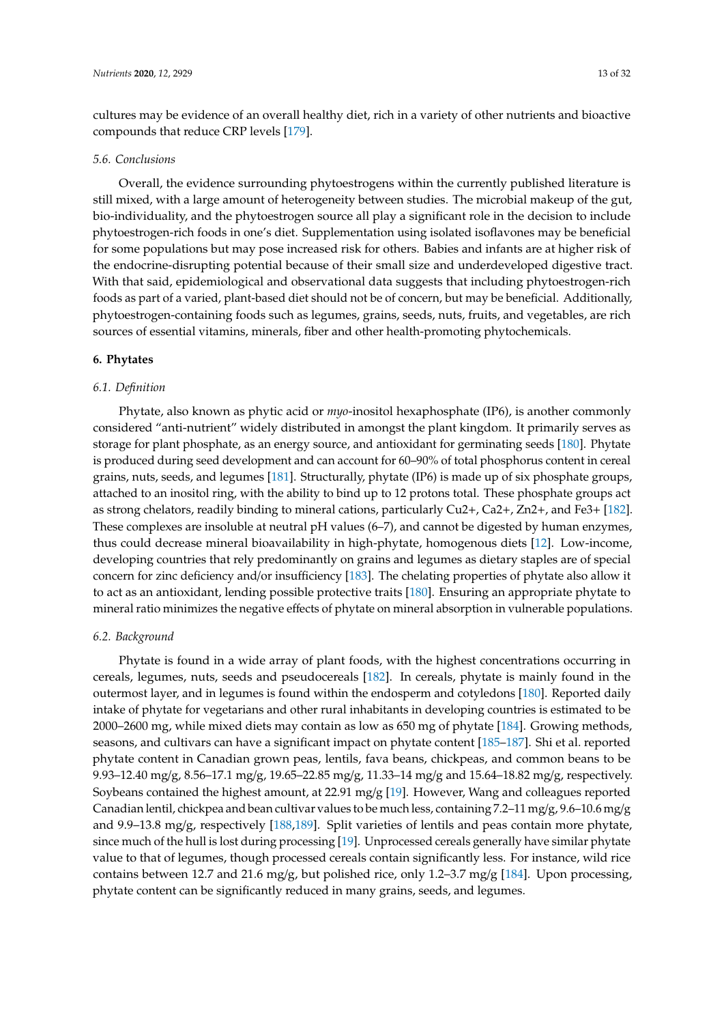cultures may be evidence of an overall healthy diet, rich in a variety of other nutrients and bioactive compounds that reduce CRP levels [\[179\]](#page-26-13).

## *5.6. Conclusions*

Overall, the evidence surrounding phytoestrogens within the currently published literature is still mixed, with a large amount of heterogeneity between studies. The microbial makeup of the gut, bio-individuality, and the phytoestrogen source all play a significant role in the decision to include phytoestrogen-rich foods in one's diet. Supplementation using isolated isoflavones may be beneficial for some populations but may pose increased risk for others. Babies and infants are at higher risk of the endocrine-disrupting potential because of their small size and underdeveloped digestive tract. With that said, epidemiological and observational data suggests that including phytoestrogen-rich foods as part of a varied, plant-based diet should not be of concern, but may be beneficial. Additionally, phytoestrogen-containing foods such as legumes, grains, seeds, nuts, fruits, and vegetables, are rich sources of essential vitamins, minerals, fiber and other health-promoting phytochemicals.

#### **6. Phytates**

#### *6.1. Definition*

Phytate, also known as phytic acid or *myo*-inositol hexaphosphate (IP6), is another commonly considered "anti-nutrient" widely distributed in amongst the plant kingdom. It primarily serves as storage for plant phosphate, as an energy source, and antioxidant for germinating seeds [\[180\]](#page-26-14). Phytate is produced during seed development and can account for 60–90% of total phosphorus content in cereal grains, nuts, seeds, and legumes [\[181\]](#page-26-15). Structurally, phytate (IP6) is made up of six phosphate groups, attached to an inositol ring, with the ability to bind up to 12 protons total. These phosphate groups act as strong chelators, readily binding to mineral cations, particularly Cu2+, Ca2+, Zn2+, and Fe3+ [\[182\]](#page-27-0). These complexes are insoluble at neutral pH values (6–7), and cannot be digested by human enzymes, thus could decrease mineral bioavailability in high-phytate, homogenous diets [\[12\]](#page-19-2). Low-income, developing countries that rely predominantly on grains and legumes as dietary staples are of special concern for zinc deficiency and/or insufficiency [\[183\]](#page-27-1). The chelating properties of phytate also allow it to act as an antioxidant, lending possible protective traits [\[180\]](#page-26-14). Ensuring an appropriate phytate to mineral ratio minimizes the negative effects of phytate on mineral absorption in vulnerable populations.

# *6.2. Background*

Phytate is found in a wide array of plant foods, with the highest concentrations occurring in cereals, legumes, nuts, seeds and pseudocereals [\[182\]](#page-27-0). In cereals, phytate is mainly found in the outermost layer, and in legumes is found within the endosperm and cotyledons [\[180\]](#page-26-14). Reported daily intake of phytate for vegetarians and other rural inhabitants in developing countries is estimated to be 2000–2600 mg, while mixed diets may contain as low as 650 mg of phytate [\[184\]](#page-27-2). Growing methods, seasons, and cultivars can have a significant impact on phytate content [\[185](#page-27-3)[–187\]](#page-27-4). Shi et al. reported phytate content in Canadian grown peas, lentils, fava beans, chickpeas, and common beans to be 9.93–12.40 mg/g, 8.56–17.1 mg/g, 19.65–22.85 mg/g, 11.33–14 mg/g and 15.64–18.82 mg/g, respectively. Soybeans contained the highest amount, at 22.91 mg/g [\[19\]](#page-19-9). However, Wang and colleagues reported Canadian lentil, chickpea and bean cultivar values to be much less, containing 7.2–11 mg/g, 9.6–10.6 mg/g and 9.9–13.8 mg/g, respectively [\[188,](#page-27-5)[189\]](#page-27-6). Split varieties of lentils and peas contain more phytate, since much of the hull is lost during processing [\[19\]](#page-19-9). Unprocessed cereals generally have similar phytate value to that of legumes, though processed cereals contain significantly less. For instance, wild rice contains between 12.7 and 21.6 mg/g, but polished rice, only 1.2–3.7 mg/g [\[184\]](#page-27-2). Upon processing, phytate content can be significantly reduced in many grains, seeds, and legumes.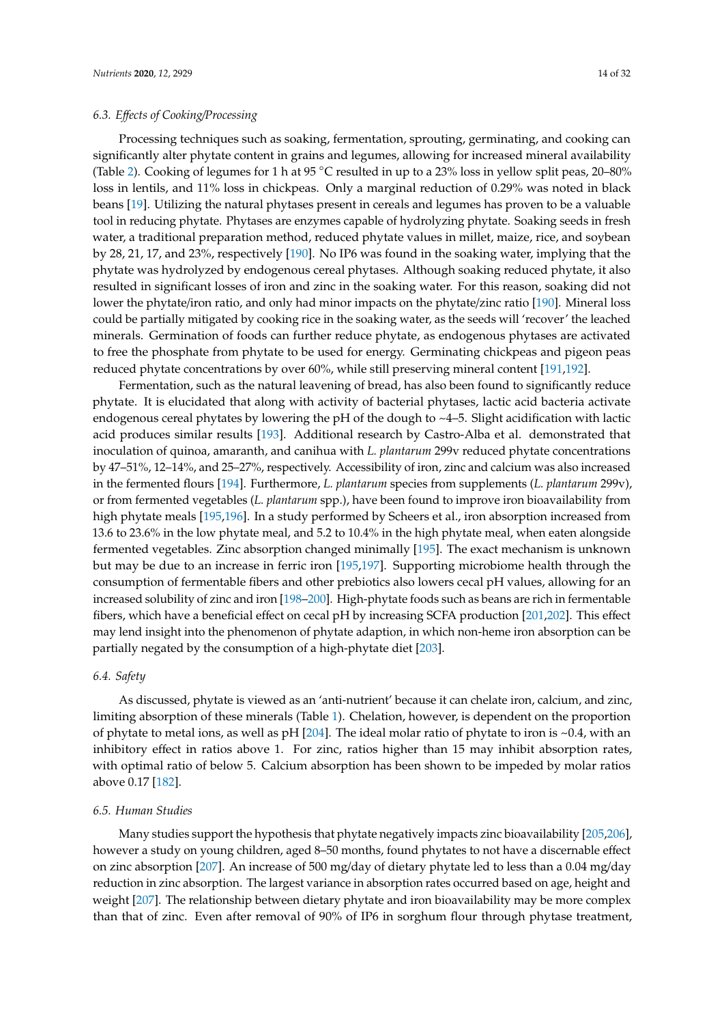# *6.3. E*ff*ects of Cooking*/*Processing*

Processing techniques such as soaking, fermentation, sprouting, germinating, and cooking can significantly alter phytate content in grains and legumes, allowing for increased mineral availability (Table [2\)](#page-2-0). Cooking of legumes for 1 h at 95 ◦C resulted in up to a 23% loss in yellow split peas, 20–80% loss in lentils, and 11% loss in chickpeas. Only a marginal reduction of 0.29% was noted in black beans [\[19\]](#page-19-9). Utilizing the natural phytases present in cereals and legumes has proven to be a valuable tool in reducing phytate. Phytases are enzymes capable of hydrolyzing phytate. Soaking seeds in fresh water, a traditional preparation method, reduced phytate values in millet, maize, rice, and soybean by 28, 21, 17, and 23%, respectively [\[190\]](#page-27-7). No IP6 was found in the soaking water, implying that the phytate was hydrolyzed by endogenous cereal phytases. Although soaking reduced phytate, it also resulted in significant losses of iron and zinc in the soaking water. For this reason, soaking did not lower the phytate/iron ratio, and only had minor impacts on the phytate/zinc ratio [\[190\]](#page-27-7). Mineral loss could be partially mitigated by cooking rice in the soaking water, as the seeds will 'recover' the leached minerals. Germination of foods can further reduce phytate, as endogenous phytases are activated to free the phosphate from phytate to be used for energy. Germinating chickpeas and pigeon peas reduced phytate concentrations by over 60%, while still preserving mineral content [\[191,](#page-27-8)[192\]](#page-27-9).

Fermentation, such as the natural leavening of bread, has also been found to significantly reduce phytate. It is elucidated that along with activity of bacterial phytases, lactic acid bacteria activate endogenous cereal phytates by lowering the pH of the dough to ~4–5. Slight acidification with lactic acid produces similar results [\[193\]](#page-27-10). Additional research by Castro-Alba et al. demonstrated that inoculation of quinoa, amaranth, and canihua with *L. plantarum* 299v reduced phytate concentrations by 47–51%, 12–14%, and 25–27%, respectively. Accessibility of iron, zinc and calcium was also increased in the fermented flours [\[194\]](#page-27-11). Furthermore, *L. plantarum* species from supplements (*L. plantarum* 299v), or from fermented vegetables (*L. plantarum* spp.), have been found to improve iron bioavailability from high phytate meals [\[195](#page-27-12)[,196\]](#page-27-13). In a study performed by Scheers et al., iron absorption increased from 13.6 to 23.6% in the low phytate meal, and 5.2 to 10.4% in the high phytate meal, when eaten alongside fermented vegetables. Zinc absorption changed minimally [\[195\]](#page-27-12). The exact mechanism is unknown but may be due to an increase in ferric iron [\[195](#page-27-12)[,197\]](#page-27-14). Supporting microbiome health through the consumption of fermentable fibers and other prebiotics also lowers cecal pH values, allowing for an increased solubility of zinc and iron [\[198](#page-27-15)[–200\]](#page-27-16). High-phytate foods such as beans are rich in fermentable fibers, which have a beneficial effect on cecal pH by increasing SCFA production [\[201,](#page-27-17)[202\]](#page-28-0). This effect may lend insight into the phenomenon of phytate adaption, in which non-heme iron absorption can be partially negated by the consumption of a high-phytate diet [\[203\]](#page-28-1).

# *6.4. Safety*

As discussed, phytate is viewed as an 'anti-nutrient' because it can chelate iron, calcium, and zinc, limiting absorption of these minerals (Table [1\)](#page-1-0). Chelation, however, is dependent on the proportion of phytate to metal ions, as well as pH  $[204]$ . The ideal molar ratio of phytate to iron is ~0.4, with an inhibitory effect in ratios above 1. For zinc, ratios higher than 15 may inhibit absorption rates, with optimal ratio of below 5. Calcium absorption has been shown to be impeded by molar ratios above 0.17 [\[182\]](#page-27-0).

# *6.5. Human Studies*

Many studies support the hypothesis that phytate negatively impacts zinc bioavailability [\[205](#page-28-3)[,206\]](#page-28-4), however a study on young children, aged 8–50 months, found phytates to not have a discernable effect on zinc absorption [\[207\]](#page-28-5). An increase of 500 mg/day of dietary phytate led to less than a 0.04 mg/day reduction in zinc absorption. The largest variance in absorption rates occurred based on age, height and weight [\[207\]](#page-28-5). The relationship between dietary phytate and iron bioavailability may be more complex than that of zinc. Even after removal of 90% of IP6 in sorghum flour through phytase treatment,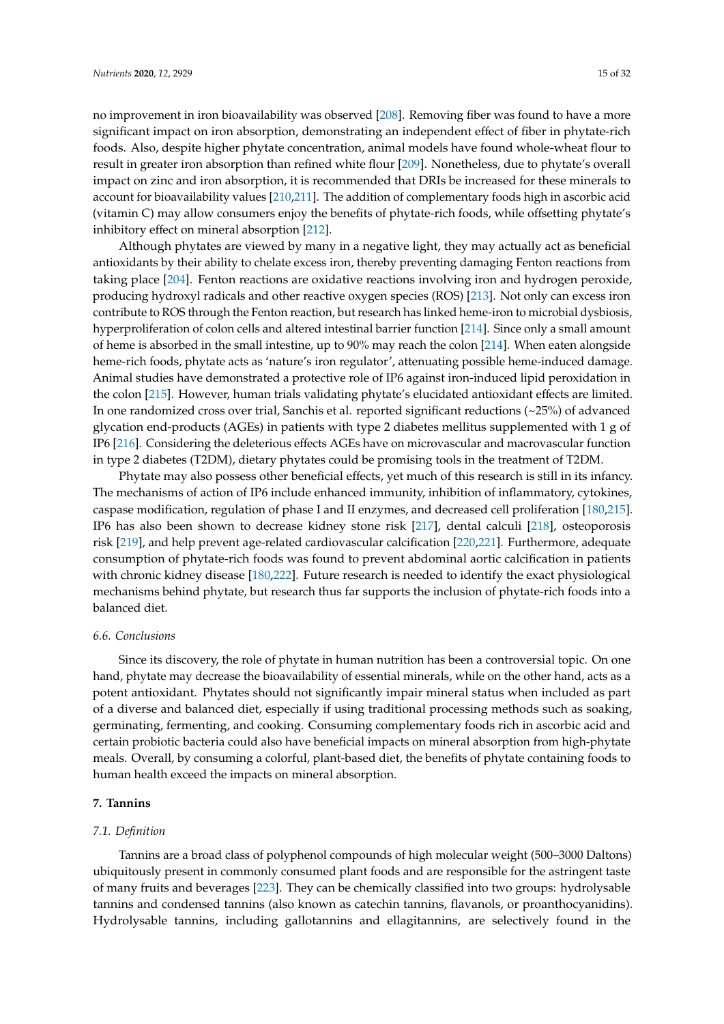no improvement in iron bioavailability was observed [\[208\]](#page-28-6). Removing fiber was found to have a more significant impact on iron absorption, demonstrating an independent effect of fiber in phytate-rich foods. Also, despite higher phytate concentration, animal models have found whole-wheat flour to result in greater iron absorption than refined white flour [\[209\]](#page-28-7). Nonetheless, due to phytate's overall impact on zinc and iron absorption, it is recommended that DRIs be increased for these minerals to account for bioavailability values [\[210,](#page-28-8)[211\]](#page-28-9). The addition of complementary foods high in ascorbic acid (vitamin C) may allow consumers enjoy the benefits of phytate-rich foods, while offsetting phytate's inhibitory effect on mineral absorption [\[212\]](#page-28-10).

Although phytates are viewed by many in a negative light, they may actually act as beneficial antioxidants by their ability to chelate excess iron, thereby preventing damaging Fenton reactions from taking place [\[204\]](#page-28-2). Fenton reactions are oxidative reactions involving iron and hydrogen peroxide, producing hydroxyl radicals and other reactive oxygen species (ROS) [\[213\]](#page-28-11). Not only can excess iron contribute to ROS through the Fenton reaction, but research has linked heme-iron to microbial dysbiosis, hyperproliferation of colon cells and altered intestinal barrier function [\[214\]](#page-28-12). Since only a small amount of heme is absorbed in the small intestine, up to 90% may reach the colon [\[214\]](#page-28-12). When eaten alongside heme-rich foods, phytate acts as 'nature's iron regulator', attenuating possible heme-induced damage. Animal studies have demonstrated a protective role of IP6 against iron-induced lipid peroxidation in the colon [\[215\]](#page-28-13). However, human trials validating phytate's elucidated antioxidant effects are limited. In one randomized cross over trial, Sanchis et al. reported significant reductions (~25%) of advanced glycation end-products (AGEs) in patients with type 2 diabetes mellitus supplemented with 1 g of IP6 [\[216\]](#page-28-14). Considering the deleterious effects AGEs have on microvascular and macrovascular function in type 2 diabetes (T2DM), dietary phytates could be promising tools in the treatment of T2DM.

Phytate may also possess other beneficial effects, yet much of this research is still in its infancy. The mechanisms of action of IP6 include enhanced immunity, inhibition of inflammatory, cytokines, caspase modification, regulation of phase I and II enzymes, and decreased cell proliferation [\[180](#page-26-14)[,215\]](#page-28-13). IP6 has also been shown to decrease kidney stone risk [\[217\]](#page-28-15), dental calculi [\[218\]](#page-28-16), osteoporosis risk [\[219\]](#page-28-17), and help prevent age-related cardiovascular calcification [\[220](#page-28-18)[,221\]](#page-28-19). Furthermore, adequate consumption of phytate-rich foods was found to prevent abdominal aortic calcification in patients with chronic kidney disease [\[180](#page-26-14)[,222\]](#page-29-0). Future research is needed to identify the exact physiological mechanisms behind phytate, but research thus far supports the inclusion of phytate-rich foods into a balanced diet.

#### *6.6. Conclusions*

Since its discovery, the role of phytate in human nutrition has been a controversial topic. On one hand, phytate may decrease the bioavailability of essential minerals, while on the other hand, acts as a potent antioxidant. Phytates should not significantly impair mineral status when included as part of a diverse and balanced diet, especially if using traditional processing methods such as soaking, germinating, fermenting, and cooking. Consuming complementary foods rich in ascorbic acid and certain probiotic bacteria could also have beneficial impacts on mineral absorption from high-phytate meals. Overall, by consuming a colorful, plant-based diet, the benefits of phytate containing foods to human health exceed the impacts on mineral absorption.

# **7. Tannins**

# *7.1. Definition*

Tannins are a broad class of polyphenol compounds of high molecular weight (500–3000 Daltons) ubiquitously present in commonly consumed plant foods and are responsible for the astringent taste of many fruits and beverages [\[223\]](#page-29-1). They can be chemically classified into two groups: hydrolysable tannins and condensed tannins (also known as catechin tannins, flavanols, or proanthocyanidins). Hydrolysable tannins, including gallotannins and ellagitannins, are selectively found in the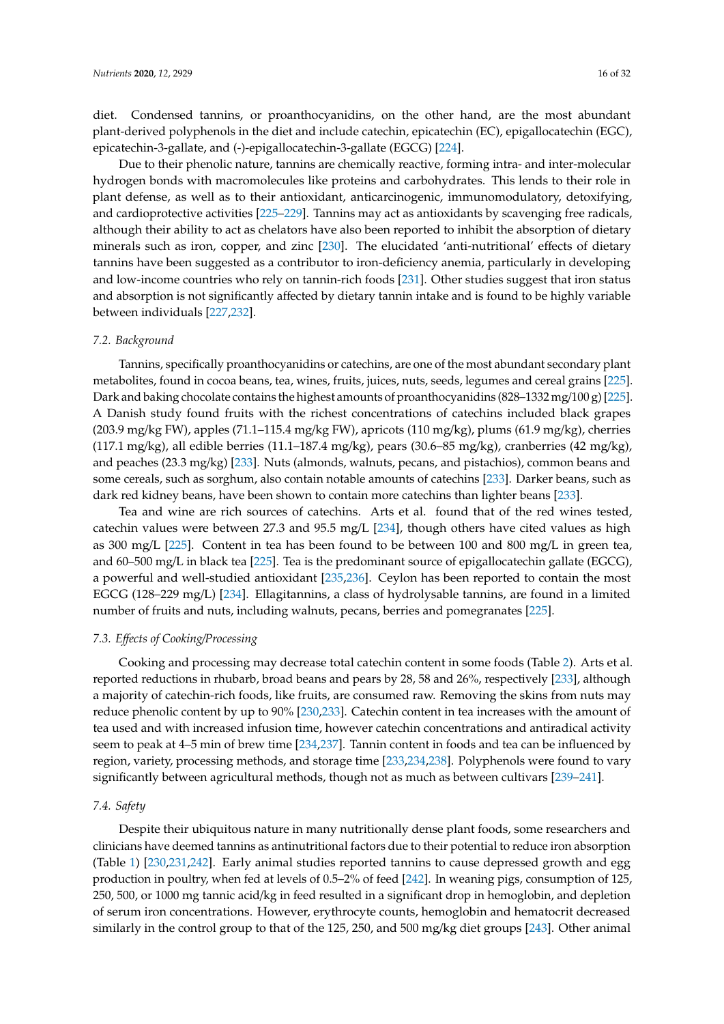diet. Condensed tannins, or proanthocyanidins, on the other hand, are the most abundant plant-derived polyphenols in the diet and include catechin, epicatechin (EC), epigallocatechin (EGC), epicatechin-3-gallate, and (-)-epigallocatechin-3-gallate (EGCG) [\[224\]](#page-29-2).

Due to their phenolic nature, tannins are chemically reactive, forming intra- and inter-molecular hydrogen bonds with macromolecules like proteins and carbohydrates. This lends to their role in plant defense, as well as to their antioxidant, anticarcinogenic, immunomodulatory, detoxifying, and cardioprotective activities [\[225–](#page-29-3)[229\]](#page-29-4). Tannins may act as antioxidants by scavenging free radicals, although their ability to act as chelators have also been reported to inhibit the absorption of dietary minerals such as iron, copper, and zinc [\[230\]](#page-29-5). The elucidated 'anti-nutritional' effects of dietary tannins have been suggested as a contributor to iron-deficiency anemia, particularly in developing and low-income countries who rely on tannin-rich foods [\[231\]](#page-29-6). Other studies suggest that iron status and absorption is not significantly affected by dietary tannin intake and is found to be highly variable between individuals [\[227](#page-29-7)[,232\]](#page-29-8).

# *7.2. Background*

Tannins, specifically proanthocyanidins or catechins, are one of the most abundant secondary plant metabolites, found in cocoa beans, tea, wines, fruits, juices, nuts, seeds, legumes and cereal grains [\[225\]](#page-29-3). Dark and baking chocolate contains the highest amounts of proanthocyanidins (828–1332 mg/100 g) [\[225\]](#page-29-3). A Danish study found fruits with the richest concentrations of catechins included black grapes (203.9 mg/kg FW), apples (71.1–115.4 mg/kg FW), apricots (110 mg/kg), plums (61.9 mg/kg), cherries  $(117.1 \text{ mg/kg})$ , all edible berries  $(11.1-187.4 \text{ mg/kg})$ , pears  $(30.6-85 \text{ mg/kg})$ , cranberries  $(42 \text{ mg/kg})$ , and peaches (23.3 mg/kg) [\[233\]](#page-29-9). Nuts (almonds, walnuts, pecans, and pistachios), common beans and some cereals, such as sorghum, also contain notable amounts of catechins [\[233\]](#page-29-9). Darker beans, such as dark red kidney beans, have been shown to contain more catechins than lighter beans [\[233\]](#page-29-9).

Tea and wine are rich sources of catechins. Arts et al. found that of the red wines tested, catechin values were between 27.3 and 95.5 mg/L [\[234\]](#page-29-10), though others have cited values as high as 300 mg/L [\[225\]](#page-29-3). Content in tea has been found to be between 100 and 800 mg/L in green tea, and 60–500 mg/L in black tea [\[225\]](#page-29-3). Tea is the predominant source of epigallocatechin gallate (EGCG), a powerful and well-studied antioxidant [\[235](#page-29-11)[,236\]](#page-29-12). Ceylon has been reported to contain the most EGCG (128–229 mg/L) [\[234\]](#page-29-10). Ellagitannins, a class of hydrolysable tannins, are found in a limited number of fruits and nuts, including walnuts, pecans, berries and pomegranates [\[225\]](#page-29-3).

# *7.3. E*ff*ects of Cooking*/*Processing*

Cooking and processing may decrease total catechin content in some foods (Table [2\)](#page-2-0). Arts et al. reported reductions in rhubarb, broad beans and pears by 28, 58 and 26%, respectively [\[233\]](#page-29-9), although a majority of catechin-rich foods, like fruits, are consumed raw. Removing the skins from nuts may reduce phenolic content by up to 90% [\[230](#page-29-5)[,233\]](#page-29-9). Catechin content in tea increases with the amount of tea used and with increased infusion time, however catechin concentrations and antiradical activity seem to peak at 4–5 min of brew time [\[234](#page-29-10)[,237\]](#page-29-13). Tannin content in foods and tea can be influenced by region, variety, processing methods, and storage time [\[233,](#page-29-9)[234,](#page-29-10)[238\]](#page-29-14). Polyphenols were found to vary significantly between agricultural methods, though not as much as between cultivars [\[239](#page-29-15)[–241\]](#page-29-16).

#### *7.4. Safety*

Despite their ubiquitous nature in many nutritionally dense plant foods, some researchers and clinicians have deemed tannins as antinutritional factors due to their potential to reduce iron absorption (Table [1\)](#page-1-0) [\[230](#page-29-5)[,231,](#page-29-6)[242\]](#page-29-17). Early animal studies reported tannins to cause depressed growth and egg production in poultry, when fed at levels of 0.5–2% of feed [\[242\]](#page-29-17). In weaning pigs, consumption of 125, 250, 500, or 1000 mg tannic acid/kg in feed resulted in a significant drop in hemoglobin, and depletion of serum iron concentrations. However, erythrocyte counts, hemoglobin and hematocrit decreased similarly in the control group to that of the 125, 250, and 500 mg/kg diet groups [\[243\]](#page-30-0). Other animal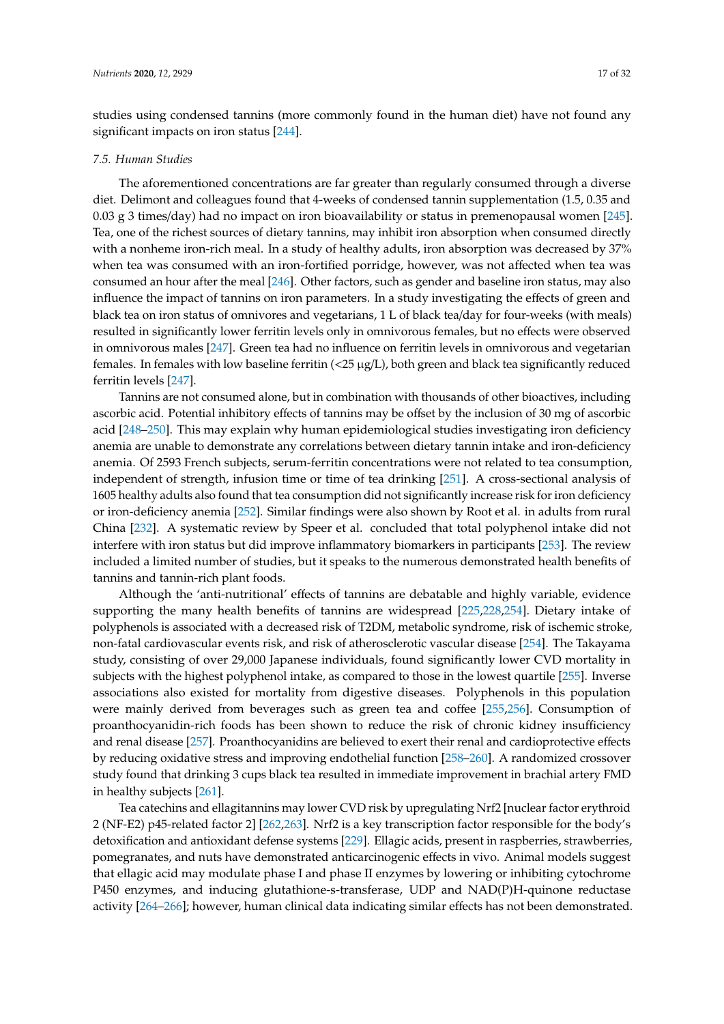studies using condensed tannins (more commonly found in the human diet) have not found any significant impacts on iron status [\[244\]](#page-30-1).

## *7.5. Human Studies*

The aforementioned concentrations are far greater than regularly consumed through a diverse diet. Delimont and colleagues found that 4-weeks of condensed tannin supplementation (1.5, 0.35 and 0.03 g 3 times/day) had no impact on iron bioavailability or status in premenopausal women [\[245\]](#page-30-2). Tea, one of the richest sources of dietary tannins, may inhibit iron absorption when consumed directly with a nonheme iron-rich meal. In a study of healthy adults, iron absorption was decreased by 37% when tea was consumed with an iron-fortified porridge, however, was not affected when tea was consumed an hour after the meal [\[246\]](#page-30-3). Other factors, such as gender and baseline iron status, may also influence the impact of tannins on iron parameters. In a study investigating the effects of green and black tea on iron status of omnivores and vegetarians, 1 L of black tea/day for four-weeks (with meals) resulted in significantly lower ferritin levels only in omnivorous females, but no effects were observed in omnivorous males [\[247\]](#page-30-4). Green tea had no influence on ferritin levels in omnivorous and vegetarian females. In females with low baseline ferritin (<25 µg/L), both green and black tea significantly reduced ferritin levels [\[247\]](#page-30-4).

Tannins are not consumed alone, but in combination with thousands of other bioactives, including ascorbic acid. Potential inhibitory effects of tannins may be offset by the inclusion of 30 mg of ascorbic acid [\[248](#page-30-5)[–250\]](#page-30-6). This may explain why human epidemiological studies investigating iron deficiency anemia are unable to demonstrate any correlations between dietary tannin intake and iron-deficiency anemia. Of 2593 French subjects, serum-ferritin concentrations were not related to tea consumption, independent of strength, infusion time or time of tea drinking [\[251\]](#page-30-7). A cross-sectional analysis of 1605 healthy adults also found that tea consumption did not significantly increase risk for iron deficiency or iron-deficiency anemia [\[252\]](#page-30-8). Similar findings were also shown by Root et al. in adults from rural China [\[232\]](#page-29-8). A systematic review by Speer et al. concluded that total polyphenol intake did not interfere with iron status but did improve inflammatory biomarkers in participants [\[253\]](#page-30-9). The review included a limited number of studies, but it speaks to the numerous demonstrated health benefits of tannins and tannin-rich plant foods.

Although the 'anti-nutritional' effects of tannins are debatable and highly variable, evidence supporting the many health benefits of tannins are widespread [\[225,](#page-29-3)[228,](#page-29-18)[254\]](#page-30-10). Dietary intake of polyphenols is associated with a decreased risk of T2DM, metabolic syndrome, risk of ischemic stroke, non-fatal cardiovascular events risk, and risk of atherosclerotic vascular disease [\[254\]](#page-30-10). The Takayama study, consisting of over 29,000 Japanese individuals, found significantly lower CVD mortality in subjects with the highest polyphenol intake, as compared to those in the lowest quartile [\[255\]](#page-30-11). Inverse associations also existed for mortality from digestive diseases. Polyphenols in this population were mainly derived from beverages such as green tea and coffee [\[255](#page-30-11)[,256\]](#page-30-12). Consumption of proanthocyanidin-rich foods has been shown to reduce the risk of chronic kidney insufficiency and renal disease [\[257\]](#page-30-13). Proanthocyanidins are believed to exert their renal and cardioprotective effects by reducing oxidative stress and improving endothelial function [\[258](#page-30-14)[–260\]](#page-30-15). A randomized crossover study found that drinking 3 cups black tea resulted in immediate improvement in brachial artery FMD in healthy subjects [\[261\]](#page-30-16).

Tea catechins and ellagitannins may lower CVD risk by upregulating Nrf2 [nuclear factor erythroid 2 (NF-E2) p45-related factor 2] [\[262,](#page-31-0)[263\]](#page-31-1). Nrf2 is a key transcription factor responsible for the body's detoxification and antioxidant defense systems [\[229\]](#page-29-4). Ellagic acids, present in raspberries, strawberries, pomegranates, and nuts have demonstrated anticarcinogenic effects in vivo. Animal models suggest that ellagic acid may modulate phase I and phase II enzymes by lowering or inhibiting cytochrome P450 enzymes, and inducing glutathione-s-transferase, UDP and NAD(P)H-quinone reductase activity [\[264–](#page-31-2)[266\]](#page-31-3); however, human clinical data indicating similar effects has not been demonstrated.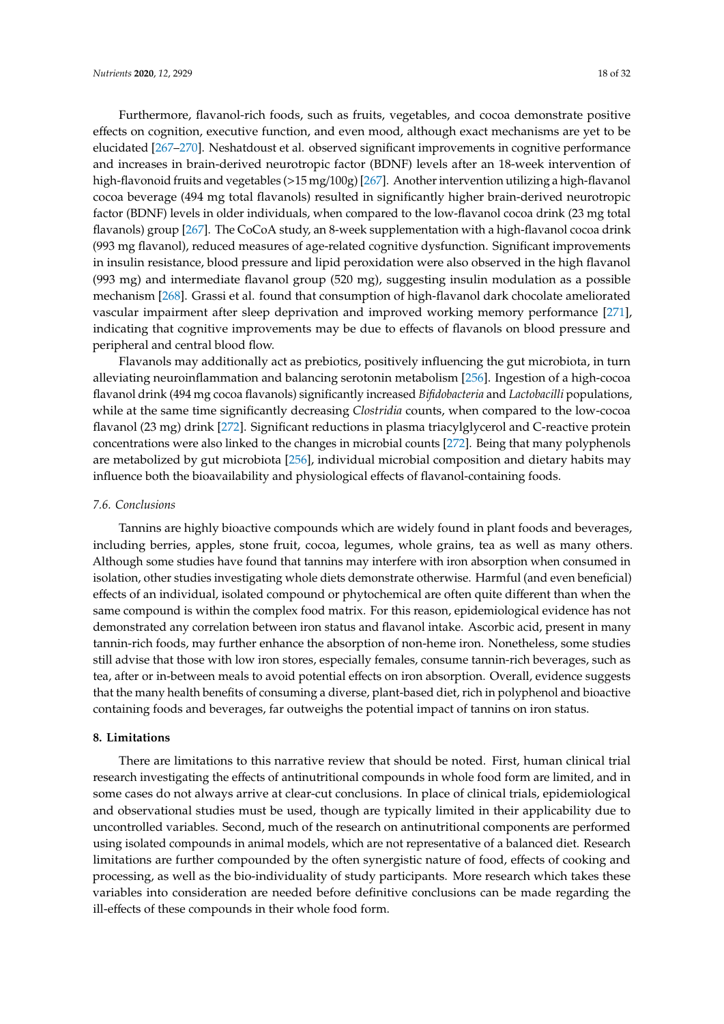Furthermore, flavanol-rich foods, such as fruits, vegetables, and cocoa demonstrate positive effects on cognition, executive function, and even mood, although exact mechanisms are yet to be elucidated [\[267–](#page-31-4)[270\]](#page-31-5). Neshatdoust et al. observed significant improvements in cognitive performance and increases in brain-derived neurotropic factor (BDNF) levels after an 18-week intervention of high-flavonoid fruits and vegetables (>15 mg/100g) [\[267\]](#page-31-4). Another intervention utilizing a high-flavanol cocoa beverage (494 mg total flavanols) resulted in significantly higher brain-derived neurotropic factor (BDNF) levels in older individuals, when compared to the low-flavanol cocoa drink (23 mg total flavanols) group [\[267\]](#page-31-4). The CoCoA study, an 8-week supplementation with a high-flavanol cocoa drink (993 mg flavanol), reduced measures of age-related cognitive dysfunction. Significant improvements in insulin resistance, blood pressure and lipid peroxidation were also observed in the high flavanol (993 mg) and intermediate flavanol group (520 mg), suggesting insulin modulation as a possible mechanism [\[268\]](#page-31-6). Grassi et al. found that consumption of high-flavanol dark chocolate ameliorated vascular impairment after sleep deprivation and improved working memory performance [\[271\]](#page-31-7), indicating that cognitive improvements may be due to effects of flavanols on blood pressure and peripheral and central blood flow.

Flavanols may additionally act as prebiotics, positively influencing the gut microbiota, in turn alleviating neuroinflammation and balancing serotonin metabolism [\[256\]](#page-30-12). Ingestion of a high-cocoa flavanol drink (494 mg cocoa flavanols) significantly increased *Bifidobacteria* and *Lactobacilli* populations, while at the same time significantly decreasing *Clostridia* counts, when compared to the low-cocoa flavanol (23 mg) drink [\[272\]](#page-31-8). Significant reductions in plasma triacylglycerol and C-reactive protein concentrations were also linked to the changes in microbial counts [\[272\]](#page-31-8). Being that many polyphenols are metabolized by gut microbiota [\[256\]](#page-30-12), individual microbial composition and dietary habits may influence both the bioavailability and physiological effects of flavanol-containing foods.

## *7.6. Conclusions*

Tannins are highly bioactive compounds which are widely found in plant foods and beverages, including berries, apples, stone fruit, cocoa, legumes, whole grains, tea as well as many others. Although some studies have found that tannins may interfere with iron absorption when consumed in isolation, other studies investigating whole diets demonstrate otherwise. Harmful (and even beneficial) effects of an individual, isolated compound or phytochemical are often quite different than when the same compound is within the complex food matrix. For this reason, epidemiological evidence has not demonstrated any correlation between iron status and flavanol intake. Ascorbic acid, present in many tannin-rich foods, may further enhance the absorption of non-heme iron. Nonetheless, some studies still advise that those with low iron stores, especially females, consume tannin-rich beverages, such as tea, after or in-between meals to avoid potential effects on iron absorption. Overall, evidence suggests that the many health benefits of consuming a diverse, plant-based diet, rich in polyphenol and bioactive containing foods and beverages, far outweighs the potential impact of tannins on iron status.

## **8. Limitations**

There are limitations to this narrative review that should be noted. First, human clinical trial research investigating the effects of antinutritional compounds in whole food form are limited, and in some cases do not always arrive at clear-cut conclusions. In place of clinical trials, epidemiological and observational studies must be used, though are typically limited in their applicability due to uncontrolled variables. Second, much of the research on antinutritional components are performed using isolated compounds in animal models, which are not representative of a balanced diet. Research limitations are further compounded by the often synergistic nature of food, effects of cooking and processing, as well as the bio-individuality of study participants. More research which takes these variables into consideration are needed before definitive conclusions can be made regarding the ill-effects of these compounds in their whole food form.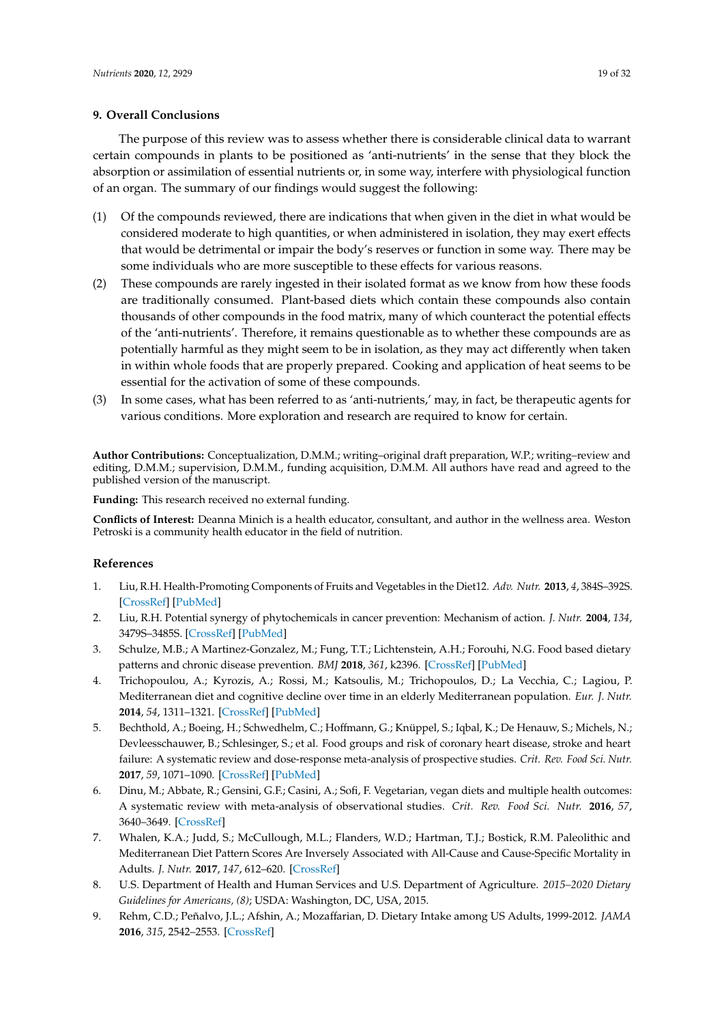# **9. Overall Conclusions**

The purpose of this review was to assess whether there is considerable clinical data to warrant certain compounds in plants to be positioned as 'anti-nutrients' in the sense that they block the absorption or assimilation of essential nutrients or, in some way, interfere with physiological function of an organ. The summary of our findings would suggest the following:

- (1) Of the compounds reviewed, there are indications that when given in the diet in what would be considered moderate to high quantities, or when administered in isolation, they may exert effects that would be detrimental or impair the body's reserves or function in some way. There may be some individuals who are more susceptible to these effects for various reasons.
- (2) These compounds are rarely ingested in their isolated format as we know from how these foods are traditionally consumed. Plant-based diets which contain these compounds also contain thousands of other compounds in the food matrix, many of which counteract the potential effects of the 'anti-nutrients'. Therefore, it remains questionable as to whether these compounds are as potentially harmful as they might seem to be in isolation, as they may act differently when taken in within whole foods that are properly prepared. Cooking and application of heat seems to be essential for the activation of some of these compounds.
- (3) In some cases, what has been referred to as 'anti-nutrients,' may, in fact, be therapeutic agents for various conditions. More exploration and research are required to know for certain.

**Author Contributions:** Conceptualization, D.M.M.; writing–original draft preparation, W.P.; writing–review and editing, D.M.M.; supervision, D.M.M., funding acquisition, D.M.M. All authors have read and agreed to the published version of the manuscript.

**Funding:** This research received no external funding.

**Conflicts of Interest:** Deanna Minich is a health educator, consultant, and author in the wellness area. Weston Petroski is a community health educator in the field of nutrition.

# **References**

- <span id="page-18-0"></span>1. Liu, R.H. Health-Promoting Components of Fruits and Vegetables in the Diet12. *Adv. Nutr.* **2013**, *4*, 384S–392S. [\[CrossRef\]](http://dx.doi.org/10.3945/an.112.003517) [\[PubMed\]](http://www.ncbi.nlm.nih.gov/pubmed/23674808)
- <span id="page-18-1"></span>2. Liu, R.H. Potential synergy of phytochemicals in cancer prevention: Mechanism of action. *J. Nutr.* **2004**, *134*, 3479S–3485S. [\[CrossRef\]](http://dx.doi.org/10.1093/jn/134.12.3479S) [\[PubMed\]](http://www.ncbi.nlm.nih.gov/pubmed/15570057)
- <span id="page-18-2"></span>3. Schulze, M.B.; A Martinez-Gonzalez, M.; Fung, T.T.; Lichtenstein, A.H.; Forouhi, N.G. Food based dietary patterns and chronic disease prevention. *BMJ* **2018**, *361*, k2396. [\[CrossRef\]](http://dx.doi.org/10.1136/bmj.k2396) [\[PubMed\]](http://www.ncbi.nlm.nih.gov/pubmed/29898951)
- 4. Trichopoulou, A.; Kyrozis, A.; Rossi, M.; Katsoulis, M.; Trichopoulos, D.; La Vecchia, C.; Lagiou, P. Mediterranean diet and cognitive decline over time in an elderly Mediterranean population. *Eur. J. Nutr.* **2014**, *54*, 1311–1321. [\[CrossRef\]](http://dx.doi.org/10.1007/s00394-014-0811-z) [\[PubMed\]](http://www.ncbi.nlm.nih.gov/pubmed/25482573)
- 5. Bechthold, A.; Boeing, H.; Schwedhelm, C.; Hoffmann, G.; Knüppel, S.; Iqbal, K.; De Henauw, S.; Michels, N.; Devleesschauwer, B.; Schlesinger, S.; et al. Food groups and risk of coronary heart disease, stroke and heart failure: A systematic review and dose-response meta-analysis of prospective studies. *Crit. Rev. Food Sci. Nutr.* **2017**, *59*, 1071–1090. [\[CrossRef\]](http://dx.doi.org/10.1080/10408398.2017.1392288) [\[PubMed\]](http://www.ncbi.nlm.nih.gov/pubmed/29039970)
- 6. Dinu, M.; Abbate, R.; Gensini, G.F.; Casini, A.; Sofi, F. Vegetarian, vegan diets and multiple health outcomes: A systematic review with meta-analysis of observational studies. *Crit. Rev. Food Sci. Nutr.* **2016**, *57*, 3640–3649. [\[CrossRef\]](http://dx.doi.org/10.1080/10408398.2016.1138447)
- <span id="page-18-3"></span>7. Whalen, K.A.; Judd, S.; McCullough, M.L.; Flanders, W.D.; Hartman, T.J.; Bostick, R.M. Paleolithic and Mediterranean Diet Pattern Scores Are Inversely Associated with All-Cause and Cause-Specific Mortality in Adults. *J. Nutr.* **2017**, *147*, 612–620. [\[CrossRef\]](http://dx.doi.org/10.3945/jn.116.241919)
- <span id="page-18-4"></span>8. U.S. Department of Health and Human Services and U.S. Department of Agriculture. *2015–2020 Dietary Guidelines for Americans, (8)*; USDA: Washington, DC, USA, 2015.
- <span id="page-18-5"></span>9. Rehm, C.D.; Peñalvo, J.L.; Afshin, A.; Mozaffarian, D. Dietary Intake among US Adults, 1999-2012. *JAMA* **2016**, *315*, 2542–2553. [\[CrossRef\]](http://dx.doi.org/10.1001/jama.2016.7491)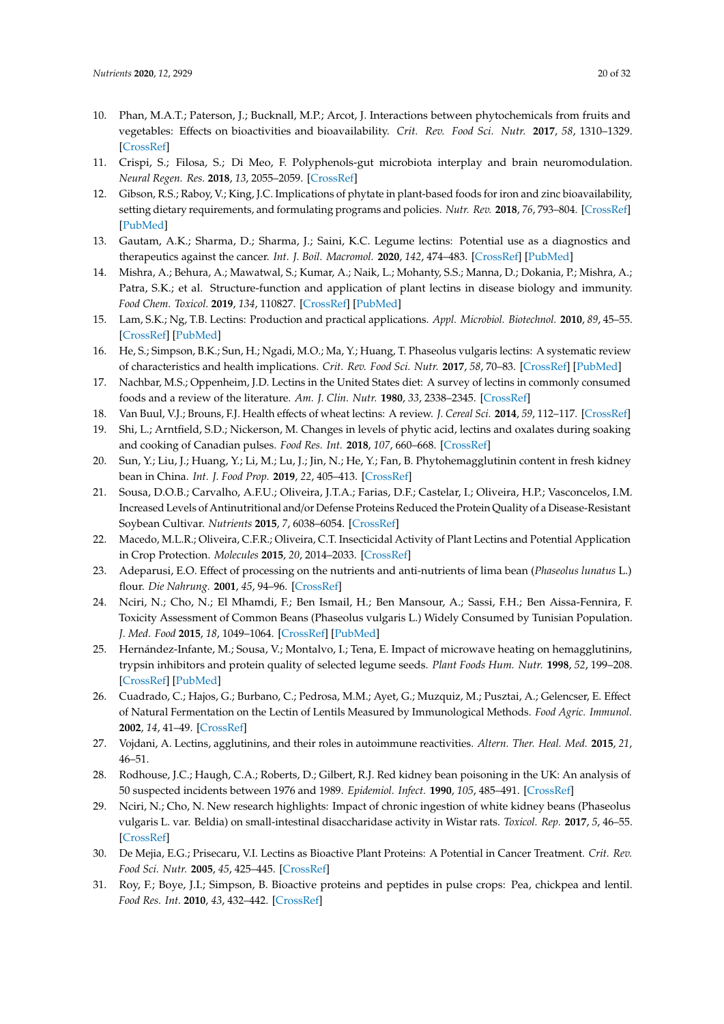- <span id="page-19-0"></span>10. Phan, M.A.T.; Paterson, J.; Bucknall, M.P.; Arcot, J. Interactions between phytochemicals from fruits and vegetables: Effects on bioactivities and bioavailability. *Crit. Rev. Food Sci. Nutr.* **2017**, *58*, 1310–1329. [\[CrossRef\]](http://dx.doi.org/10.1080/10408398.2016.1254595)
- <span id="page-19-1"></span>11. Crispi, S.; Filosa, S.; Di Meo, F. Polyphenols-gut microbiota interplay and brain neuromodulation. *Neural Regen. Res.* **2018**, *13*, 2055–2059. [\[CrossRef\]](http://dx.doi.org/10.4103/1673-5374.241429)
- <span id="page-19-2"></span>12. Gibson, R.S.; Raboy, V.; King, J.C. Implications of phytate in plant-based foods for iron and zinc bioavailability, setting dietary requirements, and formulating programs and policies. *Nutr. Rev.* **2018**, *76*, 793–804. [\[CrossRef\]](http://dx.doi.org/10.1093/nutrit/nuy028) [\[PubMed\]](http://www.ncbi.nlm.nih.gov/pubmed/30010865)
- <span id="page-19-3"></span>13. Gautam, A.K.; Sharma, D.; Sharma, J.; Saini, K.C. Legume lectins: Potential use as a diagnostics and therapeutics against the cancer. *Int. J. Boil. Macromol.* **2020**, *142*, 474–483. [\[CrossRef\]](http://dx.doi.org/10.1016/j.ijbiomac.2019.09.119) [\[PubMed\]](http://www.ncbi.nlm.nih.gov/pubmed/31593731)
- <span id="page-19-4"></span>14. Mishra, A.; Behura, A.; Mawatwal, S.; Kumar, A.; Naik, L.; Mohanty, S.S.; Manna, D.; Dokania, P.; Mishra, A.; Patra, S.K.; et al. Structure-function and application of plant lectins in disease biology and immunity. *Food Chem. Toxicol.* **2019**, *134*, 110827. [\[CrossRef\]](http://dx.doi.org/10.1016/j.fct.2019.110827) [\[PubMed\]](http://www.ncbi.nlm.nih.gov/pubmed/31542433)
- <span id="page-19-5"></span>15. Lam, S.K.; Ng, T.B. Lectins: Production and practical applications. *Appl. Microbiol. Biotechnol.* **2010**, *89*, 45–55. [\[CrossRef\]](http://dx.doi.org/10.1007/s00253-010-2892-9) [\[PubMed\]](http://www.ncbi.nlm.nih.gov/pubmed/20890754)
- <span id="page-19-6"></span>16. He, S.; Simpson, B.K.; Sun, H.; Ngadi, M.O.; Ma, Y.; Huang, T. Phaseolus vulgaris lectins: A systematic review of characteristics and health implications. *Crit. Rev. Food Sci. Nutr.* **2017**, *58*, 70–83. [\[CrossRef\]](http://dx.doi.org/10.1080/10408398.2015.1096234) [\[PubMed\]](http://www.ncbi.nlm.nih.gov/pubmed/26479307)
- <span id="page-19-7"></span>17. Nachbar, M.S.; Oppenheim, J.D. Lectins in the United States diet: A survey of lectins in commonly consumed foods and a review of the literature. *Am. J. Clin. Nutr.* **1980**, *33*, 2338–2345. [\[CrossRef\]](http://dx.doi.org/10.1093/ajcn/33.11.2338)
- <span id="page-19-8"></span>18. Van Buul, V.J.; Brouns, F.J. Health effects of wheat lectins: A review. *J. Cereal Sci.* **2014**, *59*, 112–117. [\[CrossRef\]](http://dx.doi.org/10.1016/j.jcs.2014.01.010)
- <span id="page-19-9"></span>19. Shi, L.; Arntfield, S.D.; Nickerson, M. Changes in levels of phytic acid, lectins and oxalates during soaking and cooking of Canadian pulses. *Food Res. Int.* **2018**, *107*, 660–668. [\[CrossRef\]](http://dx.doi.org/10.1016/j.foodres.2018.02.056)
- <span id="page-19-10"></span>20. Sun, Y.; Liu, J.; Huang, Y.; Li, M.; Lu, J.; Jin, N.; He, Y.; Fan, B. Phytohemagglutinin content in fresh kidney bean in China. *Int. J. Food Prop.* **2019**, *22*, 405–413. [\[CrossRef\]](http://dx.doi.org/10.1080/10942912.2019.1590399)
- <span id="page-19-11"></span>21. Sousa, D.O.B.; Carvalho, A.F.U.; Oliveira, J.T.A.; Farias, D.F.; Castelar, I.; Oliveira, H.P.; Vasconcelos, I.M. Increased Levels of Antinutritional and/or Defense Proteins Reduced the Protein Quality of a Disease-Resistant Soybean Cultivar. *Nutrients* **2015**, *7*, 6038–6054. [\[CrossRef\]](http://dx.doi.org/10.3390/nu7075269)
- <span id="page-19-12"></span>22. Macedo, M.L.R.; Oliveira, C.F.R.; Oliveira, C.T. Insecticidal Activity of Plant Lectins and Potential Application in Crop Protection. *Molecules* **2015**, *20*, 2014–2033. [\[CrossRef\]](http://dx.doi.org/10.3390/molecules20022014)
- <span id="page-19-13"></span>23. Adeparusi, E.O. Effect of processing on the nutrients and anti-nutrients of lima bean (*Phaseolus lunatus* L.) flour. *Die Nahrung.* **2001**, *45*, 94–96. [\[CrossRef\]](http://dx.doi.org/10.1002/1521-3803(20010401)45:2<94::AID-FOOD94>3.0.CO;2-E)
- <span id="page-19-14"></span>24. Nciri, N.; Cho, N.; El Mhamdi, F.; Ben Ismail, H.; Ben Mansour, A.; Sassi, F.H.; Ben Aissa-Fennira, F. Toxicity Assessment of Common Beans (Phaseolus vulgaris L.) Widely Consumed by Tunisian Population. *J. Med. Food* **2015**, *18*, 1049–1064. [\[CrossRef\]](http://dx.doi.org/10.1089/jmf.2014.0120) [\[PubMed\]](http://www.ncbi.nlm.nih.gov/pubmed/26355953)
- <span id="page-19-15"></span>25. Hernández-Infante, M.; Sousa, V.; Montalvo, I.; Tena, E. Impact of microwave heating on hemagglutinins, trypsin inhibitors and protein quality of selected legume seeds. *Plant Foods Hum. Nutr.* **1998**, *52*, 199–208. [\[CrossRef\]](http://dx.doi.org/10.1023/A:1008033610737) [\[PubMed\]](http://www.ncbi.nlm.nih.gov/pubmed/9950081)
- <span id="page-19-16"></span>26. Cuadrado, C.; Hajos, G.; Burbano, C.; Pedrosa, M.M.; Ayet, G.; Muzquiz, M.; Pusztai, A.; Gelencser, E. Effect of Natural Fermentation on the Lectin of Lentils Measured by Immunological Methods. *Food Agric. Immunol.* **2002**, *14*, 41–49. [\[CrossRef\]](http://dx.doi.org/10.1080/09540100220137655)
- <span id="page-19-17"></span>27. Vojdani, A. Lectins, agglutinins, and their roles in autoimmune reactivities. *Altern. Ther. Heal. Med.* **2015**, *21*, 46–51.
- <span id="page-19-18"></span>28. Rodhouse, J.C.; Haugh, C.A.; Roberts, D.; Gilbert, R.J. Red kidney bean poisoning in the UK: An analysis of 50 suspected incidents between 1976 and 1989. *Epidemiol. Infect.* **1990**, *105*, 485–491. [\[CrossRef\]](http://dx.doi.org/10.1017/S095026880004810X)
- <span id="page-19-19"></span>29. Nciri, N.; Cho, N. New research highlights: Impact of chronic ingestion of white kidney beans (Phaseolus vulgaris L. var. Beldia) on small-intestinal disaccharidase activity in Wistar rats. *Toxicol. Rep.* **2017**, *5*, 46–55. [\[CrossRef\]](http://dx.doi.org/10.1016/j.toxrep.2017.12.016)
- <span id="page-19-20"></span>30. De Mejia, E.G.; Prisecaru, V.I. Lectins as Bioactive Plant Proteins: A Potential in Cancer Treatment. *Crit. Rev. Food Sci. Nutr.* **2005**, *45*, 425–445. [\[CrossRef\]](http://dx.doi.org/10.1080/10408390591034445)
- <span id="page-19-21"></span>31. Roy, F.; Boye, J.I.; Simpson, B. Bioactive proteins and peptides in pulse crops: Pea, chickpea and lentil. *Food Res. Int.* **2010**, *43*, 432–442. [\[CrossRef\]](http://dx.doi.org/10.1016/j.foodres.2009.09.002)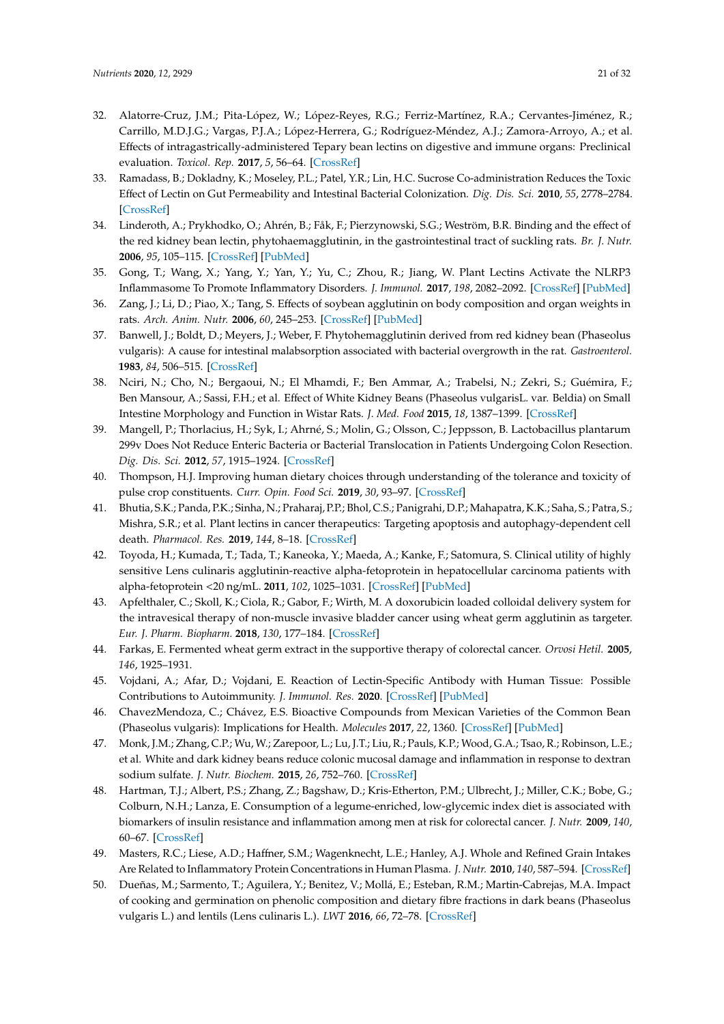- <span id="page-20-0"></span>32. Alatorre-Cruz, J.M.; Pita-López, W.; López-Reyes, R.G.; Ferriz-Martínez, R.A.; Cervantes-Jiménez, R.; Carrillo, M.D.J.G.; Vargas, P.J.A.; López-Herrera, G.; Rodríguez-Méndez, A.J.; Zamora-Arroyo, A.; et al. Effects of intragastrically-administered Tepary bean lectins on digestive and immune organs: Preclinical evaluation. *Toxicol. Rep.* **2017**, *5*, 56–64. [\[CrossRef\]](http://dx.doi.org/10.1016/j.toxrep.2017.12.008)
- <span id="page-20-1"></span>33. Ramadass, B.; Dokladny, K.; Moseley, P.L.; Patel, Y.R.; Lin, H.C. Sucrose Co-administration Reduces the Toxic Effect of Lectin on Gut Permeability and Intestinal Bacterial Colonization. *Dig. Dis. Sci.* **2010**, *55*, 2778–2784. [\[CrossRef\]](http://dx.doi.org/10.1007/s10620-010-1359-2)
- <span id="page-20-2"></span>34. Linderoth, A.; Prykhodko, O.; Ahrén, B.; Fåk, F.; Pierzynowski, S.G.; Weström, B.R. Binding and the effect of the red kidney bean lectin, phytohaemagglutinin, in the gastrointestinal tract of suckling rats. *Br. J. Nutr.* **2006**, *95*, 105–115. [\[CrossRef\]](http://dx.doi.org/10.1079/BJN20051612) [\[PubMed\]](http://www.ncbi.nlm.nih.gov/pubmed/16441922)
- 35. Gong, T.; Wang, X.; Yang, Y.; Yan, Y.; Yu, C.; Zhou, R.; Jiang, W. Plant Lectins Activate the NLRP3 Inflammasome To Promote Inflammatory Disorders. *J. Immunol.* **2017**, *198*, 2082–2092. [\[CrossRef\]](http://dx.doi.org/10.4049/jimmunol.1600145) [\[PubMed\]](http://www.ncbi.nlm.nih.gov/pubmed/28087670)
- 36. Zang, J.; Li, D.; Piao, X.; Tang, S. Effects of soybean agglutinin on body composition and organ weights in rats. *Arch. Anim. Nutr.* **2006**, *60*, 245–253. [\[CrossRef\]](http://dx.doi.org/10.1080/17450390600679082) [\[PubMed\]](http://www.ncbi.nlm.nih.gov/pubmed/16736858)
- <span id="page-20-3"></span>37. Banwell, J.; Boldt, D.; Meyers, J.; Weber, F. Phytohemagglutinin derived from red kidney bean (Phaseolus vulgaris): A cause for intestinal malabsorption associated with bacterial overgrowth in the rat. *Gastroenterol.* **1983**, *84*, 506–515. [\[CrossRef\]](http://dx.doi.org/10.1016/0016-5085(83)90074-4)
- <span id="page-20-4"></span>38. Nciri, N.; Cho, N.; Bergaoui, N.; El Mhamdi, F.; Ben Ammar, A.; Trabelsi, N.; Zekri, S.; Guémira, F.; Ben Mansour, A.; Sassi, F.H.; et al. Effect of White Kidney Beans (Phaseolus vulgarisL. var. Beldia) on Small Intestine Morphology and Function in Wistar Rats. *J. Med. Food* **2015**, *18*, 1387–1399. [\[CrossRef\]](http://dx.doi.org/10.1089/jmf.2014.0193)
- <span id="page-20-5"></span>39. Mangell, P.; Thorlacius, H.; Syk, I.; Ahrné, S.; Molin, G.; Olsson, C.; Jeppsson, B. Lactobacillus plantarum 299v Does Not Reduce Enteric Bacteria or Bacterial Translocation in Patients Undergoing Colon Resection. *Dig. Dis. Sci.* **2012**, *57*, 1915–1924. [\[CrossRef\]](http://dx.doi.org/10.1007/s10620-012-2102-y)
- <span id="page-20-6"></span>40. Thompson, H.J. Improving human dietary choices through understanding of the tolerance and toxicity of pulse crop constituents. *Curr. Opin. Food Sci.* **2019**, *30*, 93–97. [\[CrossRef\]](http://dx.doi.org/10.1016/j.cofs.2019.01.001)
- <span id="page-20-7"></span>41. Bhutia, S.K.; Panda, P.K.; Sinha, N.; Praharaj, P.P.; Bhol, C.S.; Panigrahi, D.P.; Mahapatra, K.K.; Saha, S.; Patra, S.; Mishra, S.R.; et al. Plant lectins in cancer therapeutics: Targeting apoptosis and autophagy-dependent cell death. *Pharmacol. Res.* **2019**, *144*, 8–18. [\[CrossRef\]](http://dx.doi.org/10.1016/j.phrs.2019.04.001)
- <span id="page-20-8"></span>42. Toyoda, H.; Kumada, T.; Tada, T.; Kaneoka, Y.; Maeda, A.; Kanke, F.; Satomura, S. Clinical utility of highly sensitive Lens culinaris agglutinin-reactive alpha-fetoprotein in hepatocellular carcinoma patients with alpha-fetoprotein <20 ng/mL. **2011**, *102*, 1025–1031. [\[CrossRef\]](http://dx.doi.org/10.1111/j.1349-7006.2011.01875.x) [\[PubMed\]](http://www.ncbi.nlm.nih.gov/pubmed/21244578)
- 43. Apfelthaler, C.; Skoll, K.; Ciola, R.; Gabor, F.; Wirth, M. A doxorubicin loaded colloidal delivery system for the intravesical therapy of non-muscle invasive bladder cancer using wheat germ agglutinin as targeter. *Eur. J. Pharm. Biopharm.* **2018**, *130*, 177–184. [\[CrossRef\]](http://dx.doi.org/10.1016/j.ejpb.2018.06.028)
- <span id="page-20-9"></span>44. Farkas, E. Fermented wheat germ extract in the supportive therapy of colorectal cancer. *Orvosi Hetil.* **2005**, *146*, 1925–1931.
- <span id="page-20-10"></span>45. Vojdani, A.; Afar, D.; Vojdani, E. Reaction of Lectin-Specific Antibody with Human Tissue: Possible Contributions to Autoimmunity. *J. Immunol. Res.* **2020**. [\[CrossRef\]](http://dx.doi.org/10.1155/2020/1438957) [\[PubMed\]](http://www.ncbi.nlm.nih.gov/pubmed/32104714)
- <span id="page-20-11"></span>46. ChavezMendoza, C.; Chávez, E.S. Bioactive Compounds from Mexican Varieties of the Common Bean (Phaseolus vulgaris): Implications for Health. *Molecules* **2017**, *22*, 1360. [\[CrossRef\]](http://dx.doi.org/10.3390/molecules22081360) [\[PubMed\]](http://www.ncbi.nlm.nih.gov/pubmed/28817105)
- <span id="page-20-12"></span>47. Monk, J.M.; Zhang, C.P.; Wu, W.; Zarepoor, L.; Lu, J.T.; Liu, R.; Pauls, K.P.; Wood, G.A.; Tsao, R.; Robinson, L.E.; et al. White and dark kidney beans reduce colonic mucosal damage and inflammation in response to dextran sodium sulfate. *J. Nutr. Biochem.* **2015**, *26*, 752–760. [\[CrossRef\]](http://dx.doi.org/10.1016/j.jnutbio.2015.02.003)
- 48. Hartman, T.J.; Albert, P.S.; Zhang, Z.; Bagshaw, D.; Kris-Etherton, P.M.; Ulbrecht, J.; Miller, C.K.; Bobe, G.; Colburn, N.H.; Lanza, E. Consumption of a legume-enriched, low-glycemic index diet is associated with biomarkers of insulin resistance and inflammation among men at risk for colorectal cancer. *J. Nutr.* **2009**, *140*, 60–67. [\[CrossRef\]](http://dx.doi.org/10.3945/jn.109.114249)
- 49. Masters, R.C.; Liese, A.D.; Haffner, S.M.; Wagenknecht, L.E.; Hanley, A.J. Whole and Refined Grain Intakes Are Related to Inflammatory Protein Concentrations in Human Plasma. *J. Nutr.* **2010**, *140*, 587–594. [\[CrossRef\]](http://dx.doi.org/10.3945/jn.109.116640)
- <span id="page-20-13"></span>50. Dueñas, M.; Sarmento, T.; Aguilera, Y.; Benitez, V.; Mollá, E.; Esteban, R.M.; Martin-Cabrejas, M.A. Impact of cooking and germination on phenolic composition and dietary fibre fractions in dark beans (Phaseolus vulgaris L.) and lentils (Lens culinaris L.). *LWT* **2016**, *66*, 72–78. [\[CrossRef\]](http://dx.doi.org/10.1016/j.lwt.2015.10.025)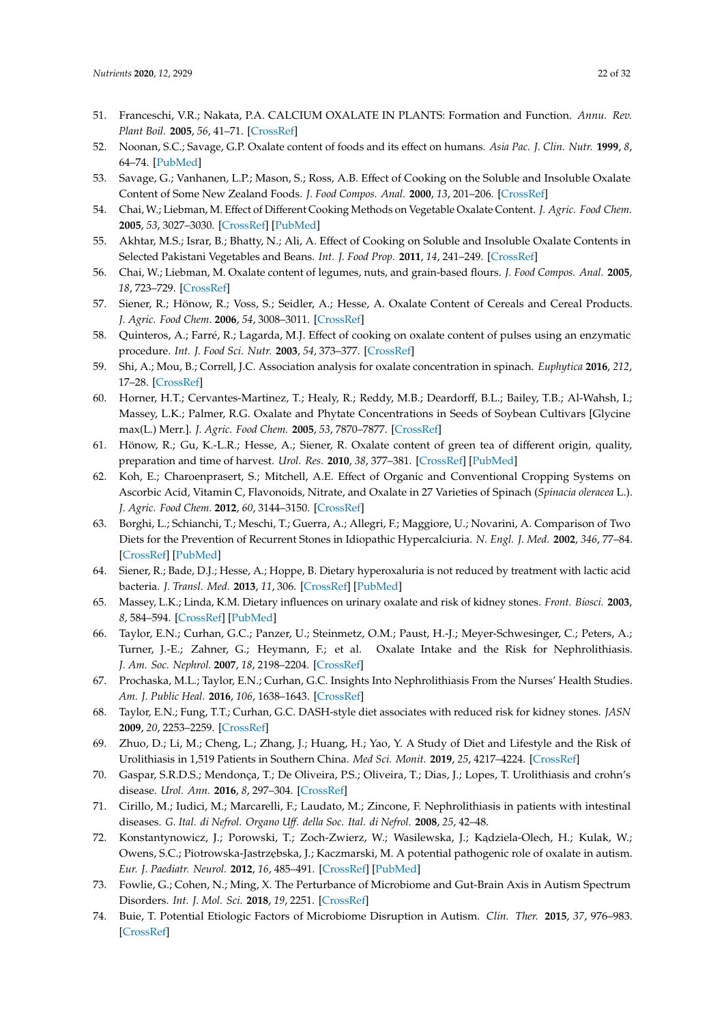- <span id="page-21-0"></span>51. Franceschi, V.R.; Nakata, P.A. CALCIUM OXALATE IN PLANTS: Formation and Function. *Annu. Rev. Plant Boil.* **2005**, *56*, 41–71. [\[CrossRef\]](http://dx.doi.org/10.1146/annurev.arplant.56.032604.144106)
- <span id="page-21-1"></span>52. Noonan, S.C.; Savage, G.P. Oxalate content of foods and its effect on humans. *Asia Pac. J. Clin. Nutr.* **1999**, *8*, 64–74. [\[PubMed\]](http://www.ncbi.nlm.nih.gov/pubmed/24393738)
- <span id="page-21-2"></span>53. Savage, G.; Vanhanen, L.P.; Mason, S.; Ross, A.B. Effect of Cooking on the Soluble and Insoluble Oxalate Content of Some New Zealand Foods. *J. Food Compos. Anal.* **2000**, *13*, 201–206. [\[CrossRef\]](http://dx.doi.org/10.1006/jfca.2000.0879)
- <span id="page-21-3"></span>54. Chai, W.; Liebman, M. Effect of Different Cooking Methods on Vegetable Oxalate Content. *J. Agric. Food Chem.* **2005**, *53*, 3027–3030. [\[CrossRef\]](http://dx.doi.org/10.1021/jf048128d) [\[PubMed\]](http://www.ncbi.nlm.nih.gov/pubmed/15826055)
- <span id="page-21-4"></span>55. Akhtar, M.S.; Israr, B.; Bhatty, N.; Ali, A. Effect of Cooking on Soluble and Insoluble Oxalate Contents in Selected Pakistani Vegetables and Beans. *Int. J. Food Prop.* **2011**, *14*, 241–249. [\[CrossRef\]](http://dx.doi.org/10.1080/10942910903326056)
- <span id="page-21-5"></span>56. Chai, W.; Liebman, M. Oxalate content of legumes, nuts, and grain-based flours. *J. Food Compos. Anal.* **2005**, *18*, 723–729. [\[CrossRef\]](http://dx.doi.org/10.1016/j.jfca.2004.07.001)
- <span id="page-21-6"></span>57. Siener, R.; Hönow, R.; Voss, S.; Seidler, A.; Hesse, A. Oxalate Content of Cereals and Cereal Products. *J. Agric. Food Chem.* **2006**, *54*, 3008–3011. [\[CrossRef\]](http://dx.doi.org/10.1021/jf052776v)
- <span id="page-21-7"></span>58. Quinteros, A.; Farré, R.; Lagarda, M.J. Effect of cooking on oxalate content of pulses using an enzymatic procedure. *Int. J. Food Sci. Nutr.* **2003**, *54*, 373–377. [\[CrossRef\]](http://dx.doi.org/10.1080/09637480310001595270)
- <span id="page-21-8"></span>59. Shi, A.; Mou, B.; Correll, J.C. Association analysis for oxalate concentration in spinach. *Euphytica* **2016**, *212*, 17–28. [\[CrossRef\]](http://dx.doi.org/10.1007/s10681-016-1740-0)
- <span id="page-21-9"></span>60. Horner, H.T.; Cervantes-Martinez, T.; Healy, R.; Reddy, M.B.; Deardorff, B.L.; Bailey, T.B.; Al-Wahsh, I.; Massey, L.K.; Palmer, R.G. Oxalate and Phytate Concentrations in Seeds of Soybean Cultivars [Glycine max(L.) Merr.]. *J. Agric. Food Chem.* **2005**, *53*, 7870–7877. [\[CrossRef\]](http://dx.doi.org/10.1021/jf051193i)
- <span id="page-21-10"></span>61. Hönow, R.; Gu, K.-L.R.; Hesse, A.; Siener, R. Oxalate content of green tea of different origin, quality, preparation and time of harvest. *Urol. Res.* **2010**, *38*, 377–381. [\[CrossRef\]](http://dx.doi.org/10.1007/s00240-009-0245-x) [\[PubMed\]](http://www.ncbi.nlm.nih.gov/pubmed/20204342)
- <span id="page-21-11"></span>62. Koh, E.; Charoenprasert, S.; Mitchell, A.E. Effect of Organic and Conventional Cropping Systems on Ascorbic Acid, Vitamin C, Flavonoids, Nitrate, and Oxalate in 27 Varieties of Spinach (*Spinacia oleracea* L.). *J. Agric. Food Chem.* **2012**, *60*, 3144–3150. [\[CrossRef\]](http://dx.doi.org/10.1021/jf300051f)
- <span id="page-21-12"></span>63. Borghi, L.; Schianchi, T.; Meschi, T.; Guerra, A.; Allegri, F.; Maggiore, U.; Novarini, A. Comparison of Two Diets for the Prevention of Recurrent Stones in Idiopathic Hypercalciuria. *N. Engl. J. Med.* **2002**, *346*, 77–84. [\[CrossRef\]](http://dx.doi.org/10.1056/NEJMoa010369) [\[PubMed\]](http://www.ncbi.nlm.nih.gov/pubmed/11784873)
- <span id="page-21-13"></span>64. Siener, R.; Bade, D.J.; Hesse, A.; Hoppe, B. Dietary hyperoxaluria is not reduced by treatment with lactic acid bacteria. *J. Transl. Med.* **2013**, *11*, 306. [\[CrossRef\]](http://dx.doi.org/10.1186/1479-5876-11-306) [\[PubMed\]](http://www.ncbi.nlm.nih.gov/pubmed/24330782)
- <span id="page-21-14"></span>65. Massey, L.K.; Linda, K.M. Dietary influences on urinary oxalate and risk of kidney stones. *Front. Biosci.* **2003**, *8*, 584–594. [\[CrossRef\]](http://dx.doi.org/10.2741/1082) [\[PubMed\]](http://www.ncbi.nlm.nih.gov/pubmed/12700096)
- <span id="page-21-15"></span>66. Taylor, E.N.; Curhan, G.C.; Panzer, U.; Steinmetz, O.M.; Paust, H.-J.; Meyer-Schwesinger, C.; Peters, A.; Turner, J.-E.; Zahner, G.; Heymann, F.; et al. Oxalate Intake and the Risk for Nephrolithiasis. *J. Am. Soc. Nephrol.* **2007**, *18*, 2198–2204. [\[CrossRef\]](http://dx.doi.org/10.1681/ASN.2007020219)
- <span id="page-21-16"></span>67. Prochaska, M.L.; Taylor, E.N.; Curhan, G.C. Insights Into Nephrolithiasis From the Nurses' Health Studies. *Am. J. Public Heal.* **2016**, *106*, 1638–1643. [\[CrossRef\]](http://dx.doi.org/10.2105/AJPH.2016.303319)
- <span id="page-21-17"></span>68. Taylor, E.N.; Fung, T.T.; Curhan, G.C. DASH-style diet associates with reduced risk for kidney stones. *JASN* **2009**, *20*, 2253–2259. [\[CrossRef\]](http://dx.doi.org/10.1681/ASN.2009030276)
- <span id="page-21-18"></span>69. Zhuo, D.; Li, M.; Cheng, L.; Zhang, J.; Huang, H.; Yao, Y. A Study of Diet and Lifestyle and the Risk of Urolithiasis in 1,519 Patients in Southern China. *Med Sci. Monit.* **2019**, *25*, 4217–4224. [\[CrossRef\]](http://dx.doi.org/10.12659/MSM.916703)
- <span id="page-21-19"></span>70. Gaspar, S.R.D.S.; Mendonça, T.; De Oliveira, P.S.; Oliveira, T.; Dias, J.; Lopes, T. Urolithiasis and crohn's disease. *Urol. Ann.* **2016**, *8*, 297–304. [\[CrossRef\]](http://dx.doi.org/10.4103/0974-7796.184879)
- <span id="page-21-20"></span>71. Cirillo, M.; Iudici, M.; Marcarelli, F.; Laudato, M.; Zincone, F. Nephrolithiasis in patients with intestinal diseases. *G. Ital. di Nefrol. Organo U*ff*. della Soc. Ital. di Nefrol.* **2008**, *25*, 42–48.
- <span id="page-21-21"></span>72. Konstantynowicz, J.; Porowski, T.; Zoch-Zwierz, W.; Wasilewska, J.; Kądziela-Olech, H.; Kulak, W.; Owens, S.C.; Piotrowska-Jastrzębska, J.; Kaczmarski, M. A potential pathogenic role of oxalate in autism. *Eur. J. Paediatr. Neurol.* **2012**, *16*, 485–491. [\[CrossRef\]](http://dx.doi.org/10.1016/j.ejpn.2011.08.004) [\[PubMed\]](http://www.ncbi.nlm.nih.gov/pubmed/21911305)
- <span id="page-21-22"></span>73. Fowlie, G.; Cohen, N.; Ming, X. The Perturbance of Microbiome and Gut-Brain Axis in Autism Spectrum Disorders. *Int. J. Mol. Sci.* **2018**, *19*, 2251. [\[CrossRef\]](http://dx.doi.org/10.3390/ijms19082251)
- <span id="page-21-23"></span>74. Buie, T. Potential Etiologic Factors of Microbiome Disruption in Autism. *Clin. Ther.* **2015**, *37*, 976–983. [\[CrossRef\]](http://dx.doi.org/10.1016/j.clinthera.2015.04.001)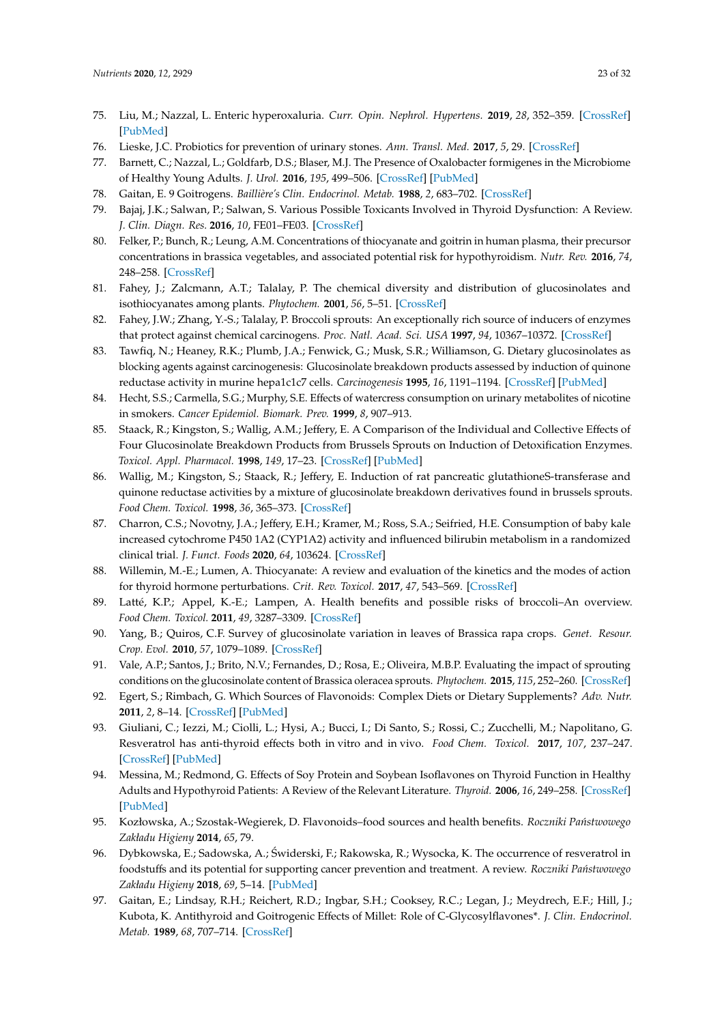- <span id="page-22-0"></span>75. Liu, M.; Nazzal, L. Enteric hyperoxaluria. *Curr. Opin. Nephrol. Hypertens.* **2019**, *28*, 352–359. [\[CrossRef\]](http://dx.doi.org/10.1097/MNH.0000000000000518) [\[PubMed\]](http://www.ncbi.nlm.nih.gov/pubmed/31145706)
- <span id="page-22-1"></span>76. Lieske, J.C. Probiotics for prevention of urinary stones. *Ann. Transl. Med.* **2017**, *5*, 29. [\[CrossRef\]](http://dx.doi.org/10.21037/atm.2016.11.86)
- <span id="page-22-2"></span>77. Barnett, C.; Nazzal, L.; Goldfarb, D.S.; Blaser, M.J. The Presence of Oxalobacter formigenes in the Microbiome of Healthy Young Adults. *J. Urol.* **2016**, *195*, 499–506. [\[CrossRef\]](http://dx.doi.org/10.1016/j.juro.2015.08.070) [\[PubMed\]](http://www.ncbi.nlm.nih.gov/pubmed/26292041)
- <span id="page-22-3"></span>78. Gaitan, E. 9 Goitrogens. *Baillière's Clin. Endocrinol. Metab.* **1988**, *2*, 683–702. [\[CrossRef\]](http://dx.doi.org/10.1016/S0950-351X(88)80060-0)
- <span id="page-22-4"></span>79. Bajaj, J.K.; Salwan, P.; Salwan, S. Various Possible Toxicants Involved in Thyroid Dysfunction: A Review. *J. Clin. Diagn. Res.* **2016**, *10*, FE01–FE03. [\[CrossRef\]](http://dx.doi.org/10.7860/JCDR/2016/15195.7092)
- <span id="page-22-5"></span>80. Felker, P.; Bunch, R.; Leung, A.M. Concentrations of thiocyanate and goitrin in human plasma, their precursor concentrations in brassica vegetables, and associated potential risk for hypothyroidism. *Nutr. Rev.* **2016**, *74*, 248–258. [\[CrossRef\]](http://dx.doi.org/10.1093/nutrit/nuv110)
- <span id="page-22-6"></span>81. Fahey, J.; Zalcmann, A.T.; Talalay, P. The chemical diversity and distribution of glucosinolates and isothiocyanates among plants. *Phytochem.* **2001**, *56*, 5–51. [\[CrossRef\]](http://dx.doi.org/10.1016/S0031-9422(00)00316-2)
- <span id="page-22-10"></span>82. Fahey, J.W.; Zhang, Y.-S.; Talalay, P. Broccoli sprouts: An exceptionally rich source of inducers of enzymes that protect against chemical carcinogens. *Proc. Natl. Acad. Sci. USA* **1997**, *94*, 10367–10372. [\[CrossRef\]](http://dx.doi.org/10.1073/pnas.94.19.10367)
- 83. Tawfiq, N.; Heaney, R.K.; Plumb, J.A.; Fenwick, G.; Musk, S.R.; Williamson, G. Dietary glucosinolates as blocking agents against carcinogenesis: Glucosinolate breakdown products assessed by induction of quinone reductase activity in murine hepa1c1c7 cells. *Carcinogenesis* **1995**, *16*, 1191–1194. [\[CrossRef\]](http://dx.doi.org/10.1093/carcin/16.5.1191) [\[PubMed\]](http://www.ncbi.nlm.nih.gov/pubmed/7767984)
- 84. Hecht, S.S.; Carmella, S.G.; Murphy, S.E. Effects of watercress consumption on urinary metabolites of nicotine in smokers. *Cancer Epidemiol. Biomark. Prev.* **1999**, *8*, 907–913.
- 85. Staack, R.; Kingston, S.; Wallig, A.M.; Jeffery, E. A Comparison of the Individual and Collective Effects of Four Glucosinolate Breakdown Products from Brussels Sprouts on Induction of Detoxification Enzymes. *Toxicol. Appl. Pharmacol.* **1998**, *149*, 17–23. [\[CrossRef\]](http://dx.doi.org/10.1006/taap.1997.8340) [\[PubMed\]](http://www.ncbi.nlm.nih.gov/pubmed/9512722)
- <span id="page-22-11"></span>86. Wallig, M.; Kingston, S.; Staack, R.; Jeffery, E. Induction of rat pancreatic glutathioneS-transferase and quinone reductase activities by a mixture of glucosinolate breakdown derivatives found in brussels sprouts. *Food Chem. Toxicol.* **1998**, *36*, 365–373. [\[CrossRef\]](http://dx.doi.org/10.1016/S0278-6915(97)00156-7)
- <span id="page-22-7"></span>87. Charron, C.S.; Novotny, J.A.; Jeffery, E.H.; Kramer, M.; Ross, S.A.; Seifried, H.E. Consumption of baby kale increased cytochrome P450 1A2 (CYP1A2) activity and influenced bilirubin metabolism in a randomized clinical trial. *J. Funct. Foods* **2020**, *64*, 103624. [\[CrossRef\]](http://dx.doi.org/10.1016/j.jff.2019.103624)
- <span id="page-22-8"></span>88. Willemin, M.-E.; Lumen, A. Thiocyanate: A review and evaluation of the kinetics and the modes of action for thyroid hormone perturbations. *Crit. Rev. Toxicol.* **2017**, *47*, 543–569. [\[CrossRef\]](http://dx.doi.org/10.1080/10408444.2017.1281590)
- <span id="page-22-9"></span>89. Latté, K.P.; Appel, K.-E.; Lampen, A. Health benefits and possible risks of broccoli–An overview. *Food Chem. Toxicol.* **2011**, *49*, 3287–3309. [\[CrossRef\]](http://dx.doi.org/10.1016/j.fct.2011.08.019)
- <span id="page-22-12"></span>90. Yang, B.; Quiros, C.F. Survey of glucosinolate variation in leaves of Brassica rapa crops. *Genet. Resour. Crop. Evol.* **2010**, *57*, 1079–1089. [\[CrossRef\]](http://dx.doi.org/10.1007/s10722-010-9549-5)
- <span id="page-22-13"></span>91. Vale, A.P.; Santos, J.; Brito, N.V.; Fernandes, D.; Rosa, E.; Oliveira, M.B.P. Evaluating the impact of sprouting conditions on the glucosinolate content of Brassica oleracea sprouts. *Phytochem.* **2015**, *115*, 252–260. [\[CrossRef\]](http://dx.doi.org/10.1016/j.phytochem.2015.02.004)
- <span id="page-22-14"></span>92. Egert, S.; Rimbach, G. Which Sources of Flavonoids: Complex Diets or Dietary Supplements? *Adv. Nutr.* **2011**, *2*, 8–14. [\[CrossRef\]](http://dx.doi.org/10.3945/an.110.000026) [\[PubMed\]](http://www.ncbi.nlm.nih.gov/pubmed/22211185)
- 93. Giuliani, C.; Iezzi, M.; Ciolli, L.; Hysi, A.; Bucci, I.; Di Santo, S.; Rossi, C.; Zucchelli, M.; Napolitano, G. Resveratrol has anti-thyroid effects both in vitro and in vivo. *Food Chem. Toxicol.* **2017**, *107*, 237–247. [\[CrossRef\]](http://dx.doi.org/10.1016/j.fct.2017.06.044) [\[PubMed\]](http://www.ncbi.nlm.nih.gov/pubmed/28668442)
- <span id="page-22-15"></span>94. Messina, M.; Redmond, G. Effects of Soy Protein and Soybean Isoflavones on Thyroid Function in Healthy Adults and Hypothyroid Patients: A Review of the Relevant Literature. *Thyroid.* **2006**, *16*, 249–258. [\[CrossRef\]](http://dx.doi.org/10.1089/thy.2006.16.249) [\[PubMed\]](http://www.ncbi.nlm.nih.gov/pubmed/16571087)
- <span id="page-22-16"></span>95. Kozłowska, A.; Szostak-Wegierek, D. Flavonoids-food sources and health benefits. *Roczniki Państwowego Zakładu Higieny* **2014**, *65*, 79.
- <span id="page-22-17"></span>96. Dybkowska, E.; Sadowska, A.; Swiderski, F.; Rakowska, R.; Wysocka, K. The occurrence of resveratrol in ´ foodstuffs and its potential for supporting cancer prevention and treatment. A review. *Roczniki Pa ´nstwowego Zakładu Higieny* **2018**, *69*, 5–14. [\[PubMed\]](http://www.ncbi.nlm.nih.gov/pubmed/29517181)
- <span id="page-22-18"></span>97. Gaitan, E.; Lindsay, R.H.; Reichert, R.D.; Ingbar, S.H.; Cooksey, R.C.; Legan, J.; Meydrech, E.F.; Hill, J.; Kubota, K. Antithyroid and Goitrogenic Effects of Millet: Role of C-Glycosylflavones\*. *J. Clin. Endocrinol. Metab.* **1989**, *68*, 707–714. [\[CrossRef\]](http://dx.doi.org/10.1210/jcem-68-4-707)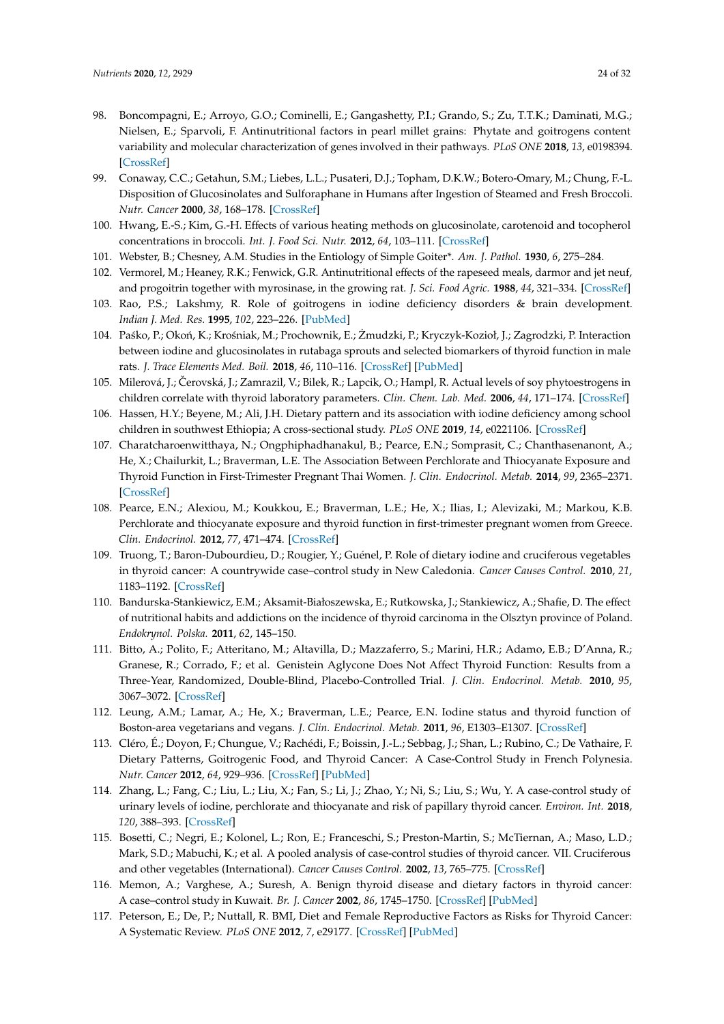- <span id="page-23-0"></span>98. Boncompagni, E.; Arroyo, G.O.; Cominelli, E.; Gangashetty, P.I.; Grando, S.; Zu, T.T.K.; Daminati, M.G.; Nielsen, E.; Sparvoli, F. Antinutritional factors in pearl millet grains: Phytate and goitrogens content variability and molecular characterization of genes involved in their pathways. *PLoS ONE* **2018**, *13*, e0198394. [\[CrossRef\]](http://dx.doi.org/10.1371/journal.pone.0198394)
- <span id="page-23-1"></span>99. Conaway, C.C.; Getahun, S.M.; Liebes, L.L.; Pusateri, D.J.; Topham, D.K.W.; Botero-Omary, M.; Chung, F.-L. Disposition of Glucosinolates and Sulforaphane in Humans after Ingestion of Steamed and Fresh Broccoli. *Nutr. Cancer* **2000**, *38*, 168–178. [\[CrossRef\]](http://dx.doi.org/10.1207/S15327914NC382_5)
- <span id="page-23-2"></span>100. Hwang, E.-S.; Kim, G.-H. Effects of various heating methods on glucosinolate, carotenoid and tocopherol concentrations in broccoli. *Int. J. Food Sci. Nutr.* **2012**, *64*, 103–111. [\[CrossRef\]](http://dx.doi.org/10.3109/09637486.2012.704904)
- <span id="page-23-3"></span>101. Webster, B.; Chesney, A.M. Studies in the Entiology of Simple Goiter\*. *Am. J. Pathol.* **1930**, *6*, 275–284.
- <span id="page-23-4"></span>102. Vermorel, M.; Heaney, R.K.; Fenwick, G.R. Antinutritional effects of the rapeseed meals, darmor and jet neuf, and progoitrin together with myrosinase, in the growing rat. *J. Sci. Food Agric.* **1988**, *44*, 321–334. [\[CrossRef\]](http://dx.doi.org/10.1002/jsfa.2740440405)
- <span id="page-23-5"></span>103. Rao, P.S.; Lakshmy, R. Role of goitrogens in iodine deficiency disorders & brain development. *Indian J. Med. Res.* **1995**, *102*, 223–226. [\[PubMed\]](http://www.ncbi.nlm.nih.gov/pubmed/8675242)
- <span id="page-23-6"></span>104. Paśko, P.; Okoń, K.; Krośniak, M.; Prochownik, E.; Żmudzki, P.; Kryczyk-Kozioł, J.; Zagrodzki, P. Interaction between iodine and glucosinolates in rutabaga sprouts and selected biomarkers of thyroid function in male rats. *J. Trace Elements Med. Boil.* **2018**, *46*, 110–116. [\[CrossRef\]](http://dx.doi.org/10.1016/j.jtemb.2017.12.002) [\[PubMed\]](http://www.ncbi.nlm.nih.gov/pubmed/29413100)
- <span id="page-23-7"></span>105. Milerová, J.; Čerovská, J.; Zamrazil, V.; Bilek, R.; Lapcik, O.; Hampl, R. Actual levels of soy phytoestrogens in children correlate with thyroid laboratory parameters. *Clin. Chem. Lab. Med.* **2006**, *44*, 171–174. [\[CrossRef\]](http://dx.doi.org/10.1515/CCLM.2006.031)
- <span id="page-23-8"></span>106. Hassen, H.Y.; Beyene, M.; Ali, J.H. Dietary pattern and its association with iodine deficiency among school children in southwest Ethiopia; A cross-sectional study. *PLoS ONE* **2019**, *14*, e0221106. [\[CrossRef\]](http://dx.doi.org/10.1371/journal.pone.0221106)
- <span id="page-23-9"></span>107. Charatcharoenwitthaya, N.; Ongphiphadhanakul, B.; Pearce, E.N.; Somprasit, C.; Chanthasenanont, A.; He, X.; Chailurkit, L.; Braverman, L.E. The Association Between Perchlorate and Thiocyanate Exposure and Thyroid Function in First-Trimester Pregnant Thai Women. *J. Clin. Endocrinol. Metab.* **2014**, *99*, 2365–2371. [\[CrossRef\]](http://dx.doi.org/10.1210/jc.2013-3986)
- <span id="page-23-10"></span>108. Pearce, E.N.; Alexiou, M.; Koukkou, E.; Braverman, L.E.; He, X.; Ilias, I.; Alevizaki, M.; Markou, K.B. Perchlorate and thiocyanate exposure and thyroid function in first-trimester pregnant women from Greece. *Clin. Endocrinol.* **2012**, *77*, 471–474. [\[CrossRef\]](http://dx.doi.org/10.1111/j.1365-2265.2012.04407.x)
- <span id="page-23-11"></span>109. Truong, T.; Baron-Dubourdieu, D.; Rougier, Y.; Guénel, P. Role of dietary iodine and cruciferous vegetables in thyroid cancer: A countrywide case–control study in New Caledonia. *Cancer Causes Control.* **2010**, *21*, 1183–1192. [\[CrossRef\]](http://dx.doi.org/10.1007/s10552-010-9545-2)
- <span id="page-23-12"></span>110. Bandurska-Stankiewicz, E.M.; Aksamit-Białoszewska, E.; Rutkowska, J.; Stankiewicz, A.; Shafie, D. The effect of nutritional habits and addictions on the incidence of thyroid carcinoma in the Olsztyn province of Poland. *Endokrynol. Polska.* **2011**, *62*, 145–150.
- <span id="page-23-13"></span>111. Bitto, A.; Polito, F.; Atteritano, M.; Altavilla, D.; Mazzaferro, S.; Marini, H.R.; Adamo, E.B.; D'Anna, R.; Granese, R.; Corrado, F.; et al. Genistein Aglycone Does Not Affect Thyroid Function: Results from a Three-Year, Randomized, Double-Blind, Placebo-Controlled Trial. *J. Clin. Endocrinol. Metab.* **2010**, *95*, 3067–3072. [\[CrossRef\]](http://dx.doi.org/10.1210/jc.2009-2779)
- <span id="page-23-14"></span>112. Leung, A.M.; Lamar, A.; He, X.; Braverman, L.E.; Pearce, E.N. Iodine status and thyroid function of Boston-area vegetarians and vegans. *J. Clin. Endocrinol. Metab.* **2011**, *96*, E1303–E1307. [\[CrossRef\]](http://dx.doi.org/10.1210/jc.2011-0256)
- <span id="page-23-15"></span>113. Cléro, É.; Doyon, F.; Chungue, V.; Rachédi, F.; Boissin, J.-L.; Sebbag, J.; Shan, L.; Rubino, C.; De Vathaire, F. Dietary Patterns, Goitrogenic Food, and Thyroid Cancer: A Case-Control Study in French Polynesia. *Nutr. Cancer* **2012**, *64*, 929–936. [\[CrossRef\]](http://dx.doi.org/10.1080/01635581.2012.713538) [\[PubMed\]](http://www.ncbi.nlm.nih.gov/pubmed/23061901)
- <span id="page-23-16"></span>114. Zhang, L.; Fang, C.; Liu, L.; Liu, X.; Fan, S.; Li, J.; Zhao, Y.; Ni, S.; Liu, S.; Wu, Y. A case-control study of urinary levels of iodine, perchlorate and thiocyanate and risk of papillary thyroid cancer. *Environ. Int.* **2018**, *120*, 388–393. [\[CrossRef\]](http://dx.doi.org/10.1016/j.envint.2018.08.024)
- <span id="page-23-17"></span>115. Bosetti, C.; Negri, E.; Kolonel, L.; Ron, E.; Franceschi, S.; Preston-Martin, S.; McTiernan, A.; Maso, L.D.; Mark, S.D.; Mabuchi, K.; et al. A pooled analysis of case-control studies of thyroid cancer. VII. Cruciferous and other vegetables (International). *Cancer Causes Control.* **2002**, *13*, 765–775. [\[CrossRef\]](http://dx.doi.org/10.1023/A:1020243527152)
- 116. Memon, A.; Varghese, A.; Suresh, A. Benign thyroid disease and dietary factors in thyroid cancer: A case–control study in Kuwait. *Br. J. Cancer* **2002**, *86*, 1745–1750. [\[CrossRef\]](http://dx.doi.org/10.1038/sj.bjc.6600303) [\[PubMed\]](http://www.ncbi.nlm.nih.gov/pubmed/12087461)
- <span id="page-23-18"></span>117. Peterson, E.; De, P.; Nuttall, R. BMI, Diet and Female Reproductive Factors as Risks for Thyroid Cancer: A Systematic Review. *PLoS ONE* **2012**, *7*, e29177. [\[CrossRef\]](http://dx.doi.org/10.1371/journal.pone.0029177) [\[PubMed\]](http://www.ncbi.nlm.nih.gov/pubmed/22276106)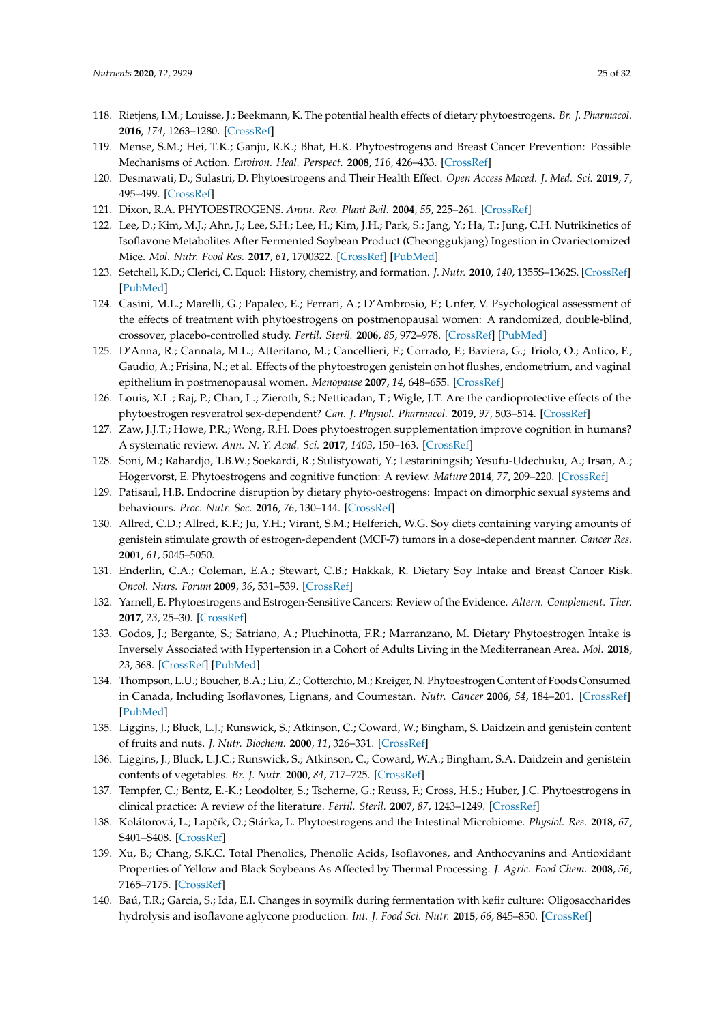- <span id="page-24-0"></span>118. Rietjens, I.M.; Louisse, J.; Beekmann, K. The potential health effects of dietary phytoestrogens. *Br. J. Pharmacol.* **2016**, *174*, 1263–1280. [\[CrossRef\]](http://dx.doi.org/10.1111/bph.13622)
- <span id="page-24-1"></span>119. Mense, S.M.; Hei, T.K.; Ganju, R.K.; Bhat, H.K. Phytoestrogens and Breast Cancer Prevention: Possible Mechanisms of Action. *Environ. Heal. Perspect.* **2008**, *116*, 426–433. [\[CrossRef\]](http://dx.doi.org/10.1289/ehp.10538)
- <span id="page-24-2"></span>120. Desmawati, D.; Sulastri, D. Phytoestrogens and Their Health Effect. *Open Access Maced. J. Med. Sci.* **2019**, *7*, 495–499. [\[CrossRef\]](http://dx.doi.org/10.3889/oamjms.2019.086)
- <span id="page-24-3"></span>121. Dixon, R.A. PHYTOESTROGENS. *Annu. Rev. Plant Boil.* **2004**, *55*, 225–261. [\[CrossRef\]](http://dx.doi.org/10.1146/annurev.arplant.55.031903.141729)
- <span id="page-24-4"></span>122. Lee, D.; Kim, M.J.; Ahn, J.; Lee, S.H.; Lee, H.; Kim, J.H.; Park, S.; Jang, Y.; Ha, T.; Jung, C.H. Nutrikinetics of Isoflavone Metabolites After Fermented Soybean Product (Cheonggukjang) Ingestion in Ovariectomized Mice. *Mol. Nutr. Food Res.* **2017**, *61*, 1700322. [\[CrossRef\]](http://dx.doi.org/10.1002/mnfr.201700322) [\[PubMed\]](http://www.ncbi.nlm.nih.gov/pubmed/28981201)
- <span id="page-24-5"></span>123. Setchell, K.D.; Clerici, C. Equol: History, chemistry, and formation. *J. Nutr.* **2010**, *140*, 1355S–1362S. [\[CrossRef\]](http://dx.doi.org/10.3945/jn.109.119776) [\[PubMed\]](http://www.ncbi.nlm.nih.gov/pubmed/20519412)
- <span id="page-24-6"></span>124. Casini, M.L.; Marelli, G.; Papaleo, E.; Ferrari, A.; D'Ambrosio, F.; Unfer, V. Psychological assessment of the effects of treatment with phytoestrogens on postmenopausal women: A randomized, double-blind, crossover, placebo-controlled study. *Fertil. Steril.* **2006**, *85*, 972–978. [\[CrossRef\]](http://dx.doi.org/10.1016/j.fertnstert.2005.09.048) [\[PubMed\]](http://www.ncbi.nlm.nih.gov/pubmed/16580383)
- 125. D'Anna, R.; Cannata, M.L.; Atteritano, M.; Cancellieri, F.; Corrado, F.; Baviera, G.; Triolo, O.; Antico, F.; Gaudio, A.; Frisina, N.; et al. Effects of the phytoestrogen genistein on hot flushes, endometrium, and vaginal epithelium in postmenopausal women. *Menopause* **2007**, *14*, 648–655. [\[CrossRef\]](http://dx.doi.org/10.1097/01.gme.0000248708.60698.98)
- 126. Louis, X.L.; Raj, P.; Chan, L.; Zieroth, S.; Netticadan, T.; Wigle, J.T. Are the cardioprotective effects of the phytoestrogen resveratrol sex-dependent? *Can. J. Physiol. Pharmacol.* **2019**, *97*, 503–514. [\[CrossRef\]](http://dx.doi.org/10.1139/cjpp-2018-0544)
- 127. Zaw, J.J.T.; Howe, P.R.; Wong, R.H. Does phytoestrogen supplementation improve cognition in humans? A systematic review. *Ann. N. Y. Acad. Sci.* **2017**, *1403*, 150–163. [\[CrossRef\]](http://dx.doi.org/10.1111/nyas.13459)
- <span id="page-24-7"></span>128. Soni, M.; Rahardjo, T.B.W.; Soekardi, R.; Sulistyowati, Y.; Lestariningsih; Yesufu-Udechuku, A.; Irsan, A.; Hogervorst, E. Phytoestrogens and cognitive function: A review. *Mature* **2014**, *77*, 209–220. [\[CrossRef\]](http://dx.doi.org/10.1016/j.maturitas.2013.12.010)
- <span id="page-24-8"></span>129. Patisaul, H.B. Endocrine disruption by dietary phyto-oestrogens: Impact on dimorphic sexual systems and behaviours. *Proc. Nutr. Soc.* **2016**, *76*, 130–144. [\[CrossRef\]](http://dx.doi.org/10.1017/S0029665116000677)
- 130. Allred, C.D.; Allred, K.F.; Ju, Y.H.; Virant, S.M.; Helferich, W.G. Soy diets containing varying amounts of genistein stimulate growth of estrogen-dependent (MCF-7) tumors in a dose-dependent manner. *Cancer Res.* **2001**, *61*, 5045–5050.
- 131. Enderlin, C.A.; Coleman, E.A.; Stewart, C.B.; Hakkak, R. Dietary Soy Intake and Breast Cancer Risk. *Oncol. Nurs. Forum* **2009**, *36*, 531–539. [\[CrossRef\]](http://dx.doi.org/10.1188/09.ONF.531-539)
- <span id="page-24-9"></span>132. Yarnell, E. Phytoestrogens and Estrogen-Sensitive Cancers: Review of the Evidence. *Altern. Complement. Ther.* **2017**, *23*, 25–30. [\[CrossRef\]](http://dx.doi.org/10.1089/act.2016.29095.eya)
- <span id="page-24-10"></span>133. Godos, J.; Bergante, S.; Satriano, A.; Pluchinotta, F.R.; Marranzano, M. Dietary Phytoestrogen Intake is Inversely Associated with Hypertension in a Cohort of Adults Living in the Mediterranean Area. *Mol.* **2018**, *23*, 368. [\[CrossRef\]](http://dx.doi.org/10.3390/molecules23020368) [\[PubMed\]](http://www.ncbi.nlm.nih.gov/pubmed/29425149)
- <span id="page-24-11"></span>134. Thompson, L.U.; Boucher, B.A.; Liu, Z.; Cotterchio, M.; Kreiger, N. Phytoestrogen Content of Foods Consumed in Canada, Including Isoflavones, Lignans, and Coumestan. *Nutr. Cancer* **2006**, *54*, 184–201. [\[CrossRef\]](http://dx.doi.org/10.1207/s15327914nc5402_5) [\[PubMed\]](http://www.ncbi.nlm.nih.gov/pubmed/16898863)
- <span id="page-24-12"></span>135. Liggins, J.; Bluck, L.J.; Runswick, S.; Atkinson, C.; Coward, W.; Bingham, S. Daidzein and genistein content of fruits and nuts. *J. Nutr. Biochem.* **2000**, *11*, 326–331. [\[CrossRef\]](http://dx.doi.org/10.1016/S0955-2863(00)00085-1)
- <span id="page-24-13"></span>136. Liggins, J.; Bluck, L.J.C.; Runswick, S.; Atkinson, C.; Coward, W.A.; Bingham, S.A. Daidzein and genistein contents of vegetables. *Br. J. Nutr.* **2000**, *84*, 717–725. [\[CrossRef\]](http://dx.doi.org/10.1017/S0007114500002075)
- <span id="page-24-14"></span>137. Tempfer, C.; Bentz, E.-K.; Leodolter, S.; Tscherne, G.; Reuss, F.; Cross, H.S.; Huber, J.C. Phytoestrogens in clinical practice: A review of the literature. *Fertil. Steril.* **2007**, *87*, 1243–1249. [\[CrossRef\]](http://dx.doi.org/10.1016/j.fertnstert.2007.01.120)
- <span id="page-24-15"></span>138. Kolátorová, L.; Lapˇcík, O.; Stárka, L. Phytoestrogens and the Intestinal Microbiome. *Physiol. Res.* **2018**, *67*, S401–S408. [\[CrossRef\]](http://dx.doi.org/10.33549/physiolres.934022)
- <span id="page-24-16"></span>139. Xu, B.; Chang, S.K.C. Total Phenolics, Phenolic Acids, Isoflavones, and Anthocyanins and Antioxidant Properties of Yellow and Black Soybeans As Affected by Thermal Processing. *J. Agric. Food Chem.* **2008**, *56*, 7165–7175. [\[CrossRef\]](http://dx.doi.org/10.1021/jf8012234)
- <span id="page-24-17"></span>140. Baú, T.R.; Garcia, S.; Ida, E.I. Changes in soymilk during fermentation with kefir culture: Oligosaccharides hydrolysis and isoflavone aglycone production. *Int. J. Food Sci. Nutr.* **2015**, *66*, 845–850. [\[CrossRef\]](http://dx.doi.org/10.3109/09637486.2015.1095861)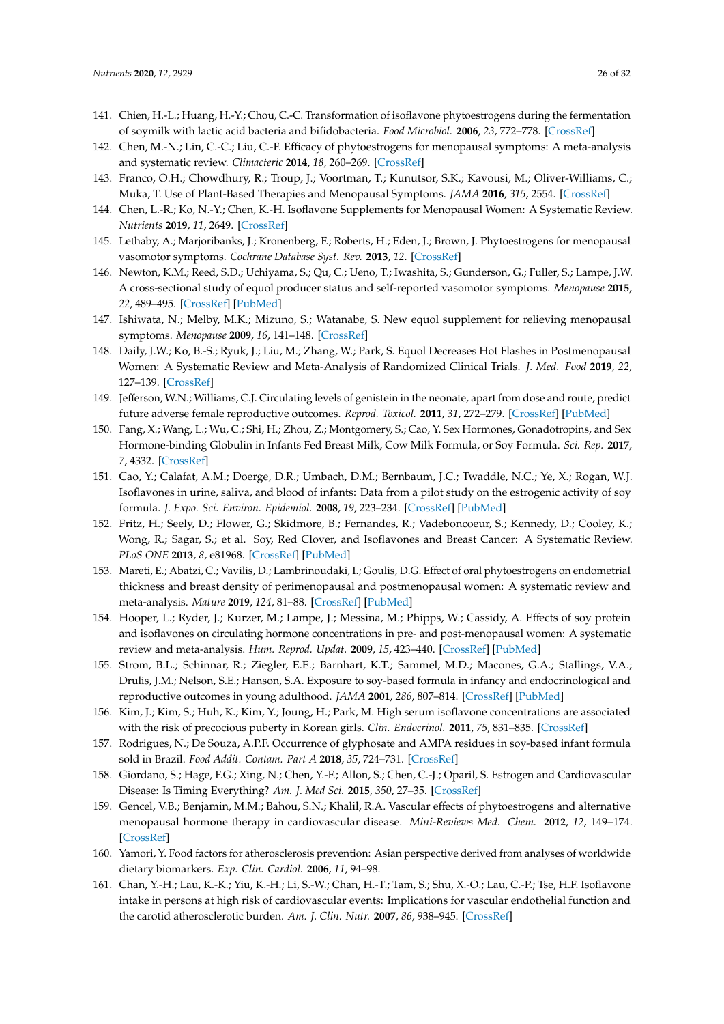- <span id="page-25-0"></span>141. Chien, H.-L.; Huang, H.-Y.; Chou, C.-C. Transformation of isoflavone phytoestrogens during the fermentation of soymilk with lactic acid bacteria and bifidobacteria. *Food Microbiol.* **2006**, *23*, 772–778. [\[CrossRef\]](http://dx.doi.org/10.1016/j.fm.2006.01.002)
- <span id="page-25-1"></span>142. Chen, M.-N.; Lin, C.-C.; Liu, C.-F. Efficacy of phytoestrogens for menopausal symptoms: A meta-analysis and systematic review. *Climacteric* **2014**, *18*, 260–269. [\[CrossRef\]](http://dx.doi.org/10.3109/13697137.2014.966241)
- <span id="page-25-2"></span>143. Franco, O.H.; Chowdhury, R.; Troup, J.; Voortman, T.; Kunutsor, S.K.; Kavousi, M.; Oliver-Williams, C.; Muka, T. Use of Plant-Based Therapies and Menopausal Symptoms. *JAMA* **2016**, *315*, 2554. [\[CrossRef\]](http://dx.doi.org/10.1001/jama.2016.8012)
- <span id="page-25-3"></span>144. Chen, L.-R.; Ko, N.-Y.; Chen, K.-H. Isoflavone Supplements for Menopausal Women: A Systematic Review. *Nutrients* **2019**, *11*, 2649. [\[CrossRef\]](http://dx.doi.org/10.3390/nu11112649)
- <span id="page-25-4"></span>145. Lethaby, A.; Marjoribanks, J.; Kronenberg, F.; Roberts, H.; Eden, J.; Brown, J. Phytoestrogens for menopausal vasomotor symptoms. *Cochrane Database Syst. Rev.* **2013**, *12*. [\[CrossRef\]](http://dx.doi.org/10.1002/14651858.CD001395.pub4)
- <span id="page-25-5"></span>146. Newton, K.M.; Reed, S.D.; Uchiyama, S.; Qu, C.; Ueno, T.; Iwashita, S.; Gunderson, G.; Fuller, S.; Lampe, J.W. A cross-sectional study of equol producer status and self-reported vasomotor symptoms. *Menopause* **2015**, *22*, 489–495. [\[CrossRef\]](http://dx.doi.org/10.1097/GME.0000000000000363) [\[PubMed\]](http://www.ncbi.nlm.nih.gov/pubmed/25380274)
- <span id="page-25-6"></span>147. Ishiwata, N.; Melby, M.K.; Mizuno, S.; Watanabe, S. New equol supplement for relieving menopausal symptoms. *Menopause* **2009**, *16*, 141–148. [\[CrossRef\]](http://dx.doi.org/10.1097/gme.0b013e31818379fa)
- <span id="page-25-7"></span>148. Daily, J.W.; Ko, B.-S.; Ryuk, J.; Liu, M.; Zhang, W.; Park, S. Equol Decreases Hot Flashes in Postmenopausal Women: A Systematic Review and Meta-Analysis of Randomized Clinical Trials. *J. Med. Food* **2019**, *22*, 127–139. [\[CrossRef\]](http://dx.doi.org/10.1089/jmf.2018.4265)
- <span id="page-25-8"></span>149. Jefferson, W.N.; Williams, C.J. Circulating levels of genistein in the neonate, apart from dose and route, predict future adverse female reproductive outcomes. *Reprod. Toxicol.* **2011**, *31*, 272–279. [\[CrossRef\]](http://dx.doi.org/10.1016/j.reprotox.2010.10.001) [\[PubMed\]](http://www.ncbi.nlm.nih.gov/pubmed/20955782)
- <span id="page-25-9"></span>150. Fang, X.; Wang, L.; Wu, C.; Shi, H.; Zhou, Z.; Montgomery, S.; Cao, Y. Sex Hormones, Gonadotropins, and Sex Hormone-binding Globulin in Infants Fed Breast Milk, Cow Milk Formula, or Soy Formula. *Sci. Rep.* **2017**, *7*, 4332. [\[CrossRef\]](http://dx.doi.org/10.1038/s41598-017-04610-y)
- <span id="page-25-10"></span>151. Cao, Y.; Calafat, A.M.; Doerge, D.R.; Umbach, D.M.; Bernbaum, J.C.; Twaddle, N.C.; Ye, X.; Rogan, W.J. Isoflavones in urine, saliva, and blood of infants: Data from a pilot study on the estrogenic activity of soy formula. *J. Expo. Sci. Environ. Epidemiol.* **2008**, *19*, 223–234. [\[CrossRef\]](http://dx.doi.org/10.1038/jes.2008.44) [\[PubMed\]](http://www.ncbi.nlm.nih.gov/pubmed/18665197)
- <span id="page-25-11"></span>152. Fritz, H.; Seely, D.; Flower, G.; Skidmore, B.; Fernandes, R.; Vadeboncoeur, S.; Kennedy, D.; Cooley, K.; Wong, R.; Sagar, S.; et al. Soy, Red Clover, and Isoflavones and Breast Cancer: A Systematic Review. *PLoS ONE* **2013**, *8*, e81968. [\[CrossRef\]](http://dx.doi.org/10.1371/journal.pone.0081968) [\[PubMed\]](http://www.ncbi.nlm.nih.gov/pubmed/24312387)
- <span id="page-25-12"></span>153. Mareti, E.; Abatzi, C.; Vavilis, D.; Lambrinoudaki, I.; Goulis, D.G. Effect of oral phytoestrogens on endometrial thickness and breast density of perimenopausal and postmenopausal women: A systematic review and meta-analysis. *Mature* **2019**, *124*, 81–88. [\[CrossRef\]](http://dx.doi.org/10.1016/j.maturitas.2019.03.023) [\[PubMed\]](http://www.ncbi.nlm.nih.gov/pubmed/31097185)
- <span id="page-25-13"></span>154. Hooper, L.; Ryder, J.; Kurzer, M.; Lampe, J.; Messina, M.; Phipps, W.; Cassidy, A. Effects of soy protein and isoflavones on circulating hormone concentrations in pre- and post-menopausal women: A systematic review and meta-analysis. *Hum. Reprod. Updat.* **2009**, *15*, 423–440. [\[CrossRef\]](http://dx.doi.org/10.1093/humupd/dmp010) [\[PubMed\]](http://www.ncbi.nlm.nih.gov/pubmed/19299447)
- <span id="page-25-14"></span>155. Strom, B.L.; Schinnar, R.; Ziegler, E.E.; Barnhart, K.T.; Sammel, M.D.; Macones, G.A.; Stallings, V.A.; Drulis, J.M.; Nelson, S.E.; Hanson, S.A. Exposure to soy-based formula in infancy and endocrinological and reproductive outcomes in young adulthood. *JAMA* **2001**, *286*, 807–814. [\[CrossRef\]](http://dx.doi.org/10.1001/jama.286.7.807) [\[PubMed\]](http://www.ncbi.nlm.nih.gov/pubmed/11497534)
- <span id="page-25-15"></span>156. Kim, J.; Kim, S.; Huh, K.; Kim, Y.; Joung, H.; Park, M. High serum isoflavone concentrations are associated with the risk of precocious puberty in Korean girls. *Clin. Endocrinol.* **2011**, *75*, 831–835. [\[CrossRef\]](http://dx.doi.org/10.1111/j.1365-2265.2011.04127.x)
- <span id="page-25-16"></span>157. Rodrigues, N.; De Souza, A.P.F. Occurrence of glyphosate and AMPA residues in soy-based infant formula sold in Brazil. *Food Addit. Contam. Part A* **2018**, *35*, 724–731. [\[CrossRef\]](http://dx.doi.org/10.1080/19440049.2017.1419286)
- <span id="page-25-17"></span>158. Giordano, S.; Hage, F.G.; Xing, N.; Chen, Y.-F.; Allon, S.; Chen, C.-J.; Oparil, S. Estrogen and Cardiovascular Disease: Is Timing Everything? *Am. J. Med Sci.* **2015**, *350*, 27–35. [\[CrossRef\]](http://dx.doi.org/10.1097/MAJ.0000000000000512)
- <span id="page-25-18"></span>159. Gencel, V.B.; Benjamin, M.M.; Bahou, S.N.; Khalil, R.A. Vascular effects of phytoestrogens and alternative menopausal hormone therapy in cardiovascular disease. *Mini-Reviews Med. Chem.* **2012**, *12*, 149–174. [\[CrossRef\]](http://dx.doi.org/10.2174/138955712798995020)
- <span id="page-25-19"></span>160. Yamori, Y. Food factors for atherosclerosis prevention: Asian perspective derived from analyses of worldwide dietary biomarkers. *Exp. Clin. Cardiol.* **2006**, *11*, 94–98.
- <span id="page-25-20"></span>161. Chan, Y.-H.; Lau, K.-K.; Yiu, K.-H.; Li, S.-W.; Chan, H.-T.; Tam, S.; Shu, X.-O.; Lau, C.-P.; Tse, H.F. Isoflavone intake in persons at high risk of cardiovascular events: Implications for vascular endothelial function and the carotid atherosclerotic burden. *Am. J. Clin. Nutr.* **2007**, *86*, 938–945. [\[CrossRef\]](http://dx.doi.org/10.1093/ajcn/86.4.938)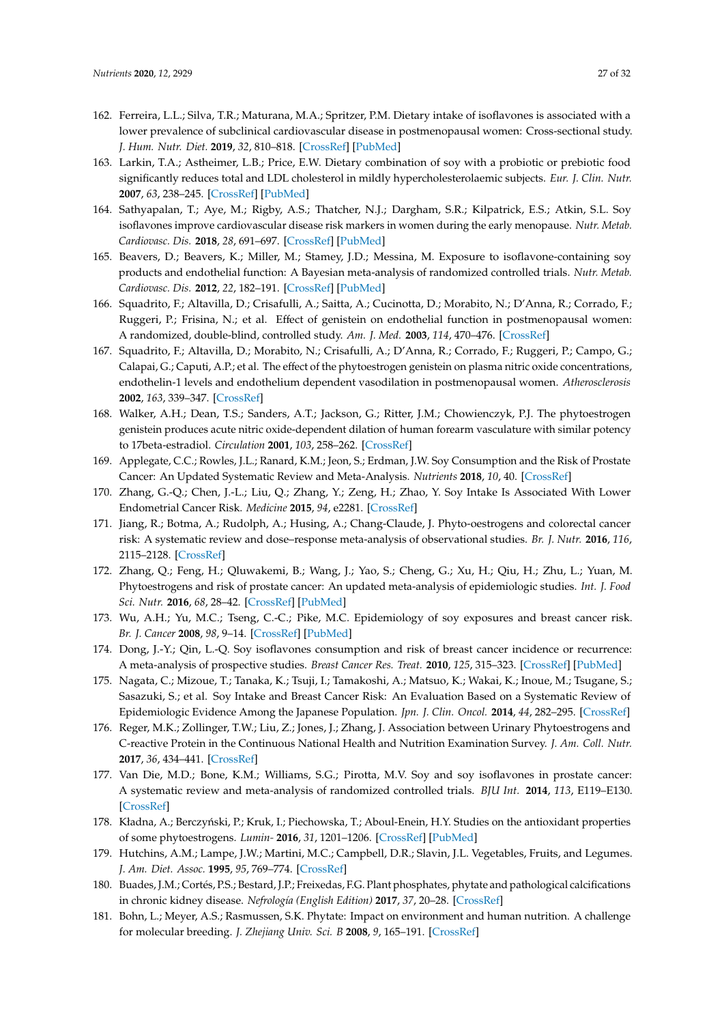- <span id="page-26-0"></span>162. Ferreira, L.L.; Silva, T.R.; Maturana, M.A.; Spritzer, P.M. Dietary intake of isoflavones is associated with a lower prevalence of subclinical cardiovascular disease in postmenopausal women: Cross-sectional study. *J. Hum. Nutr. Diet.* **2019**, *32*, 810–818. [\[CrossRef\]](http://dx.doi.org/10.1111/jhn.12683) [\[PubMed\]](http://www.ncbi.nlm.nih.gov/pubmed/31305957)
- <span id="page-26-1"></span>163. Larkin, T.A.; Astheimer, L.B.; Price, E.W. Dietary combination of soy with a probiotic or prebiotic food significantly reduces total and LDL cholesterol in mildly hypercholesterolaemic subjects. *Eur. J. Clin. Nutr.* **2007**, *63*, 238–245. [\[CrossRef\]](http://dx.doi.org/10.1038/sj.ejcn.1602910) [\[PubMed\]](http://www.ncbi.nlm.nih.gov/pubmed/17940545)
- <span id="page-26-2"></span>164. Sathyapalan, T.; Aye, M.; Rigby, A.S.; Thatcher, N.J.; Dargham, S.R.; Kilpatrick, E.S.; Atkin, S.L. Soy isoflavones improve cardiovascular disease risk markers in women during the early menopause. *Nutr. Metab. Cardiovasc. Dis.* **2018**, *28*, 691–697. [\[CrossRef\]](http://dx.doi.org/10.1016/j.numecd.2018.03.007) [\[PubMed\]](http://www.ncbi.nlm.nih.gov/pubmed/29739677)
- <span id="page-26-3"></span>165. Beavers, D.; Beavers, K.; Miller, M.; Stamey, J.D.; Messina, M. Exposure to isoflavone-containing soy products and endothelial function: A Bayesian meta-analysis of randomized controlled trials. *Nutr. Metab. Cardiovasc. Dis.* **2012**, *22*, 182–191. [\[CrossRef\]](http://dx.doi.org/10.1016/j.numecd.2010.05.007) [\[PubMed\]](http://www.ncbi.nlm.nih.gov/pubmed/20709515)
- <span id="page-26-4"></span>166. Squadrito, F.; Altavilla, D.; Crisafulli, A.; Saitta, A.; Cucinotta, D.; Morabito, N.; D'Anna, R.; Corrado, F.; Ruggeri, P.; Frisina, N.; et al. Effect of genistein on endothelial function in postmenopausal women: A randomized, double-blind, controlled study. *Am. J. Med.* **2003**, *114*, 470–476. [\[CrossRef\]](http://dx.doi.org/10.1016/S0002-9343(03)00059-7)
- 167. Squadrito, F.; Altavilla, D.; Morabito, N.; Crisafulli, A.; D'Anna, R.; Corrado, F.; Ruggeri, P.; Campo, G.; Calapai, G.; Caputi, A.P.; et al. The effect of the phytoestrogen genistein on plasma nitric oxide concentrations, endothelin-1 levels and endothelium dependent vasodilation in postmenopausal women. *Atherosclerosis* **2002**, *163*, 339–347. [\[CrossRef\]](http://dx.doi.org/10.1016/S0021-9150(02)00013-8)
- <span id="page-26-5"></span>168. Walker, A.H.; Dean, T.S.; Sanders, A.T.; Jackson, G.; Ritter, J.M.; Chowienczyk, P.J. The phytoestrogen genistein produces acute nitric oxide-dependent dilation of human forearm vasculature with similar potency to 17beta-estradiol. *Circulation* **2001**, *103*, 258–262. [\[CrossRef\]](http://dx.doi.org/10.1161/01.CIR.103.2.258)
- <span id="page-26-6"></span>169. Applegate, C.C.; Rowles, J.L.; Ranard, K.M.; Jeon, S.; Erdman, J.W. Soy Consumption and the Risk of Prostate Cancer: An Updated Systematic Review and Meta-Analysis. *Nutrients* **2018**, *10*, 40. [\[CrossRef\]](http://dx.doi.org/10.3390/nu10010040)
- 170. Zhang, G.-Q.; Chen, J.-L.; Liu, Q.; Zhang, Y.; Zeng, H.; Zhao, Y. Soy Intake Is Associated With Lower Endometrial Cancer Risk. *Medicine* **2015**, *94*, e2281. [\[CrossRef\]](http://dx.doi.org/10.1097/MD.0000000000002281)
- 171. Jiang, R.; Botma, A.; Rudolph, A.; Husing, A.; Chang-Claude, J. Phyto-oestrogens and colorectal cancer risk: A systematic review and dose–response meta-analysis of observational studies. *Br. J. Nutr.* **2016**, *116*, 2115–2128. [\[CrossRef\]](http://dx.doi.org/10.1017/S0007114516004360)
- <span id="page-26-7"></span>172. Zhang, Q.; Feng, H.; Qluwakemi, B.; Wang, J.; Yao, S.; Cheng, G.; Xu, H.; Qiu, H.; Zhu, L.; Yuan, M. Phytoestrogens and risk of prostate cancer: An updated meta-analysis of epidemiologic studies. *Int. J. Food Sci. Nutr.* **2016**, *68*, 28–42. [\[CrossRef\]](http://dx.doi.org/10.1080/09637486.2016.1216525) [\[PubMed\]](http://www.ncbi.nlm.nih.gov/pubmed/27687296)
- <span id="page-26-8"></span>173. Wu, A.H.; Yu, M.C.; Tseng, C.-C.; Pike, M.C. Epidemiology of soy exposures and breast cancer risk. *Br. J. Cancer* **2008**, *98*, 9–14. [\[CrossRef\]](http://dx.doi.org/10.1038/sj.bjc.6604145) [\[PubMed\]](http://www.ncbi.nlm.nih.gov/pubmed/18182974)
- 174. Dong, J.-Y.; Qin, L.-Q. Soy isoflavones consumption and risk of breast cancer incidence or recurrence: A meta-analysis of prospective studies. *Breast Cancer Res. Treat.* **2010**, *125*, 315–323. [\[CrossRef\]](http://dx.doi.org/10.1007/s10549-010-1270-8) [\[PubMed\]](http://www.ncbi.nlm.nih.gov/pubmed/21113655)
- <span id="page-26-9"></span>175. Nagata, C.; Mizoue, T.; Tanaka, K.; Tsuji, I.; Tamakoshi, A.; Matsuo, K.; Wakai, K.; Inoue, M.; Tsugane, S.; Sasazuki, S.; et al. Soy Intake and Breast Cancer Risk: An Evaluation Based on a Systematic Review of Epidemiologic Evidence Among the Japanese Population. *Jpn. J. Clin. Oncol.* **2014**, *44*, 282–295. [\[CrossRef\]](http://dx.doi.org/10.1093/jjco/hyt203)
- <span id="page-26-10"></span>176. Reger, M.K.; Zollinger, T.W.; Liu, Z.; Jones, J.; Zhang, J. Association between Urinary Phytoestrogens and C-reactive Protein in the Continuous National Health and Nutrition Examination Survey. *J. Am. Coll. Nutr.* **2017**, *36*, 434–441. [\[CrossRef\]](http://dx.doi.org/10.1080/07315724.2017.1318722)
- <span id="page-26-11"></span>177. Van Die, M.D.; Bone, K.M.; Williams, S.G.; Pirotta, M.V. Soy and soy isoflavones in prostate cancer: A systematic review and meta-analysis of randomized controlled trials. *BJU Int.* **2014**, *113*, E119–E130. [\[CrossRef\]](http://dx.doi.org/10.1111/bju.12435)
- <span id="page-26-12"></span>178. Kładna, A.; Berczyński, P.; Kruk, I.; Piechowska, T.; Aboul-Enein, H.Y. Studies on the antioxidant properties of some phytoestrogens. *Lumin-* **2016**, *31*, 1201–1206. [\[CrossRef\]](http://dx.doi.org/10.1002/bio.3091) [\[PubMed\]](http://www.ncbi.nlm.nih.gov/pubmed/26799817)
- <span id="page-26-13"></span>179. Hutchins, A.M.; Lampe, J.W.; Martini, M.C.; Campbell, D.R.; Slavin, J.L. Vegetables, Fruits, and Legumes. *J. Am. Diet. Assoc.* **1995**, *95*, 769–774. [\[CrossRef\]](http://dx.doi.org/10.1016/S0002-8223(95)00214-6)
- <span id="page-26-14"></span>180. Buades, J.M.; Cortés, P.S.; Bestard, J.P.; Freixedas, F.G. Plant phosphates, phytate and pathological calcifications in chronic kidney disease. *Nefrología (English Edition)* **2017**, *37*, 20–28. [\[CrossRef\]](http://dx.doi.org/10.1016/j.nefroe.2017.01.018)
- <span id="page-26-15"></span>181. Bohn, L.; Meyer, A.S.; Rasmussen, S.K. Phytate: Impact on environment and human nutrition. A challenge for molecular breeding. *J. Zhejiang Univ. Sci. B* **2008**, *9*, 165–191. [\[CrossRef\]](http://dx.doi.org/10.1631/jzus.B0710640)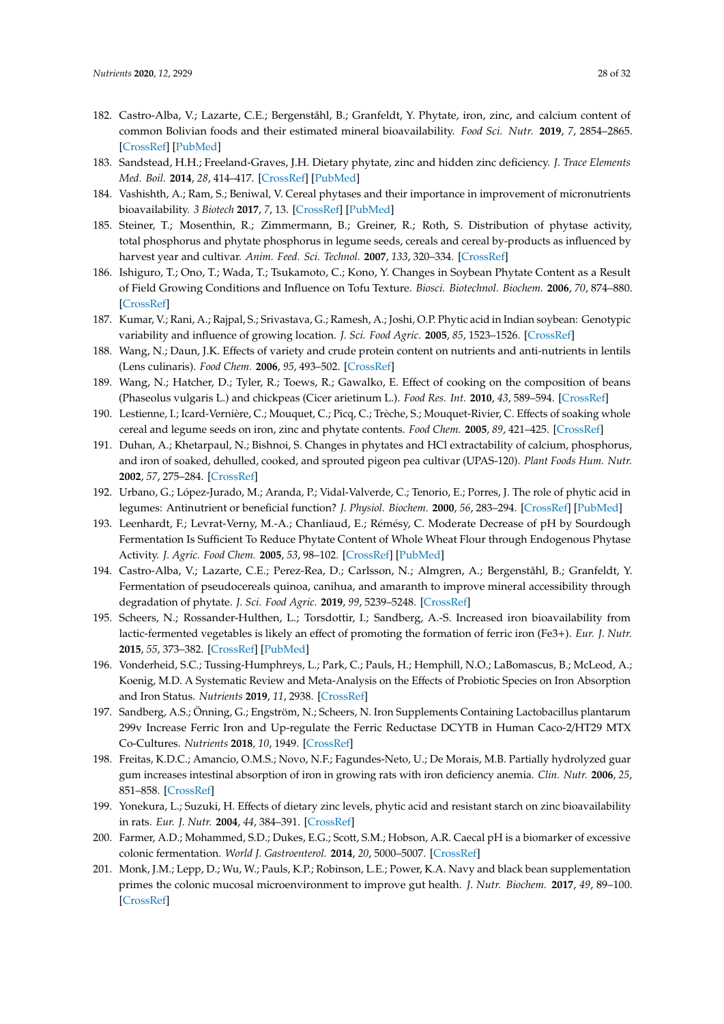- <span id="page-27-0"></span>182. Castro-Alba, V.; Lazarte, C.E.; Bergenståhl, B.; Granfeldt, Y. Phytate, iron, zinc, and calcium content of common Bolivian foods and their estimated mineral bioavailability. *Food Sci. Nutr.* **2019**, *7*, 2854–2865. [\[CrossRef\]](http://dx.doi.org/10.1002/fsn3.1127) [\[PubMed\]](http://www.ncbi.nlm.nih.gov/pubmed/31572579)
- <span id="page-27-1"></span>183. Sandstead, H.H.; Freeland-Graves, J.H. Dietary phytate, zinc and hidden zinc deficiency. *J. Trace Elements Med. Boil.* **2014**, *28*, 414–417. [\[CrossRef\]](http://dx.doi.org/10.1016/j.jtemb.2014.08.011) [\[PubMed\]](http://www.ncbi.nlm.nih.gov/pubmed/25439135)
- <span id="page-27-2"></span>184. Vashishth, A.; Ram, S.; Beniwal, V. Cereal phytases and their importance in improvement of micronutrients bioavailability. *3 Biotech* **2017**, *7*, 13. [\[CrossRef\]](http://dx.doi.org/10.1007/s13205-017-0698-5) [\[PubMed\]](http://www.ncbi.nlm.nih.gov/pubmed/28444586)
- <span id="page-27-3"></span>185. Steiner, T.; Mosenthin, R.; Zimmermann, B.; Greiner, R.; Roth, S. Distribution of phytase activity, total phosphorus and phytate phosphorus in legume seeds, cereals and cereal by-products as influenced by harvest year and cultivar. *Anim. Feed. Sci. Technol.* **2007**, *133*, 320–334. [\[CrossRef\]](http://dx.doi.org/10.1016/j.anifeedsci.2006.04.007)
- 186. Ishiguro, T.; Ono, T.; Wada, T.; Tsukamoto, C.; Kono, Y. Changes in Soybean Phytate Content as a Result of Field Growing Conditions and Influence on Tofu Texture. *Biosci. Biotechnol. Biochem.* **2006**, *70*, 874–880. [\[CrossRef\]](http://dx.doi.org/10.1271/bbb.70.874)
- <span id="page-27-4"></span>187. Kumar, V.; Rani, A.; Rajpal, S.; Srivastava, G.; Ramesh, A.; Joshi, O.P. Phytic acid in Indian soybean: Genotypic variability and influence of growing location. *J. Sci. Food Agric.* **2005**, *85*, 1523–1526. [\[CrossRef\]](http://dx.doi.org/10.1002/jsfa.2151)
- <span id="page-27-5"></span>188. Wang, N.; Daun, J.K. Effects of variety and crude protein content on nutrients and anti-nutrients in lentils (Lens culinaris). *Food Chem.* **2006**, *95*, 493–502. [\[CrossRef\]](http://dx.doi.org/10.1016/j.foodchem.2005.02.001)
- <span id="page-27-6"></span>189. Wang, N.; Hatcher, D.; Tyler, R.; Toews, R.; Gawalko, E. Effect of cooking on the composition of beans (Phaseolus vulgaris L.) and chickpeas (Cicer arietinum L.). *Food Res. Int.* **2010**, *43*, 589–594. [\[CrossRef\]](http://dx.doi.org/10.1016/j.foodres.2009.07.012)
- <span id="page-27-7"></span>190. Lestienne, I.; Icard-Vernière, C.; Mouquet, C.; Picq, C.; Trèche, S.; Mouquet-Rivier, C. Effects of soaking whole cereal and legume seeds on iron, zinc and phytate contents. *Food Chem.* **2005**, *89*, 421–425. [\[CrossRef\]](http://dx.doi.org/10.1016/j.foodchem.2004.03.040)
- <span id="page-27-8"></span>191. Duhan, A.; Khetarpaul, N.; Bishnoi, S. Changes in phytates and HCl extractability of calcium, phosphorus, and iron of soaked, dehulled, cooked, and sprouted pigeon pea cultivar (UPAS-120). *Plant Foods Hum. Nutr.* **2002**, *57*, 275–284. [\[CrossRef\]](http://dx.doi.org/10.1023/A:1021814919592)
- <span id="page-27-9"></span>192. Urbano, G.; López-Jurado, M.; Aranda, P.; Vidal-Valverde, C.; Tenorio, E.; Porres, J. The role of phytic acid in legumes: Antinutrient or beneficial function? *J. Physiol. Biochem.* **2000**, *56*, 283–294. [\[CrossRef\]](http://dx.doi.org/10.1007/BF03179796) [\[PubMed\]](http://www.ncbi.nlm.nih.gov/pubmed/11198165)
- <span id="page-27-10"></span>193. Leenhardt, F.; Levrat-Verny, M.-A.; Chanliaud, E.; Rémésy, C. Moderate Decrease of pH by Sourdough Fermentation Is Sufficient To Reduce Phytate Content of Whole Wheat Flour through Endogenous Phytase Activity. *J. Agric. Food Chem.* **2005**, *53*, 98–102. [\[CrossRef\]](http://dx.doi.org/10.1021/jf049193q) [\[PubMed\]](http://www.ncbi.nlm.nih.gov/pubmed/15631515)
- <span id="page-27-11"></span>194. Castro-Alba, V.; Lazarte, C.E.; Perez-Rea, D.; Carlsson, N.; Almgren, A.; Bergenståhl, B.; Granfeldt, Y. Fermentation of pseudocereals quinoa, canihua, and amaranth to improve mineral accessibility through degradation of phytate. *J. Sci. Food Agric.* **2019**, *99*, 5239–5248. [\[CrossRef\]](http://dx.doi.org/10.1002/jsfa.9793)
- <span id="page-27-12"></span>195. Scheers, N.; Rossander-Hulthen, L.; Torsdottir, I.; Sandberg, A.-S. Increased iron bioavailability from lactic-fermented vegetables is likely an effect of promoting the formation of ferric iron (Fe3+). *Eur. J. Nutr.* **2015**, *55*, 373–382. [\[CrossRef\]](http://dx.doi.org/10.1007/s00394-015-0857-6) [\[PubMed\]](http://www.ncbi.nlm.nih.gov/pubmed/25672527)
- <span id="page-27-13"></span>196. Vonderheid, S.C.; Tussing-Humphreys, L.; Park, C.; Pauls, H.; Hemphill, N.O.; LaBomascus, B.; McLeod, A.; Koenig, M.D. A Systematic Review and Meta-Analysis on the Effects of Probiotic Species on Iron Absorption and Iron Status. *Nutrients* **2019**, *11*, 2938. [\[CrossRef\]](http://dx.doi.org/10.3390/nu11122938)
- <span id="page-27-14"></span>197. Sandberg, A.S.; Önning, G.; Engström, N.; Scheers, N. Iron Supplements Containing Lactobacillus plantarum 299v Increase Ferric Iron and Up-regulate the Ferric Reductase DCYTB in Human Caco-2/HT29 MTX Co-Cultures. *Nutrients* **2018**, *10*, 1949. [\[CrossRef\]](http://dx.doi.org/10.3390/nu10121949)
- <span id="page-27-15"></span>198. Freitas, K.D.C.; Amancio, O.M.S.; Novo, N.F.; Fagundes-Neto, U.; De Morais, M.B. Partially hydrolyzed guar gum increases intestinal absorption of iron in growing rats with iron deficiency anemia. *Clin. Nutr.* **2006**, *25*, 851–858. [\[CrossRef\]](http://dx.doi.org/10.1016/j.clnu.2006.02.010)
- 199. Yonekura, L.; Suzuki, H. Effects of dietary zinc levels, phytic acid and resistant starch on zinc bioavailability in rats. *Eur. J. Nutr.* **2004**, *44*, 384–391. [\[CrossRef\]](http://dx.doi.org/10.1007/s00394-004-0540-9)
- <span id="page-27-16"></span>200. Farmer, A.D.; Mohammed, S.D.; Dukes, E.G.; Scott, S.M.; Hobson, A.R. Caecal pH is a biomarker of excessive colonic fermentation. *World J. Gastroenterol.* **2014**, *20*, 5000–5007. [\[CrossRef\]](http://dx.doi.org/10.3748/wjg.v20.i17.5000)
- <span id="page-27-17"></span>201. Monk, J.M.; Lepp, D.; Wu, W.; Pauls, K.P.; Robinson, L.E.; Power, K.A. Navy and black bean supplementation primes the colonic mucosal microenvironment to improve gut health. *J. Nutr. Biochem.* **2017**, *49*, 89–100. [\[CrossRef\]](http://dx.doi.org/10.1016/j.jnutbio.2017.08.002)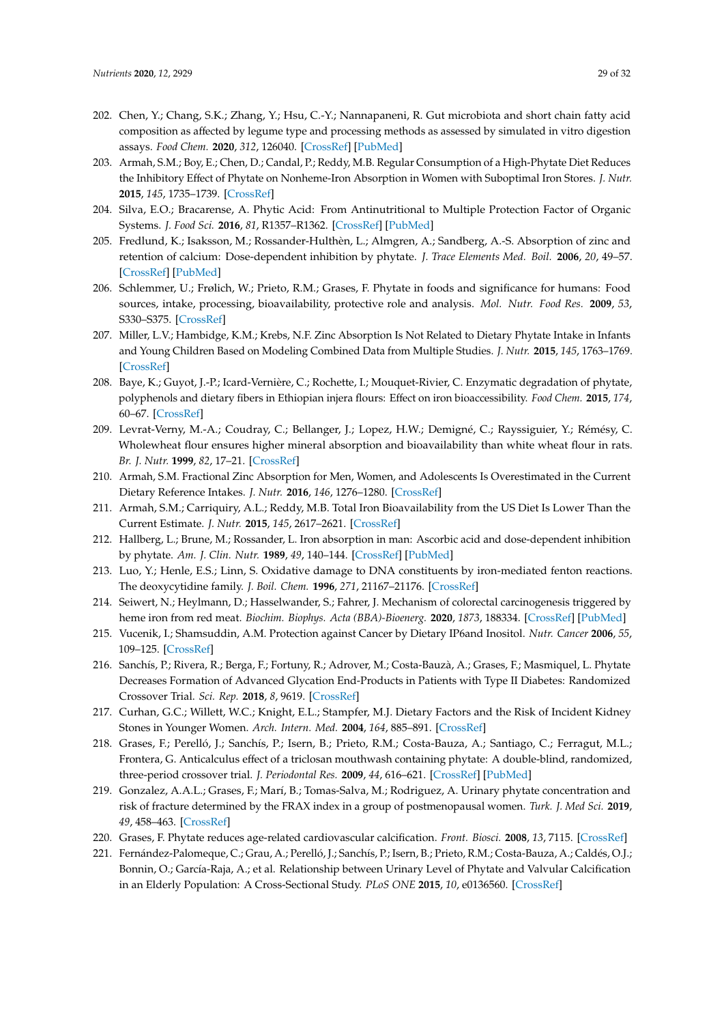- <span id="page-28-0"></span>202. Chen, Y.; Chang, S.K.; Zhang, Y.; Hsu, C.-Y.; Nannapaneni, R. Gut microbiota and short chain fatty acid composition as affected by legume type and processing methods as assessed by simulated in vitro digestion assays. *Food Chem.* **2020**, *312*, 126040. [\[CrossRef\]](http://dx.doi.org/10.1016/j.foodchem.2019.126040) [\[PubMed\]](http://www.ncbi.nlm.nih.gov/pubmed/31896457)
- <span id="page-28-1"></span>203. Armah, S.M.; Boy, E.; Chen, D.; Candal, P.; Reddy, M.B. Regular Consumption of a High-Phytate Diet Reduces the Inhibitory Effect of Phytate on Nonheme-Iron Absorption in Women with Suboptimal Iron Stores. *J. Nutr.* **2015**, *145*, 1735–1739. [\[CrossRef\]](http://dx.doi.org/10.3945/jn.114.209957)
- <span id="page-28-2"></span>204. Silva, E.O.; Bracarense, A. Phytic Acid: From Antinutritional to Multiple Protection Factor of Organic Systems. *J. Food Sci.* **2016**, *81*, R1357–R1362. [\[CrossRef\]](http://dx.doi.org/10.1111/1750-3841.13320) [\[PubMed\]](http://www.ncbi.nlm.nih.gov/pubmed/27272247)
- <span id="page-28-3"></span>205. Fredlund, K.; Isaksson, M.; Rossander-Hulthèn, L.; Almgren, A.; Sandberg, A.-S. Absorption of zinc and retention of calcium: Dose-dependent inhibition by phytate. *J. Trace Elements Med. Boil.* **2006**, *20*, 49–57. [\[CrossRef\]](http://dx.doi.org/10.1016/j.jtemb.2006.01.003) [\[PubMed\]](http://www.ncbi.nlm.nih.gov/pubmed/16632176)
- <span id="page-28-4"></span>206. Schlemmer, U.; Frølich, W.; Prieto, R.M.; Grases, F. Phytate in foods and significance for humans: Food sources, intake, processing, bioavailability, protective role and analysis. *Mol. Nutr. Food Res.* **2009**, *53*, S330–S375. [\[CrossRef\]](http://dx.doi.org/10.1002/mnfr.200900099)
- <span id="page-28-5"></span>207. Miller, L.V.; Hambidge, K.M.; Krebs, N.F. Zinc Absorption Is Not Related to Dietary Phytate Intake in Infants and Young Children Based on Modeling Combined Data from Multiple Studies. *J. Nutr.* **2015**, *145*, 1763–1769. [\[CrossRef\]](http://dx.doi.org/10.3945/jn.115.213074)
- <span id="page-28-6"></span>208. Baye, K.; Guyot, J.-P.; Icard-Vernière, C.; Rochette, I.; Mouquet-Rivier, C. Enzymatic degradation of phytate, polyphenols and dietary fibers in Ethiopian injera flours: Effect on iron bioaccessibility. *Food Chem.* **2015**, *174*, 60–67. [\[CrossRef\]](http://dx.doi.org/10.1016/j.foodchem.2014.11.012)
- <span id="page-28-7"></span>209. Levrat-Verny, M.-A.; Coudray, C.; Bellanger, J.; Lopez, H.W.; Demigné, C.; Rayssiguier, Y.; Rémésy, C. Wholewheat flour ensures higher mineral absorption and bioavailability than white wheat flour in rats. *Br. J. Nutr.* **1999**, *82*, 17–21. [\[CrossRef\]](http://dx.doi.org/10.1017/S0007114599001075)
- <span id="page-28-8"></span>210. Armah, S.M. Fractional Zinc Absorption for Men, Women, and Adolescents Is Overestimated in the Current Dietary Reference Intakes. *J. Nutr.* **2016**, *146*, 1276–1280. [\[CrossRef\]](http://dx.doi.org/10.3945/jn.115.225607)
- <span id="page-28-9"></span>211. Armah, S.M.; Carriquiry, A.L.; Reddy, M.B. Total Iron Bioavailability from the US Diet Is Lower Than the Current Estimate. *J. Nutr.* **2015**, *145*, 2617–2621. [\[CrossRef\]](http://dx.doi.org/10.3945/jn.115.210484)
- <span id="page-28-10"></span>212. Hallberg, L.; Brune, M.; Rossander, L. Iron absorption in man: Ascorbic acid and dose-dependent inhibition by phytate. *Am. J. Clin. Nutr.* **1989**, *49*, 140–144. [\[CrossRef\]](http://dx.doi.org/10.1093/ajcn/49.1.140) [\[PubMed\]](http://www.ncbi.nlm.nih.gov/pubmed/2911999)
- <span id="page-28-11"></span>213. Luo, Y.; Henle, E.S.; Linn, S. Oxidative damage to DNA constituents by iron-mediated fenton reactions. The deoxycytidine family. *J. Boil. Chem.* **1996**, *271*, 21167–21176. [\[CrossRef\]](http://dx.doi.org/10.1074/jbc.271.35.21167)
- <span id="page-28-12"></span>214. Seiwert, N.; Heylmann, D.; Hasselwander, S.; Fahrer, J. Mechanism of colorectal carcinogenesis triggered by heme iron from red meat. *Biochim. Biophys. Acta (BBA)-Bioenerg.* **2020**, *1873*, 188334. [\[CrossRef\]](http://dx.doi.org/10.1016/j.bbcan.2019.188334) [\[PubMed\]](http://www.ncbi.nlm.nih.gov/pubmed/31783067)
- <span id="page-28-13"></span>215. Vucenik, I.; Shamsuddin, A.M. Protection against Cancer by Dietary IP6and Inositol. *Nutr. Cancer* **2006**, *55*, 109–125. [\[CrossRef\]](http://dx.doi.org/10.1207/s15327914nc5502_1)
- <span id="page-28-14"></span>216. Sanchís, P.; Rivera, R.; Berga, F.; Fortuny, R.; Adrover, M.; Costa-Bauzà, A.; Grases, F.; Masmiquel, L. Phytate Decreases Formation of Advanced Glycation End-Products in Patients with Type II Diabetes: Randomized Crossover Trial. *Sci. Rep.* **2018**, *8*, 9619. [\[CrossRef\]](http://dx.doi.org/10.1038/s41598-018-27853-9)
- <span id="page-28-15"></span>217. Curhan, G.C.; Willett, W.C.; Knight, E.L.; Stampfer, M.J. Dietary Factors and the Risk of Incident Kidney Stones in Younger Women. *Arch. Intern. Med.* **2004**, *164*, 885–891. [\[CrossRef\]](http://dx.doi.org/10.1001/archinte.164.8.885)
- <span id="page-28-16"></span>218. Grases, F.; Perelló, J.; Sanchís, P.; Isern, B.; Prieto, R.M.; Costa-Bauza, A.; Santiago, C.; Ferragut, M.L.; Frontera, G. Anticalculus effect of a triclosan mouthwash containing phytate: A double-blind, randomized, three-period crossover trial. *J. Periodontal Res.* **2009**, *44*, 616–621. [\[CrossRef\]](http://dx.doi.org/10.1111/j.1600-0765.2008.01168.x) [\[PubMed\]](http://www.ncbi.nlm.nih.gov/pubmed/18973518)
- <span id="page-28-17"></span>219. Gonzalez, A.A.L.; Grases, F.; Marí, B.; Tomas-Salva, M.; Rodriguez, A. Urinary phytate concentration and risk of fracture determined by the FRAX index in a group of postmenopausal women. *Turk. J. Med Sci.* **2019**, *49*, 458–463. [\[CrossRef\]](http://dx.doi.org/10.3906/sag-1806-117)
- <span id="page-28-18"></span>220. Grases, F. Phytate reduces age-related cardiovascular calcification. *Front. Biosci.* **2008**, *13*, 7115. [\[CrossRef\]](http://dx.doi.org/10.2741/3214)
- <span id="page-28-19"></span>221. Fernández-Palomeque, C.; Grau, A.; Perelló, J.; Sanchís, P.; Isern, B.; Prieto, R.M.; Costa-Bauza, A.; Caldés, O.J.; Bonnin, O.; García-Raja, A.; et al. Relationship between Urinary Level of Phytate and Valvular Calcification in an Elderly Population: A Cross-Sectional Study. *PLoS ONE* **2015**, *10*, e0136560. [\[CrossRef\]](http://dx.doi.org/10.1371/journal.pone.0136560)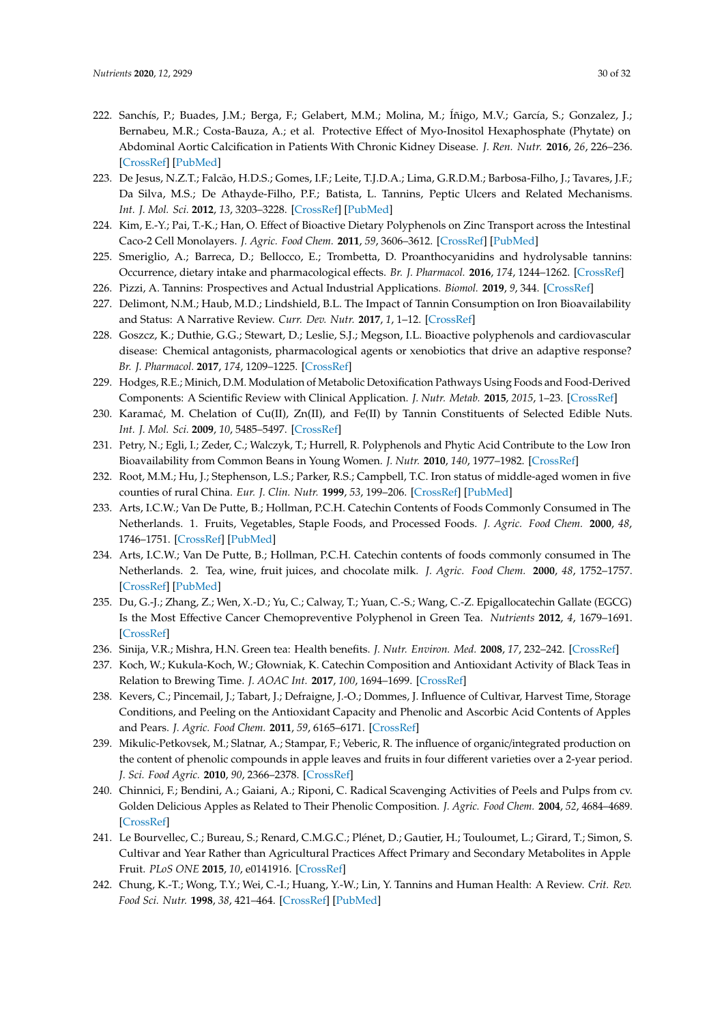- <span id="page-29-0"></span>222. Sanchís, P.; Buades, J.M.; Berga, F.; Gelabert, M.M.; Molina, M.; Íñigo, M.V.; García, S.; Gonzalez, J.; Bernabeu, M.R.; Costa-Bauza, A.; et al. Protective Effect of Myo-Inositol Hexaphosphate (Phytate) on Abdominal Aortic Calcification in Patients With Chronic Kidney Disease. *J. Ren. Nutr.* **2016**, *26*, 226–236. [\[CrossRef\]](http://dx.doi.org/10.1053/j.jrn.2016.01.010) [\[PubMed\]](http://www.ncbi.nlm.nih.gov/pubmed/26975775)
- <span id="page-29-1"></span>223. De Jesus, N.Z.T.; Falcão, H.D.S.; Gomes, I.F.; Leite, T.J.D.A.; Lima, G.R.D.M.; Barbosa-Filho, J.; Tavares, J.F.; Da Silva, M.S.; De Athayde-Filho, P.F.; Batista, L. Tannins, Peptic Ulcers and Related Mechanisms. *Int. J. Mol. Sci.* **2012**, *13*, 3203–3228. [\[CrossRef\]](http://dx.doi.org/10.3390/ijms13033203) [\[PubMed\]](http://www.ncbi.nlm.nih.gov/pubmed/22489149)
- <span id="page-29-2"></span>224. Kim, E.-Y.; Pai, T.-K.; Han, O. Effect of Bioactive Dietary Polyphenols on Zinc Transport across the Intestinal Caco-2 Cell Monolayers. *J. Agric. Food Chem.* **2011**, *59*, 3606–3612. [\[CrossRef\]](http://dx.doi.org/10.1021/jf104260j) [\[PubMed\]](http://www.ncbi.nlm.nih.gov/pubmed/21410257)
- <span id="page-29-3"></span>225. Smeriglio, A.; Barreca, D.; Bellocco, E.; Trombetta, D. Proanthocyanidins and hydrolysable tannins: Occurrence, dietary intake and pharmacological effects. *Br. J. Pharmacol.* **2016**, *174*, 1244–1262. [\[CrossRef\]](http://dx.doi.org/10.1111/bph.13630)
- 226. Pizzi, A. Tannins: Prospectives and Actual Industrial Applications. *Biomol.* **2019**, *9*, 344. [\[CrossRef\]](http://dx.doi.org/10.3390/biom9080344)
- <span id="page-29-7"></span>227. Delimont, N.M.; Haub, M.D.; Lindshield, B.L. The Impact of Tannin Consumption on Iron Bioavailability and Status: A Narrative Review. *Curr. Dev. Nutr.* **2017**, *1*, 1–12. [\[CrossRef\]](http://dx.doi.org/10.3945/cdn.116.000042)
- <span id="page-29-18"></span>228. Goszcz, K.; Duthie, G.G.; Stewart, D.; Leslie, S.J.; Megson, I.L. Bioactive polyphenols and cardiovascular disease: Chemical antagonists, pharmacological agents or xenobiotics that drive an adaptive response? *Br. J. Pharmacol.* **2017**, *174*, 1209–1225. [\[CrossRef\]](http://dx.doi.org/10.1111/bph.13708)
- <span id="page-29-4"></span>229. Hodges, R.E.; Minich, D.M. Modulation of Metabolic Detoxification Pathways Using Foods and Food-Derived Components: A Scientific Review with Clinical Application. *J. Nutr. Metab.* **2015**, *2015*, 1–23. [\[CrossRef\]](http://dx.doi.org/10.1155/2015/760689)
- <span id="page-29-5"></span>230. Karamać, M. Chelation of Cu(II), Zn(II), and Fe(II) by Tannin Constituents of Selected Edible Nuts. *Int. J. Mol. Sci.* **2009**, *10*, 5485–5497. [\[CrossRef\]](http://dx.doi.org/10.3390/ijms10125485)
- <span id="page-29-6"></span>231. Petry, N.; Egli, I.; Zeder, C.; Walczyk, T.; Hurrell, R. Polyphenols and Phytic Acid Contribute to the Low Iron Bioavailability from Common Beans in Young Women. *J. Nutr.* **2010**, *140*, 1977–1982. [\[CrossRef\]](http://dx.doi.org/10.3945/jn.110.125369)
- <span id="page-29-8"></span>232. Root, M.M.; Hu, J.; Stephenson, L.S.; Parker, R.S.; Campbell, T.C. Iron status of middle-aged women in five counties of rural China. *Eur. J. Clin. Nutr.* **1999**, *53*, 199–206. [\[CrossRef\]](http://dx.doi.org/10.1038/sj.ejcn.1600701) [\[PubMed\]](http://www.ncbi.nlm.nih.gov/pubmed/10201801)
- <span id="page-29-9"></span>233. Arts, I.C.W.; Van De Putte, B.; Hollman, P.C.H. Catechin Contents of Foods Commonly Consumed in The Netherlands. 1. Fruits, Vegetables, Staple Foods, and Processed Foods. *J. Agric. Food Chem.* **2000**, *48*, 1746–1751. [\[CrossRef\]](http://dx.doi.org/10.1021/jf000025h) [\[PubMed\]](http://www.ncbi.nlm.nih.gov/pubmed/10820089)
- <span id="page-29-10"></span>234. Arts, I.C.W.; Van De Putte, B.; Hollman, P.C.H. Catechin contents of foods commonly consumed in The Netherlands. 2. Tea, wine, fruit juices, and chocolate milk. *J. Agric. Food Chem.* **2000**, *48*, 1752–1757. [\[CrossRef\]](http://dx.doi.org/10.1021/jf000026+) [\[PubMed\]](http://www.ncbi.nlm.nih.gov/pubmed/10820090)
- <span id="page-29-11"></span>235. Du, G.-J.; Zhang, Z.; Wen, X.-D.; Yu, C.; Calway, T.; Yuan, C.-S.; Wang, C.-Z. Epigallocatechin Gallate (EGCG) Is the Most Effective Cancer Chemopreventive Polyphenol in Green Tea. *Nutrients* **2012**, *4*, 1679–1691. [\[CrossRef\]](http://dx.doi.org/10.3390/nu4111679)
- <span id="page-29-12"></span>236. Sinija, V.R.; Mishra, H.N. Green tea: Health benefits. *J. Nutr. Environ. Med.* **2008**, *17*, 232–242. [\[CrossRef\]](http://dx.doi.org/10.1080/13590840802518785)
- <span id="page-29-13"></span>237. Koch, W.; Kukula-Koch, W.; Głowniak, K. Catechin Composition and Antioxidant Activity of Black Teas in Relation to Brewing Time. *J. AOAC Int.* **2017**, *100*, 1694–1699. [\[CrossRef\]](http://dx.doi.org/10.5740/jaoacint.17-0235)
- <span id="page-29-14"></span>238. Kevers, C.; Pincemail, J.; Tabart, J.; Defraigne, J.-O.; Dommes, J. Influence of Cultivar, Harvest Time, Storage Conditions, and Peeling on the Antioxidant Capacity and Phenolic and Ascorbic Acid Contents of Apples and Pears. *J. Agric. Food Chem.* **2011**, *59*, 6165–6171. [\[CrossRef\]](http://dx.doi.org/10.1021/jf201013k)
- <span id="page-29-15"></span>239. Mikulic-Petkovsek, M.; Slatnar, A.; Stampar, F.; Veberic, R. The influence of organic/integrated production on the content of phenolic compounds in apple leaves and fruits in four different varieties over a 2-year period. *J. Sci. Food Agric.* **2010**, *90*, 2366–2378. [\[CrossRef\]](http://dx.doi.org/10.1002/jsfa.4093)
- 240. Chinnici, F.; Bendini, A.; Gaiani, A.; Riponi, C. Radical Scavenging Activities of Peels and Pulps from cv. Golden Delicious Apples as Related to Their Phenolic Composition. *J. Agric. Food Chem.* **2004**, *52*, 4684–4689. [\[CrossRef\]](http://dx.doi.org/10.1021/jf049770a)
- <span id="page-29-16"></span>241. Le Bourvellec, C.; Bureau, S.; Renard, C.M.G.C.; Plénet, D.; Gautier, H.; Touloumet, L.; Girard, T.; Simon, S. Cultivar and Year Rather than Agricultural Practices Affect Primary and Secondary Metabolites in Apple Fruit. *PLoS ONE* **2015**, *10*, e0141916. [\[CrossRef\]](http://dx.doi.org/10.1371/journal.pone.0141916)
- <span id="page-29-17"></span>242. Chung, K.-T.; Wong, T.Y.; Wei, C.-I.; Huang, Y.-W.; Lin, Y. Tannins and Human Health: A Review. *Crit. Rev. Food Sci. Nutr.* **1998**, *38*, 421–464. [\[CrossRef\]](http://dx.doi.org/10.1080/10408699891274273) [\[PubMed\]](http://www.ncbi.nlm.nih.gov/pubmed/9759559)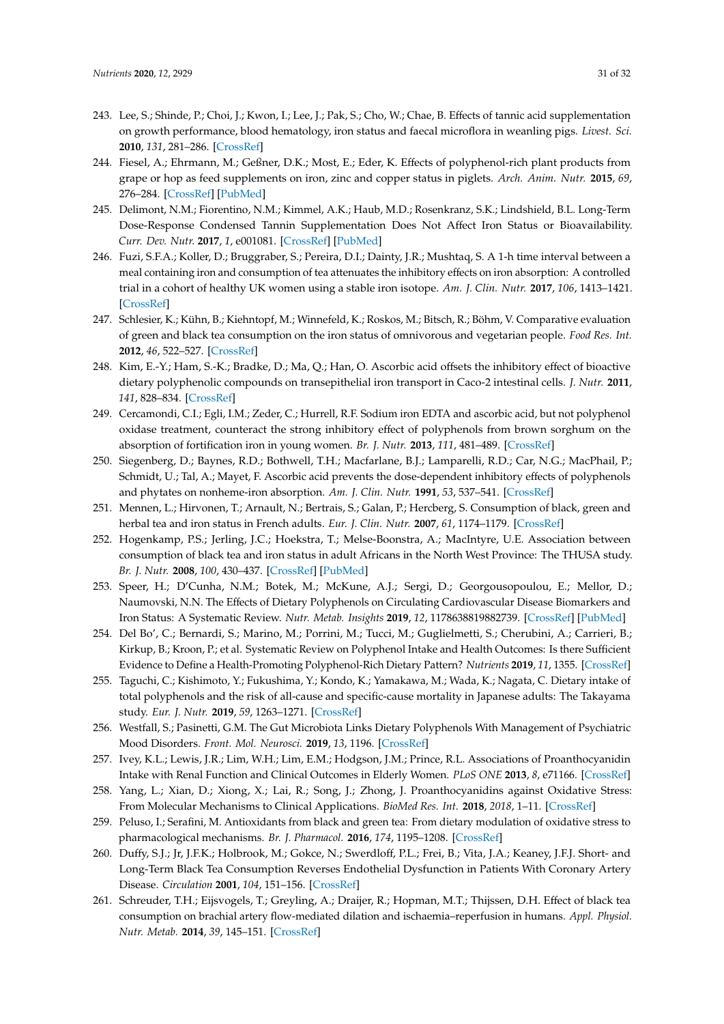- <span id="page-30-0"></span>243. Lee, S.; Shinde, P.; Choi, J.; Kwon, I.; Lee, J.; Pak, S.; Cho, W.; Chae, B. Effects of tannic acid supplementation on growth performance, blood hematology, iron status and faecal microflora in weanling pigs. *Livest. Sci.* **2010**, *131*, 281–286. [\[CrossRef\]](http://dx.doi.org/10.1016/j.livsci.2010.04.013)
- <span id="page-30-1"></span>244. Fiesel, A.; Ehrmann, M.; Geßner, D.K.; Most, E.; Eder, K. Effects of polyphenol-rich plant products from grape or hop as feed supplements on iron, zinc and copper status in piglets. *Arch. Anim. Nutr.* **2015**, *69*, 276–284. [\[CrossRef\]](http://dx.doi.org/10.1080/1745039X.2015.1057065) [\[PubMed\]](http://www.ncbi.nlm.nih.gov/pubmed/26097996)
- <span id="page-30-2"></span>245. Delimont, N.M.; Fiorentino, N.M.; Kimmel, A.K.; Haub, M.D.; Rosenkranz, S.K.; Lindshield, B.L. Long-Term Dose-Response Condensed Tannin Supplementation Does Not Affect Iron Status or Bioavailability. *Curr. Dev. Nutr.* **2017**, *1*, e001081. [\[CrossRef\]](http://dx.doi.org/10.3945/cdn.117.001081) [\[PubMed\]](http://www.ncbi.nlm.nih.gov/pubmed/29955679)
- <span id="page-30-3"></span>246. Fuzi, S.F.A.; Koller, D.; Bruggraber, S.; Pereira, D.I.; Dainty, J.R.; Mushtaq, S. A 1-h time interval between a meal containing iron and consumption of tea attenuates the inhibitory effects on iron absorption: A controlled trial in a cohort of healthy UK women using a stable iron isotope. *Am. J. Clin. Nutr.* **2017**, *106*, 1413–1421. [\[CrossRef\]](http://dx.doi.org/10.3945/ajcn.117.161364)
- <span id="page-30-4"></span>247. Schlesier, K.; Kühn, B.; Kiehntopf, M.; Winnefeld, K.; Roskos, M.; Bitsch, R.; Böhm, V. Comparative evaluation of green and black tea consumption on the iron status of omnivorous and vegetarian people. *Food Res. Int.* **2012**, *46*, 522–527. [\[CrossRef\]](http://dx.doi.org/10.1016/j.foodres.2011.06.019)
- <span id="page-30-5"></span>248. Kim, E.-Y.; Ham, S.-K.; Bradke, D.; Ma, Q.; Han, O. Ascorbic acid offsets the inhibitory effect of bioactive dietary polyphenolic compounds on transepithelial iron transport in Caco-2 intestinal cells. *J. Nutr.* **2011**, *141*, 828–834. [\[CrossRef\]](http://dx.doi.org/10.3945/jn.110.134031)
- 249. Cercamondi, C.I.; Egli, I.M.; Zeder, C.; Hurrell, R.F. Sodium iron EDTA and ascorbic acid, but not polyphenol oxidase treatment, counteract the strong inhibitory effect of polyphenols from brown sorghum on the absorption of fortification iron in young women. *Br. J. Nutr.* **2013**, *111*, 481–489. [\[CrossRef\]](http://dx.doi.org/10.1017/S0007114513002705)
- <span id="page-30-6"></span>250. Siegenberg, D.; Baynes, R.D.; Bothwell, T.H.; Macfarlane, B.J.; Lamparelli, R.D.; Car, N.G.; MacPhail, P.; Schmidt, U.; Tal, A.; Mayet, F. Ascorbic acid prevents the dose-dependent inhibitory effects of polyphenols and phytates on nonheme-iron absorption. *Am. J. Clin. Nutr.* **1991**, *53*, 537–541. [\[CrossRef\]](http://dx.doi.org/10.1093/ajcn/53.2.537)
- <span id="page-30-7"></span>251. Mennen, L.; Hirvonen, T.; Arnault, N.; Bertrais, S.; Galan, P.; Hercberg, S. Consumption of black, green and herbal tea and iron status in French adults. *Eur. J. Clin. Nutr.* **2007**, *61*, 1174–1179. [\[CrossRef\]](http://dx.doi.org/10.1038/sj.ejcn.1602634)
- <span id="page-30-8"></span>252. Hogenkamp, P.S.; Jerling, J.C.; Hoekstra, T.; Melse-Boonstra, A.; MacIntyre, U.E. Association between consumption of black tea and iron status in adult Africans in the North West Province: The THUSA study. *Br. J. Nutr.* **2008**, *100*, 430–437. [\[CrossRef\]](http://dx.doi.org/10.1017/S000711450889441X) [\[PubMed\]](http://www.ncbi.nlm.nih.gov/pubmed/18275622)
- <span id="page-30-9"></span>253. Speer, H.; D'Cunha, N.M.; Botek, M.; McKune, A.J.; Sergi, D.; Georgousopoulou, E.; Mellor, D.; Naumovski, N.N. The Effects of Dietary Polyphenols on Circulating Cardiovascular Disease Biomarkers and Iron Status: A Systematic Review. *Nutr. Metab. Insights* **2019**, *12*, 1178638819882739. [\[CrossRef\]](http://dx.doi.org/10.1177/1178638819882739) [\[PubMed\]](http://www.ncbi.nlm.nih.gov/pubmed/31673228)
- <span id="page-30-10"></span>254. Del Bo', C.; Bernardi, S.; Marino, M.; Porrini, M.; Tucci, M.; Guglielmetti, S.; Cherubini, A.; Carrieri, B.; Kirkup, B.; Kroon, P.; et al. Systematic Review on Polyphenol Intake and Health Outcomes: Is there Sufficient Evidence to Define a Health-Promoting Polyphenol-Rich Dietary Pattern? *Nutrients* **2019**, *11*, 1355. [\[CrossRef\]](http://dx.doi.org/10.3390/nu11061355)
- <span id="page-30-11"></span>255. Taguchi, C.; Kishimoto, Y.; Fukushima, Y.; Kondo, K.; Yamakawa, M.; Wada, K.; Nagata, C. Dietary intake of total polyphenols and the risk of all-cause and specific-cause mortality in Japanese adults: The Takayama study. *Eur. J. Nutr.* **2019**, *59*, 1263–1271. [\[CrossRef\]](http://dx.doi.org/10.1007/s00394-019-02136-9)
- <span id="page-30-12"></span>256. Westfall, S.; Pasinetti, G.M. The Gut Microbiota Links Dietary Polyphenols With Management of Psychiatric Mood Disorders. *Front. Mol. Neurosci.* **2019**, *13*, 1196. [\[CrossRef\]](http://dx.doi.org/10.3389/fnins.2019.01196)
- <span id="page-30-13"></span>257. Ivey, K.L.; Lewis, J.R.; Lim, W.H.; Lim, E.M.; Hodgson, J.M.; Prince, R.L. Associations of Proanthocyanidin Intake with Renal Function and Clinical Outcomes in Elderly Women. *PLoS ONE* **2013**, *8*, e71166. [\[CrossRef\]](http://dx.doi.org/10.1371/journal.pone.0071166)
- <span id="page-30-14"></span>258. Yang, L.; Xian, D.; Xiong, X.; Lai, R.; Song, J.; Zhong, J. Proanthocyanidins against Oxidative Stress: From Molecular Mechanisms to Clinical Applications. *BioMed Res. Int.* **2018**, *2018*, 1–11. [\[CrossRef\]](http://dx.doi.org/10.1155/2018/8584136)
- 259. Peluso, I.; Serafini, M. Antioxidants from black and green tea: From dietary modulation of oxidative stress to pharmacological mechanisms. *Br. J. Pharmacol.* **2016**, *174*, 1195–1208. [\[CrossRef\]](http://dx.doi.org/10.1111/bph.13649)
- <span id="page-30-15"></span>260. Duffy, S.J.; Jr, J.F.K.; Holbrook, M.; Gokce, N.; Swerdloff, P.L.; Frei, B.; Vita, J.A.; Keaney, J.F.J. Short- and Long-Term Black Tea Consumption Reverses Endothelial Dysfunction in Patients With Coronary Artery Disease. *Circulation* **2001**, *104*, 151–156. [\[CrossRef\]](http://dx.doi.org/10.1161/01.CIR.104.2.151)
- <span id="page-30-16"></span>261. Schreuder, T.H.; Eijsvogels, T.; Greyling, A.; Draijer, R.; Hopman, M.T.; Thijssen, D.H. Effect of black tea consumption on brachial artery flow-mediated dilation and ischaemia–reperfusion in humans. *Appl. Physiol. Nutr. Metab.* **2014**, *39*, 145–151. [\[CrossRef\]](http://dx.doi.org/10.1139/apnm-2012-0450)